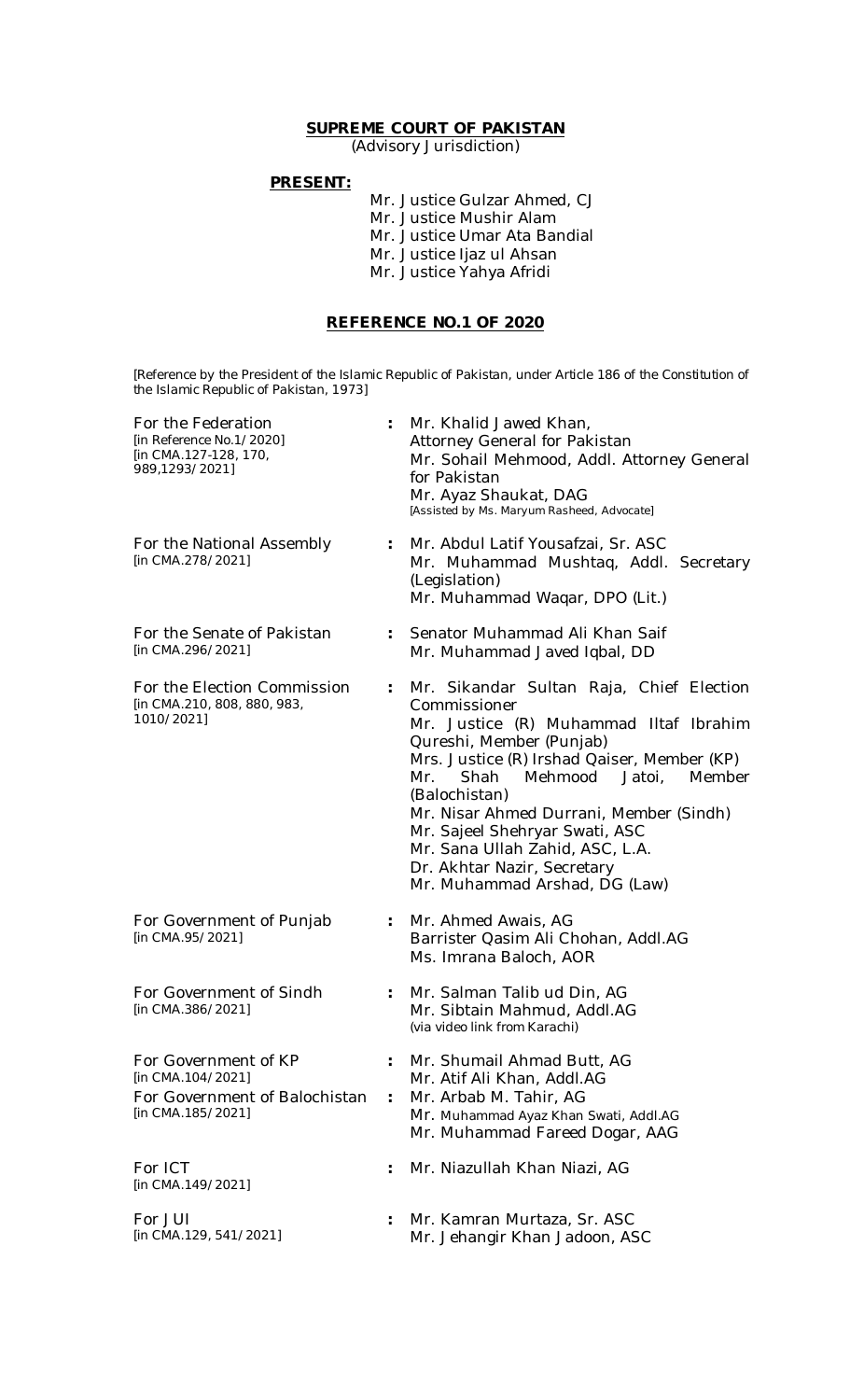## **SUPREME COURT OF PAKISTAN**

(Advisory Jurisdiction)

### **PRESENT:**

Mr. Justice Gulzar Ahmed, CJ Mr. Justice Mushir Alam Mr. Justice Umar Ata Bandial Mr. Justice Ijaz ul Ahsan Mr. Justice Yahya Afridi

### **REFERENCE NO.1 OF 2020**

*[Reference by the President of the Islamic Republic of Pakistan, under Article 186 of the Constitution of the Islamic Republic of Pakistan, 1973]*

| For the Federation<br>[in Reference No.1/2020]<br>[in CMA.127-128, 170,<br>989,1293/2021]       |                           | Mr. Khalid Jawed Khan,<br>Attorney General for Pakistan<br>Mr. Sohail Mehmood, Addl. Attorney General<br>for Pakistan<br>Mr. Ayaz Shaukat, DAG<br>[Assisted by Ms. Maryum Rasheed, Advocate]                                                                                                                                                                                                                                 |
|-------------------------------------------------------------------------------------------------|---------------------------|------------------------------------------------------------------------------------------------------------------------------------------------------------------------------------------------------------------------------------------------------------------------------------------------------------------------------------------------------------------------------------------------------------------------------|
| For the National Assembly<br>[in CMA.278/2021]                                                  | $\ddot{\phantom{a}}$      | Mr. Abdul Latif Yousafzai, Sr. ASC<br>Mr. Muhammad Mushtaq, Addl. Secretary<br>(Legislation)<br>Mr. Muhammad Waqar, DPO (Lit.)                                                                                                                                                                                                                                                                                               |
| For the Senate of Pakistan<br>[in CMA.296/2021]                                                 | $\ddot{\phantom{0}}$      | Senator Muhammad Ali Khan Saif<br>Mr. Muhammad Javed Iqbal, DD                                                                                                                                                                                                                                                                                                                                                               |
| For the Election Commission<br>[in CMA.210, 808, 880, 983,<br>1010/2021]                        | $\mathbb{R}^{\mathbb{Z}}$ | Mr. Sikandar Sultan Raja, Chief Election<br>Commissioner<br>Mr. Justice (R) Muhammad IItaf Ibrahim<br>Qureshi, Member (Punjab)<br>Mrs. Justice (R) Irshad Qaiser, Member (KP)<br>Mehmood<br>Jatoi,<br>Shah<br>Member<br>Mr.<br>(Balochistan)<br>Mr. Nisar Ahmed Durrani, Member (Sindh)<br>Mr. Sajeel Shehryar Swati, ASC<br>Mr. Sana Ullah Zahid, ASC, L.A.<br>Dr. Akhtar Nazir, Secretary<br>Mr. Muhammad Arshad, DG (Law) |
| For Government of Punjab<br>[in CMA.95/2021]                                                    |                           | Mr. Ahmed Awais, AG<br>Barrister Qasim Ali Chohan, Addl.AG<br>Ms. Imrana Baloch, AOR                                                                                                                                                                                                                                                                                                                                         |
| For Government of Sindh<br>[in CMA.386/2021]                                                    | $\ddot{\phantom{a}}$      | Mr. Salman Talib ud Din, AG<br>Mr. Sibtain Mahmud, Addl.AG<br>(via video link from Karachi)                                                                                                                                                                                                                                                                                                                                  |
| For Government of KP<br>[in CMA.104/2021]<br>For Government of Balochistan<br>[in CMA.185/2021] |                           | Mr. Shumail Ahmad Butt, AG<br>Mr. Atif Ali Khan, Addl.AG<br>Mr. Arbab M. Tahir, AG<br>Mr. Muhammad Ayaz Khan Swati, Addl.AG<br>Mr. Muhammad Fareed Dogar, AAG                                                                                                                                                                                                                                                                |
| For ICT<br>[in CMA.149/2021]                                                                    |                           | Mr. Niazullah Khan Niazi, AG                                                                                                                                                                                                                                                                                                                                                                                                 |
| For JUI<br>[in CMA.129, 541/2021]                                                               |                           | Mr. Kamran Murtaza, Sr. ASC<br>Mr. Jehangir Khan Jadoon, ASC                                                                                                                                                                                                                                                                                                                                                                 |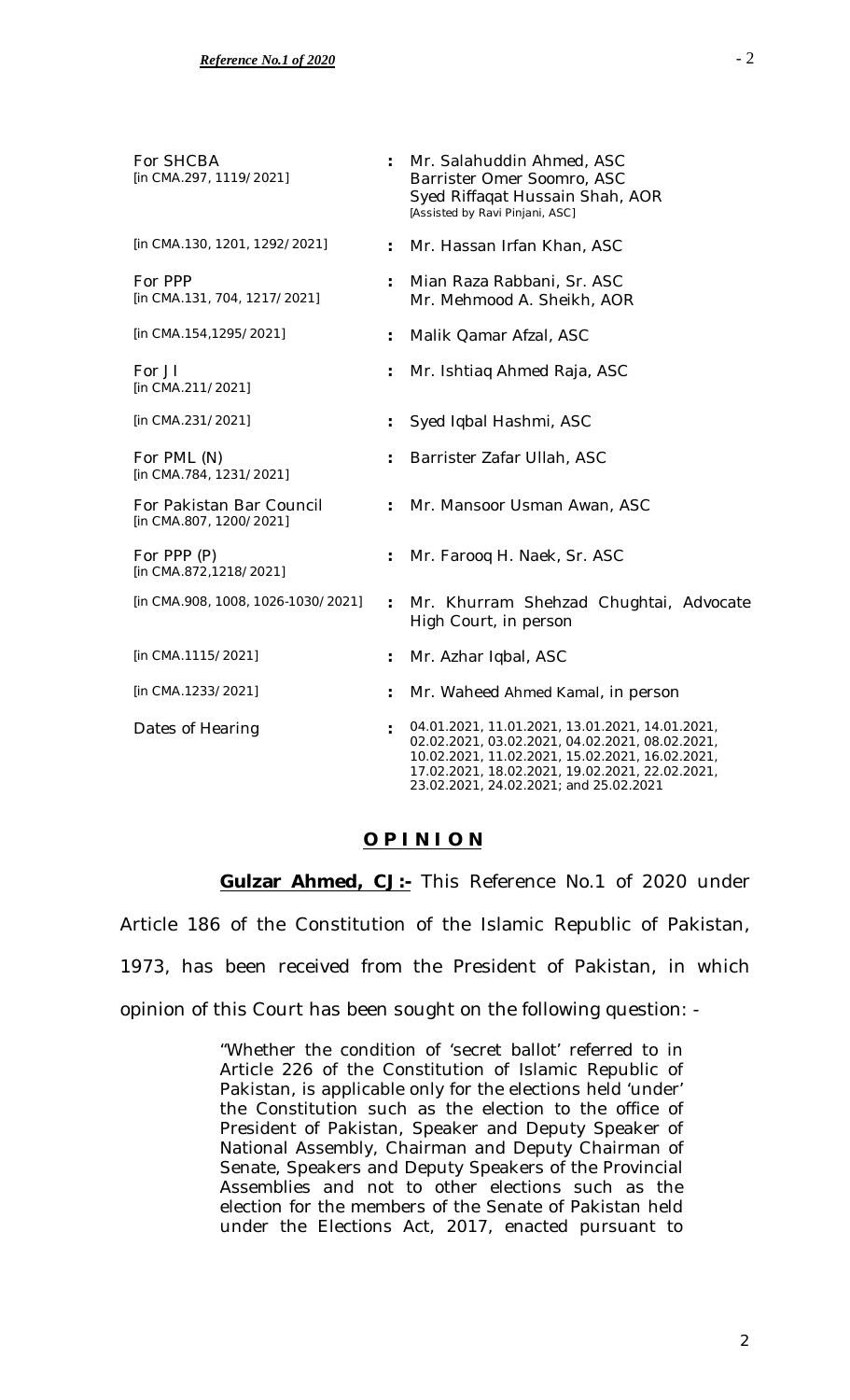| For SHCBA<br>[in CMA.297, 1119/2021]                |                      | Mr. Salahuddin Ahmed, ASC<br>Barrister Omer Soomro, ASC<br>Syed Riffaqat Hussain Shah, AOR<br>[Assisted by Ravi Pinjani, ASC]                                                                                                                      |
|-----------------------------------------------------|----------------------|----------------------------------------------------------------------------------------------------------------------------------------------------------------------------------------------------------------------------------------------------|
| [in CMA.130, 1201, 1292/2021]                       |                      | Mr. Hassan Irfan Khan, ASC                                                                                                                                                                                                                         |
| For PPP<br>[in CMA.131, 704, 1217/2021]             |                      | Mian Raza Rabbani, Sr. ASC<br>Mr. Mehmood A. Sheikh, AOR                                                                                                                                                                                           |
| [in CMA.154,1295/2021]                              |                      | Malik Qamar Afzal, ASC                                                                                                                                                                                                                             |
| For JI<br>[in CMA.211/2021]                         |                      | Mr. Ishtiaq Ahmed Raja, ASC                                                                                                                                                                                                                        |
| [in CMA.231/2021]                                   |                      | Syed Iqbal Hashmi, ASC                                                                                                                                                                                                                             |
| For PML (N)<br>[in CMA.784, 1231/2021]              |                      | Barrister Zafar Ullah, ASC                                                                                                                                                                                                                         |
| For Pakistan Bar Council<br>[in CMA.807, 1200/2021] | $\ddot{\phantom{a}}$ | Mr. Mansoor Usman Awan, ASC                                                                                                                                                                                                                        |
| For PPP (P)<br>[in CMA.872,1218/2021]               |                      | Mr. Farooq H. Naek, Sr. ASC                                                                                                                                                                                                                        |
| [in CMA.908, 1008, 1026-1030/2021]                  | $\ddot{\phantom{a}}$ | Mr. Khurram Shehzad Chughtai, Advocate<br>High Court, in person                                                                                                                                                                                    |
| [in CMA.1115/2021]                                  |                      | Mr. Azhar Iqbal, ASC                                                                                                                                                                                                                               |
| [in CMA.1233/2021]                                  |                      | Mr. Waheed Ahmed Kamal, in person                                                                                                                                                                                                                  |
| Dates of Hearing                                    |                      | 04.01.2021, 11.01.2021, 13.01.2021, 14.01.2021,<br>02.02.2021, 03.02.2021, 04.02.2021, 08.02.2021,<br>10.02.2021, 11.02.2021, 15.02.2021, 16.02.2021,<br>17.02.2021, 18.02.2021, 19.02.2021, 22.02.2021,<br>23.02.2021, 24.02.2021; and 25.02.2021 |

# **O P I N I O N**

**Gulzar Ahmed, CJ:-** This Reference No.1 of 2020 under Article 186 of the Constitution of the Islamic Republic of Pakistan, 1973, has been received from the President of Pakistan, in which opinion of this Court has been sought on the following question: -

> "Whether the condition of 'secret ballot' referred to in Article 226 of the Constitution of Islamic Republic of Pakistan, is applicable only for the elections held 'under' the Constitution such as the election to the office of President of Pakistan, Speaker and Deputy Speaker of National Assembly, Chairman and Deputy Chairman of Senate, Speakers and Deputy Speakers of the Provincial Assemblies and not to other elections such as the election for the members of the Senate of Pakistan held under the Elections Act, 2017, enacted pursuant to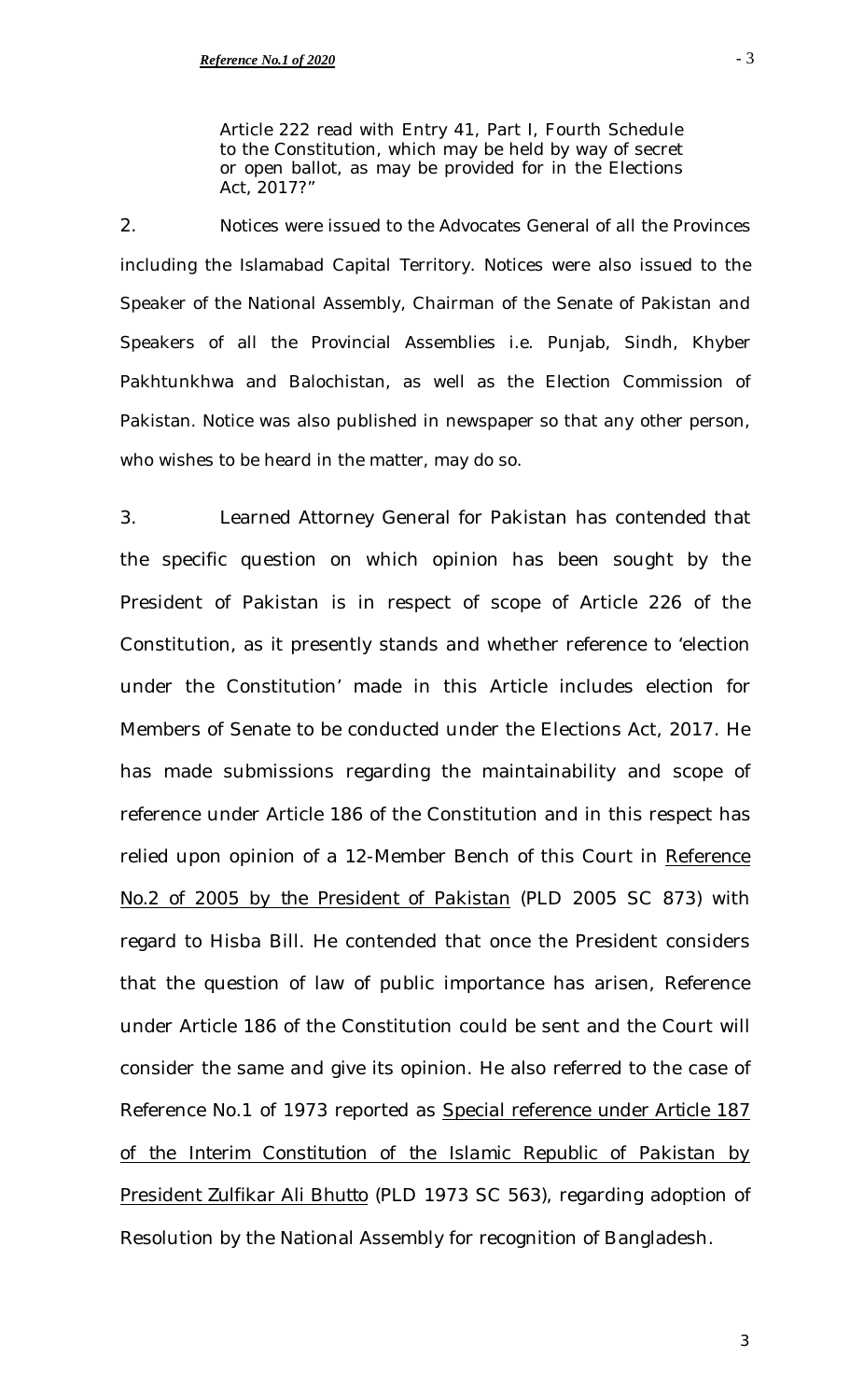Article 222 read with Entry 41, Part I, Fourth Schedule to the Constitution, which may be held by way of secret or open ballot, as may be provided for in the Elections Act, 2017?"

2. Notices were issued to the Advocates General of all the Provinces including the Islamabad Capital Territory. Notices were also issued to the Speaker of the National Assembly, Chairman of the Senate of Pakistan and Speakers of all the Provincial Assemblies i.e. Punjab, Sindh, Khyber Pakhtunkhwa and Balochistan, as well as the Election Commission of Pakistan. Notice was also published in newspaper so that any other person, who wishes to be heard in the matter, may do so.

3. Learned Attorney General for Pakistan has contended that the specific question on which opinion has been sought by the President of Pakistan is in respect of scope of Article 226 of the Constitution, as it presently stands and whether reference to 'election under the Constitution' made in this Article includes election for Members of Senate to be conducted under the Elections Act, 2017. He has made submissions regarding the maintainability and scope of reference under Article 186 of the Constitution and in this respect has relied upon opinion of a 12-Member Bench of this Court in *Reference No.2 of 2005 by the President of Pakistan* (PLD 2005 SC 873) with regard to Hisba Bill. He contended that once the President considers that the question of law of public importance has arisen, Reference under Article 186 of the Constitution could be sent and the Court will consider the same and give its opinion. He also referred to the case of Reference No.1 of 1973 reported as *Special reference under Article 187 of the Interim Constitution of the Islamic Republic of Pakistan by President Zulfikar Ali Bhutto* (PLD 1973 SC 563), regarding adoption of Resolution by the National Assembly for recognition of Bangladesh.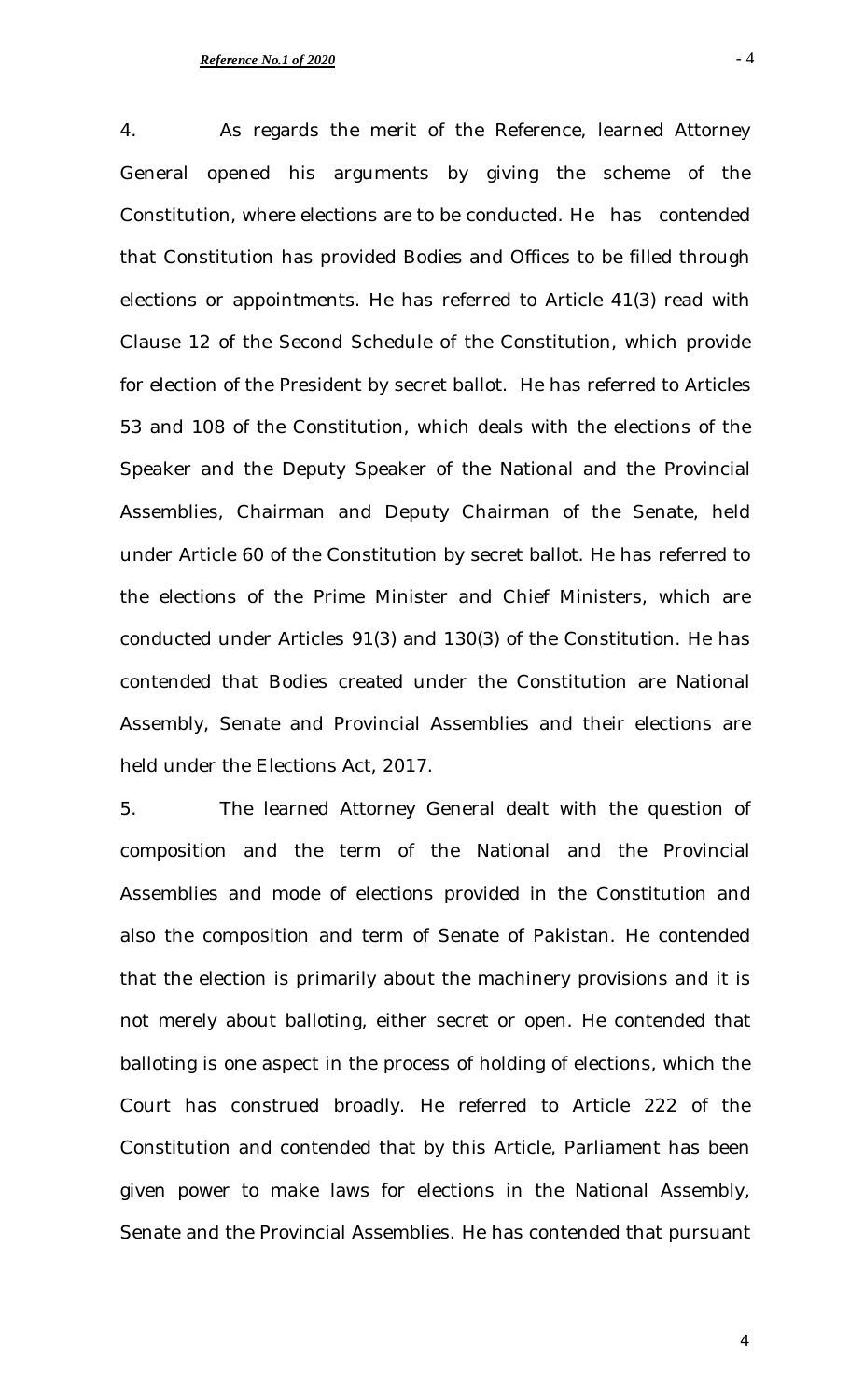4. As regards the merit of the Reference, learned Attorney General opened his arguments by giving the scheme of the Constitution, where elections are to be conducted. He has contended that Constitution has provided Bodies and Offices to be filled through elections or appointments. He has referred to Article 41(3) read with Clause 12 of the Second Schedule of the Constitution, which provide for election of the President by secret ballot. He has referred to Articles 53 and 108 of the Constitution, which deals with the elections of the Speaker and the Deputy Speaker of the National and the Provincial Assemblies, Chairman and Deputy Chairman of the Senate, held under Article 60 of the Constitution by secret ballot. He has referred to the elections of the Prime Minister and Chief Ministers, which are conducted under Articles 91(3) and 130(3) of the Constitution. He has contended that Bodies created under the Constitution are National Assembly, Senate and Provincial Assemblies and their elections are held under the Elections Act, 2017.

5. The learned Attorney General dealt with the question of composition and the term of the National and the Provincial Assemblies and mode of elections provided in the Constitution and also the composition and term of Senate of Pakistan. He contended that the election is primarily about the machinery provisions and it is not merely about balloting, either secret or open. He contended that balloting is one aspect in the process of holding of elections, which the Court has construed broadly. He referred to Article 222 of the Constitution and contended that by this Article, Parliament has been given power to make laws for elections in the National Assembly, Senate and the Provincial Assemblies. He has contended that pursuant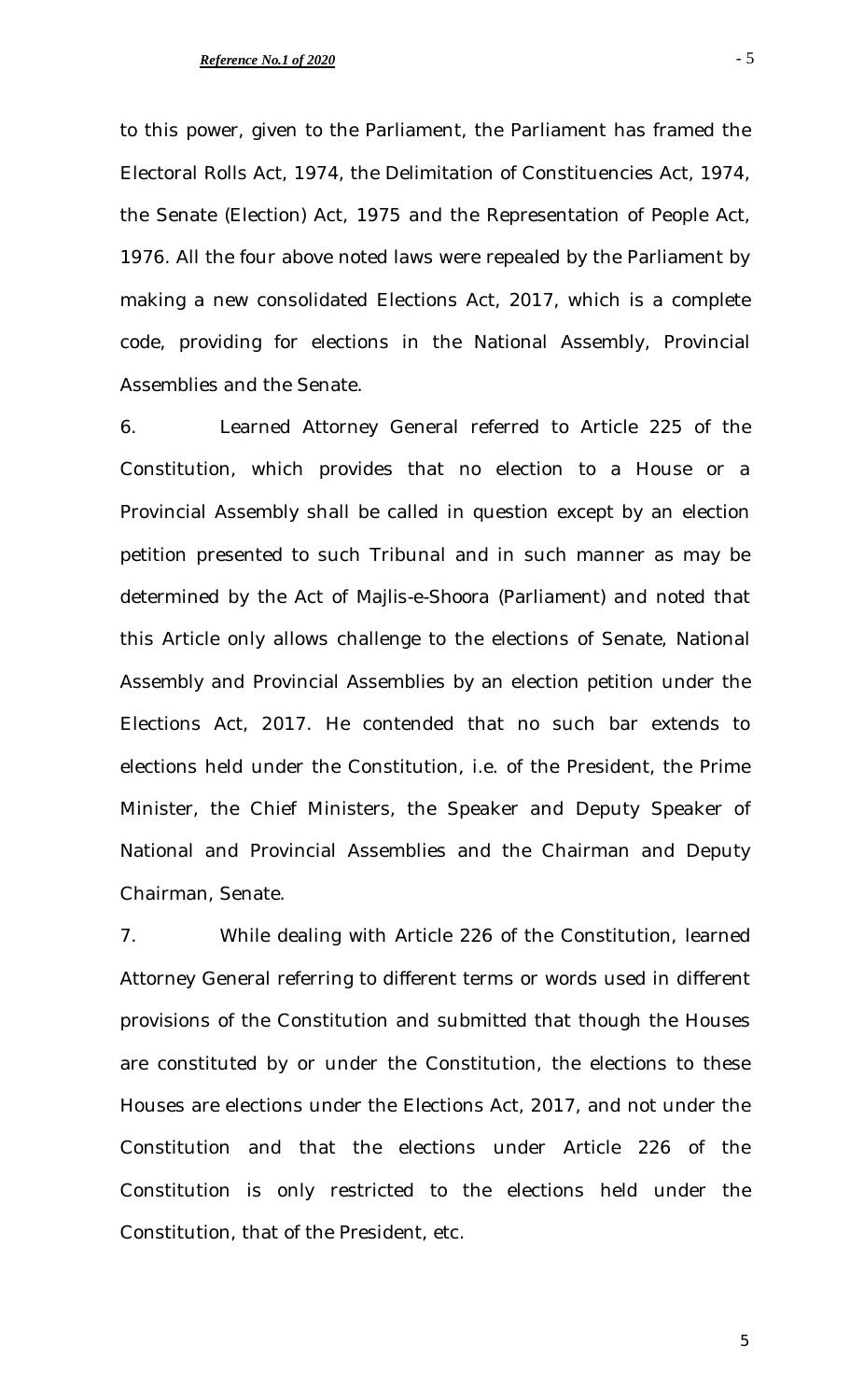to this power, given to the Parliament, the Parliament has framed the Electoral Rolls Act, 1974, the Delimitation of Constituencies Act, 1974, the Senate (Election) Act, 1975 and the Representation of People Act, 1976. All the four above noted laws were repealed by the Parliament by making a new consolidated Elections Act, 2017, which is a complete code, providing for elections in the National Assembly, Provincial Assemblies and the Senate.

6. Learned Attorney General referred to Article 225 of the Constitution, which provides that no election to a House or a Provincial Assembly shall be called in question except by an election petition presented to such Tribunal and in such manner as may be determined by the Act of *Majlis-e-Shoora* (Parliament) and noted that this Article only allows challenge to the elections of Senate, National Assembly and Provincial Assemblies by an election petition under the Elections Act, 2017. He contended that no such bar extends to elections held under the Constitution, i.e. of the President, the Prime Minister, the Chief Ministers, the Speaker and Deputy Speaker of National and Provincial Assemblies and the Chairman and Deputy Chairman, Senate.

7. While dealing with Article 226 of the Constitution, learned Attorney General referring to different terms or words used in different provisions of the Constitution and submitted that though the Houses are constituted by or under the Constitution, the elections to these Houses are elections under the Elections Act, 2017, and not under the Constitution and that the elections under Article 226 of the Constitution is only restricted to the elections held under the Constitution, that of the President, etc.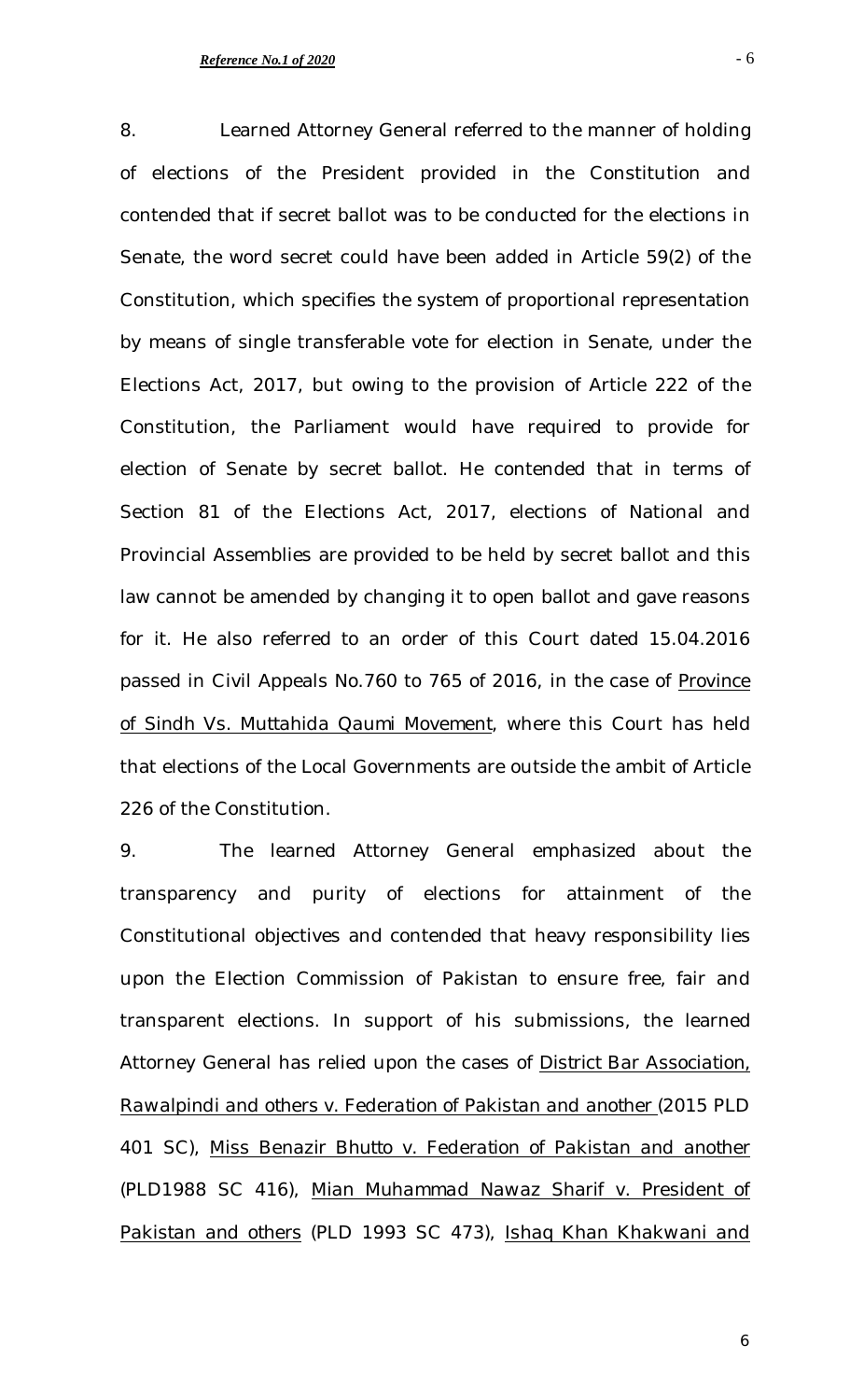8. Learned Attorney General referred to the manner of holding of elections of the President provided in the Constitution and contended that if secret ballot was to be conducted for the elections in Senate, the word secret could have been added in Article 59(2) of the Constitution, which specifies the system of proportional representation by means of single transferable vote for election in Senate, under the Elections Act, 2017, but owing to the provision of Article 222 of the Constitution, the Parliament would have required to provide for election of Senate by secret ballot. He contended that in terms of Section 81 of the Elections Act, 2017, elections of National and Provincial Assemblies are provided to be held by secret ballot and this law cannot be amended by changing it to open ballot and gave reasons for it. He also referred to an order of this Court dated 15.04.2016 passed in Civil Appeals No.760 to 765 of 2016, in the case of *Province of Sindh Vs. Muttahida Qaumi Movement*, where this Court has held that elections of the Local Governments are outside the ambit of Article 226 of the Constitution.

9. The learned Attorney General emphasized about the transparency and purity of elections for attainment of the Constitutional objectives and contended that heavy responsibility lies upon the Election Commission of Pakistan to ensure free, fair and transparent elections. In support of his submissions, the learned Attorney General has relied upon the cases of *District Bar Association, Rawalpindi and others v. Federation of Pakistan and another* (2015 PLD 401 SC), *Miss Benazir Bhutto v. Federation of Pakistan and another*  (PLD1988 SC 416), *Mian Muhammad Nawaz Sharif v. President of Pakistan and others* (PLD 1993 SC 473), *Ishaq Khan Khakwani and*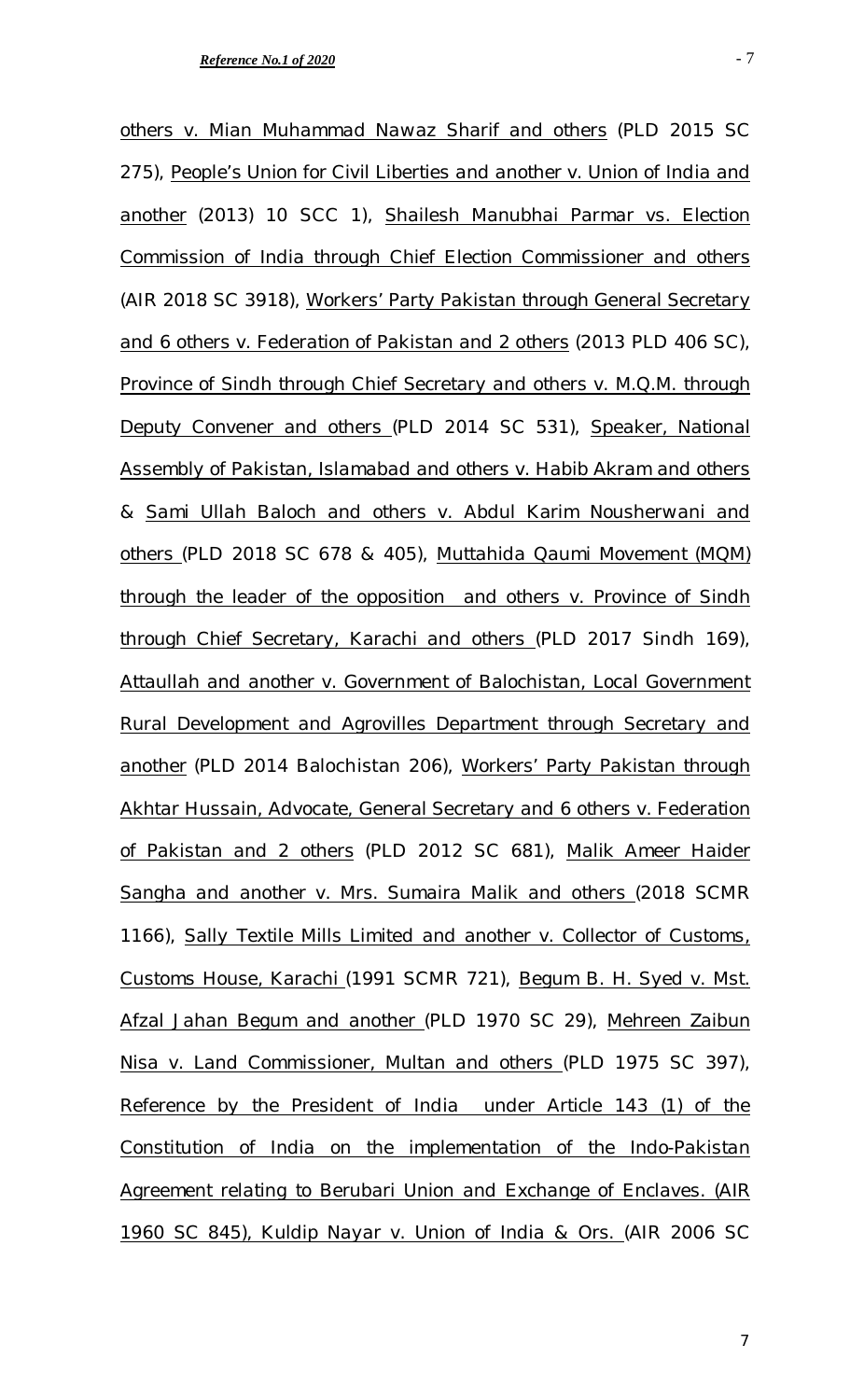*others v. Mian Muhammad Nawaz Sharif and others* (PLD 2015 SC 275), *People's Union for Civil Liberties and another v. Union of India and another* (2013) 10 SCC 1), *Shailesh Manubhai Parmar vs. Election Commission of India through Chief Election Commissioner and others*  (AIR 2018 SC 3918), *Workers' Party Pakistan through General Secretary and 6 others v. Federation of Pakistan and 2 others* (2013 PLD 406 SC), *Province of Sindh through Chief Secretary and others v. M.Q.M. through Deputy Convener and others* (PLD 2014 SC 531), *Speaker, National Assembly of Pakistan, Islamabad and others v. Habib Akram and others & Sami Ullah Baloch and others v. Abdul Karim Nousherwani and others* (PLD 2018 SC 678 & 405), *Muttahida Qaumi Movement (MQM) through the leader of the opposition and others v. Province of Sindh through Chief Secretary, Karachi and others* (PLD 2017 Sindh 169), *Attaullah and another v. Government of Balochistan, Local Government Rural Development and Agrovilles Department through Secretary and another* (PLD 2014 Balochistan 206), *Workers' Party Pakistan through Akhtar Hussain, Advocate, General Secretary and 6 others v. Federation of Pakistan and 2 others* (PLD 2012 SC 681), *Malik Ameer Haider Sangha and another v. Mrs. Sumaira Malik and others* (2018 SCMR 1166), *Sally Textile Mills Limited and another v. Collector of Customs, Customs House, Karachi* (1991 SCMR 721), *Begum B. H. Syed v. Mst. Afzal Jahan Begum and another* (PLD 1970 SC 29), *Mehreen Zaibun Nisa v. Land Commissioner, Multan and others* (PLD 1975 SC 397), *Reference by the President of India under Article 143 (1) of the Constitution of India on the implementation of the Indo-Pakistan* 

*1960 SC 845), Kuldip Nayar v. Union of India & Ors.* (AIR 2006 SC

*Agreement relating to Berubari Union and Exchange of Enclaves. (AIR*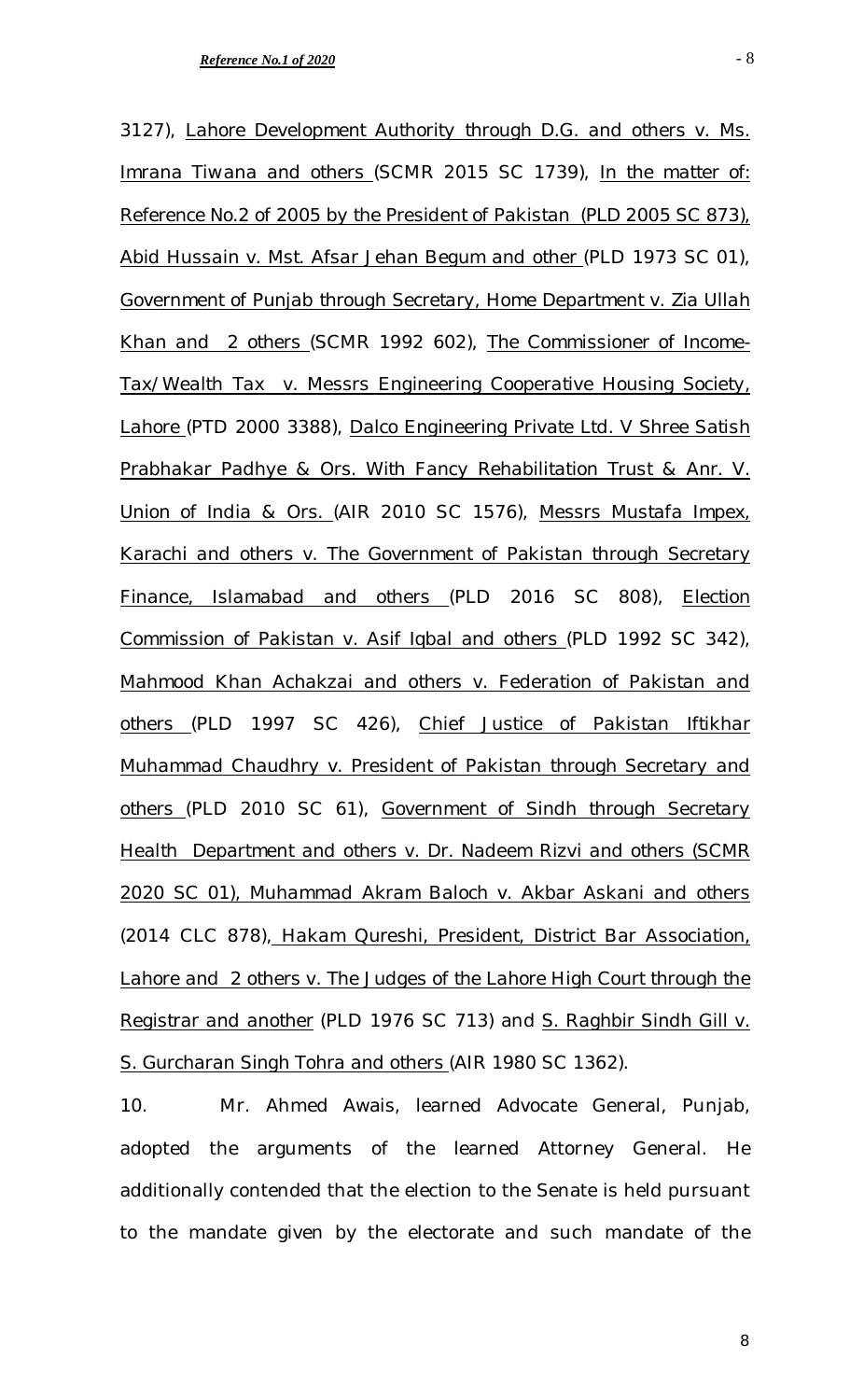3127), *Lahore Development Authority through D.G. and others v. Ms. Imrana Tiwana and others* (SCMR 2015 SC 1739), *In the matter of: Reference No.2 of 2005 by the President of Pakistan (PLD 2005 SC 873),*  Abid Hussain v. Mst. Afsar Jehan Begum and other (PLD 1973 SC 01), *Government of Punjab through Secretary, Home Department v. Zia Ullah Khan and 2 others* (SCMR 1992 602), *The Commissioner of Income-Tax/Wealth Tax v. Messrs Engineering Cooperative Housing Society, Lahore* (PTD 2000 3388), *Dalco Engineering Private Ltd. V Shree Satish Prabhakar Padhye & Ors. With Fancy Rehabilitation Trust & Anr. V. Union of India & Ors.* (AIR 2010 SC 1576), *Messrs Mustafa Impex, Karachi and others v. The Government of Pakistan through Secretary Finance, Islamabad and others* (PLD 2016 SC 808), *Election Commission of Pakistan v. Asif Iqbal and others* (PLD 1992 SC 342), *Mahmood Khan Achakzai and others v. Federation of Pakistan and others* (PLD 1997 SC 426), *Chief Justice of Pakistan Iftikhar Muhammad Chaudhry v. President of Pakistan through Secretary and others* (PLD 2010 SC 61), *Government of Sindh through Secretary Health Department and others v. Dr. Nadeem Rizvi and others (SCMR 2020 SC 01), Muhammad Akram Baloch v. Akbar Askani and others*  (2014 CLC 878), *Hakam Qureshi, President, District Bar Association, Lahore and 2 others v. The Judges of the Lahore High Court through the Registrar and another* (PLD 1976 SC 713) and *S. Raghbir Sindh Gill v. S. Gurcharan Singh Tohra and others* (AIR 1980 SC 1362).

10. Mr. Ahmed Awais, learned Advocate General, Punjab, adopted the arguments of the learned Attorney General. He additionally contended that the election to the Senate is held pursuant to the mandate given by the electorate and such mandate of the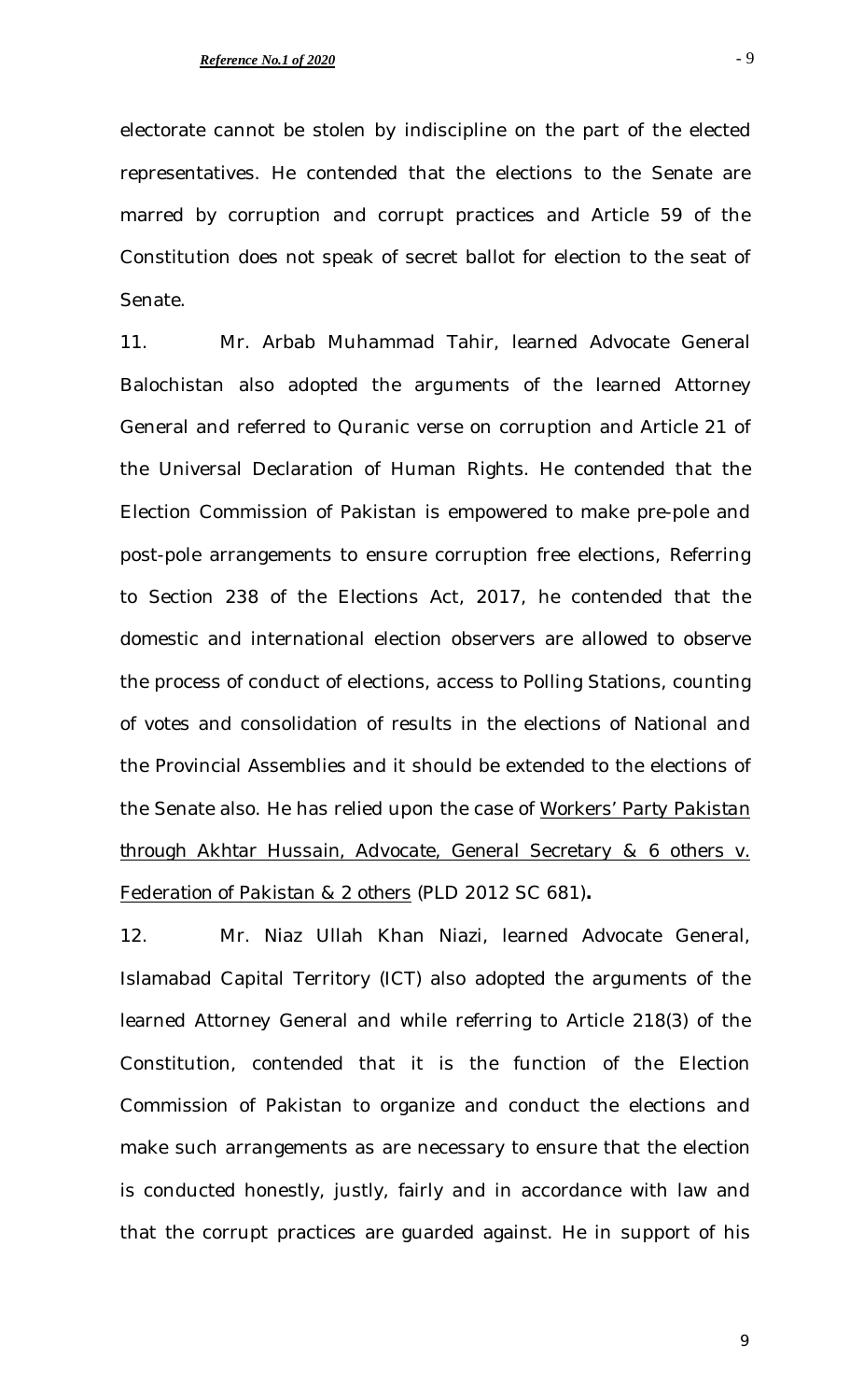electorate cannot be stolen by indiscipline on the part of the elected representatives. He contended that the elections to the Senate are marred by corruption and corrupt practices and Article 59 of the Constitution does not speak of secret ballot for election to the seat of Senate.

11. Mr. Arbab Muhammad Tahir, learned Advocate General Balochistan also adopted the arguments of the learned Attorney General and referred to Quranic verse on corruption and Article 21 of the Universal Declaration of Human Rights. He contended that the Election Commission of Pakistan is empowered to make pre-pole and post-pole arrangements to ensure corruption free elections, Referring to Section 238 of the Elections Act, 2017, he contended that the domestic and international election observers are allowed to observe the process of conduct of elections, access to Polling Stations, counting of votes and consolidation of results in the elections of National and the Provincial Assemblies and it should be extended to the elections of the Senate also. He has relied upon the case of *Workers' Party Pakistan through Akhtar Hussain, Advocate, General Secretary & 6 others v. Federation of Pakistan & 2 others* (PLD 2012 SC 681)**.**

12. Mr. Niaz Ullah Khan Niazi, learned Advocate General, Islamabad Capital Territory (ICT) also adopted the arguments of the learned Attorney General and while referring to Article 218(3) of the Constitution, contended that it is the function of the Election Commission of Pakistan to organize and conduct the elections and make such arrangements as are necessary to ensure that the election is conducted honestly, justly, fairly and in accordance with law and that the corrupt practices are guarded against. He in support of his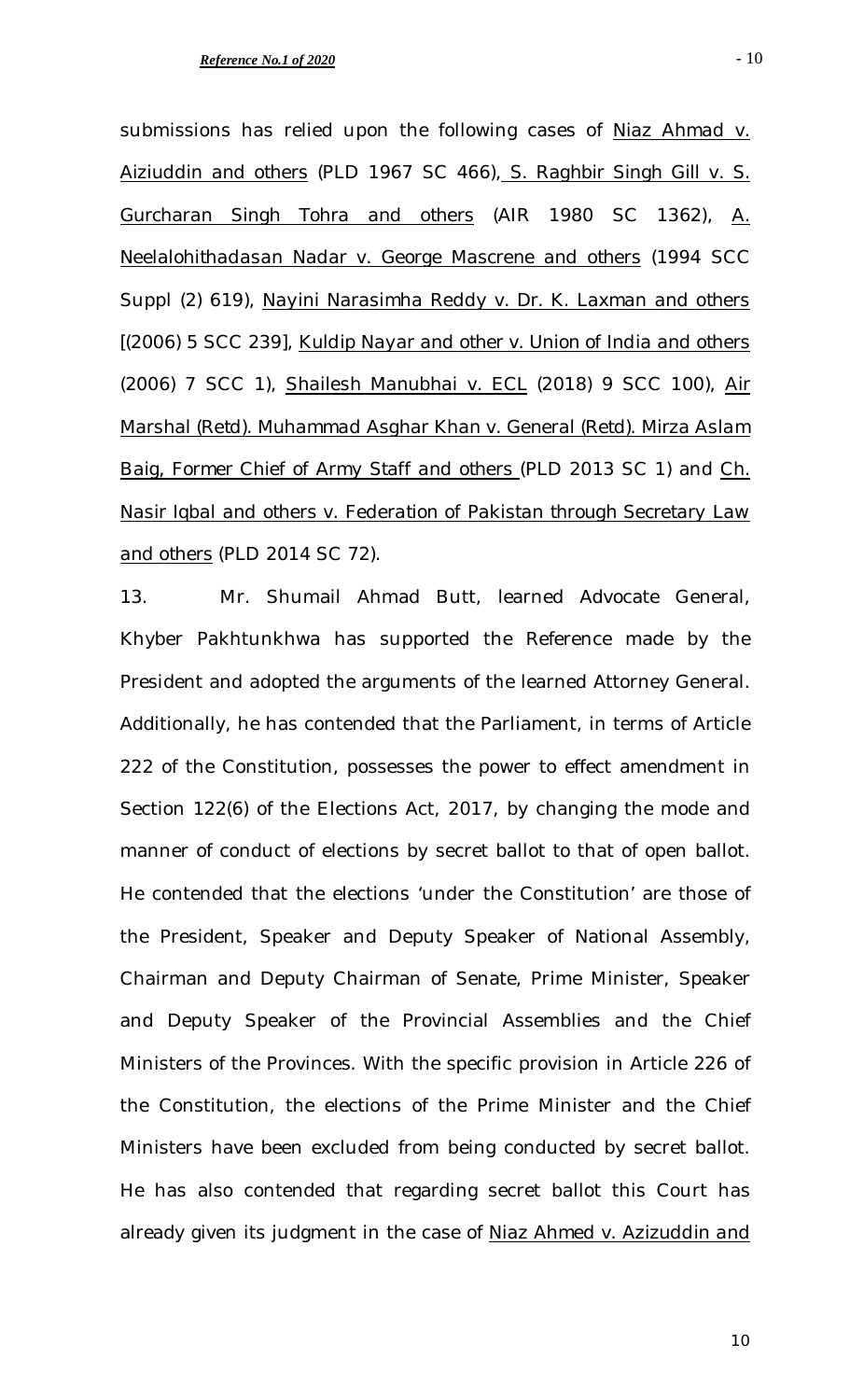submissions has relied upon the following cases of *Niaz Ahmad v. Aiziuddin and others* (PLD 1967 SC 466), *S. Raghbir Singh Gill v. S. Gurcharan Singh Tohra and others* (AIR 1980 SC 1362), *A. Neelalohithadasan Nadar v. George Mascrene and others* (1994 SCC Suppl (2) 619), *Nayini Narasimha Reddy v. Dr. K. Laxman and others*  [(2006) 5 SCC 239], *Kuldip Nayar and other v. Union of India and others* (2006) 7 SCC 1), *Shailesh Manubhai v. ECL* (2018) 9 SCC 100), *Air Marshal (Retd). Muhammad Asghar Khan v. General (Retd). Mirza Aslam Baig, Former Chief of Army Staff and others* (PLD 2013 SC 1) and *Ch. Nasir Iqbal and others v. Federation of Pakistan through Secretary Law and others* (PLD 2014 SC 72).

13. Mr. Shumail Ahmad Butt, learned Advocate General, Khyber Pakhtunkhwa has supported the Reference made by the President and adopted the arguments of the learned Attorney General. Additionally, he has contended that the Parliament, in terms of Article 222 of the Constitution, possesses the power to effect amendment in Section 122(6) of the Elections Act, 2017, by changing the mode and manner of conduct of elections by secret ballot to that of open ballot. He contended that the elections 'under the Constitution' are those of the President, Speaker and Deputy Speaker of National Assembly, Chairman and Deputy Chairman of Senate, Prime Minister, Speaker and Deputy Speaker of the Provincial Assemblies and the Chief Ministers of the Provinces. With the specific provision in Article 226 of the Constitution, the elections of the Prime Minister and the Chief Ministers have been excluded from being conducted by secret ballot. He has also contended that regarding secret ballot this Court has already given its judgment in the case of *Niaz Ahmed v. Azizuddin and*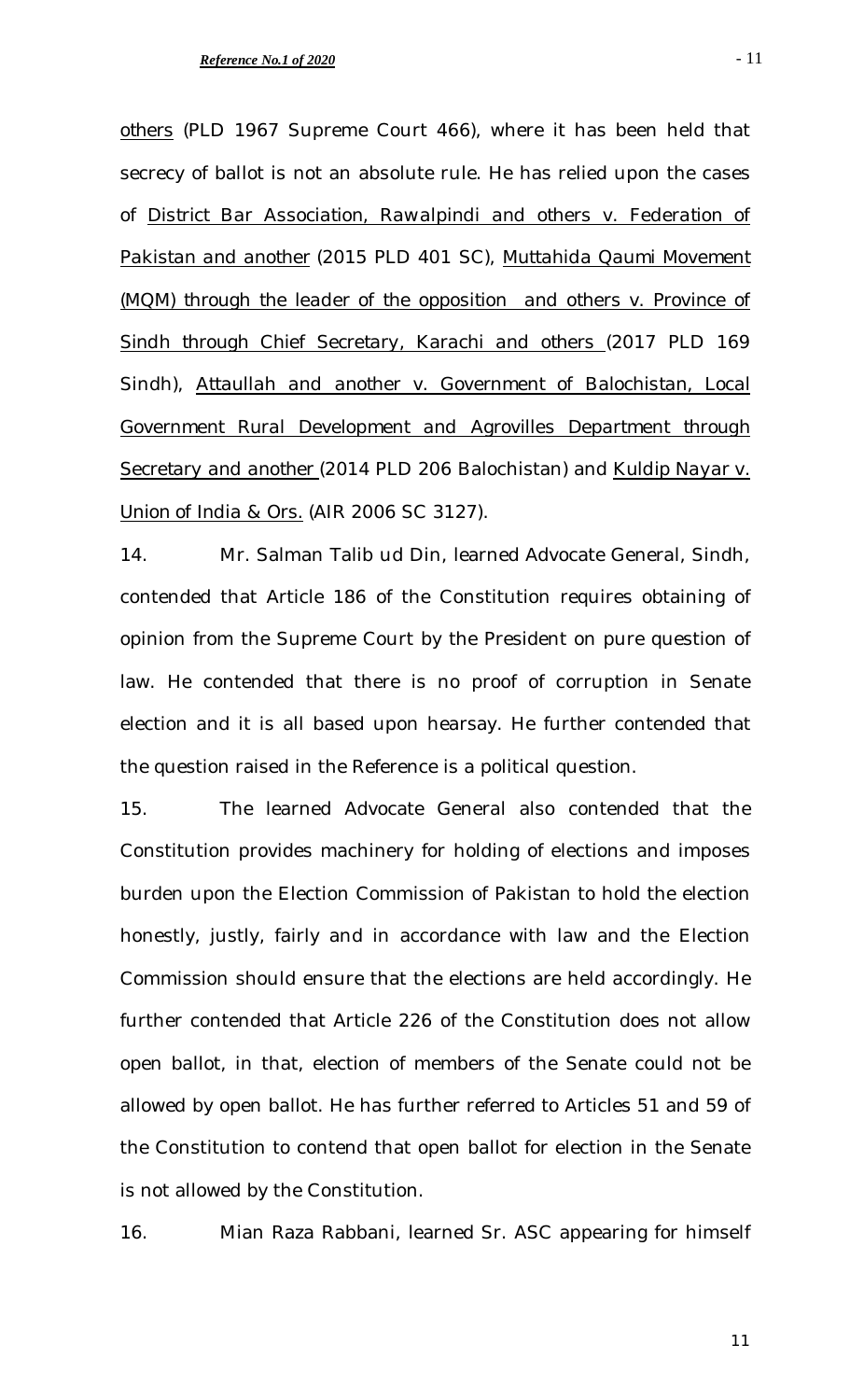*others* (PLD 1967 Supreme Court 466), where it has been held that secrecy of ballot is not an absolute rule. He has relied upon the cases of *District Bar Association, Rawalpindi and others v. Federation of Pakistan and another* (2015 PLD 401 SC), *Muttahida Qaumi Movement (MQM) through the leader of the opposition and others v. Province of Sindh through Chief Secretary, Karachi and others* (2017 PLD 169 Sindh), *Attaullah and another v. Government of Balochistan, Local Government Rural Development and Agrovilles Department through Secretary and another* (2014 PLD 206 Balochistan) and *Kuldip Nayar v. Union of India & Ors.* (AIR 2006 SC 3127).

14. Mr. Salman Talib ud Din, learned Advocate General, Sindh, contended that Article 186 of the Constitution requires obtaining of opinion from the Supreme Court by the President on pure question of law. He contended that there is no proof of corruption in Senate election and it is all based upon hearsay. He further contended that the question raised in the Reference is a political question.

15. The learned Advocate General also contended that the Constitution provides machinery for holding of elections and imposes burden upon the Election Commission of Pakistan to hold the election honestly, justly, fairly and in accordance with law and the Election Commission should ensure that the elections are held accordingly. He further contended that Article 226 of the Constitution does not allow open ballot, in that, election of members of the Senate could not be allowed by open ballot. He has further referred to Articles 51 and 59 of the Constitution to contend that open ballot for election in the Senate is not allowed by the Constitution.

16. Mian Raza Rabbani, learned Sr. ASC appearing for himself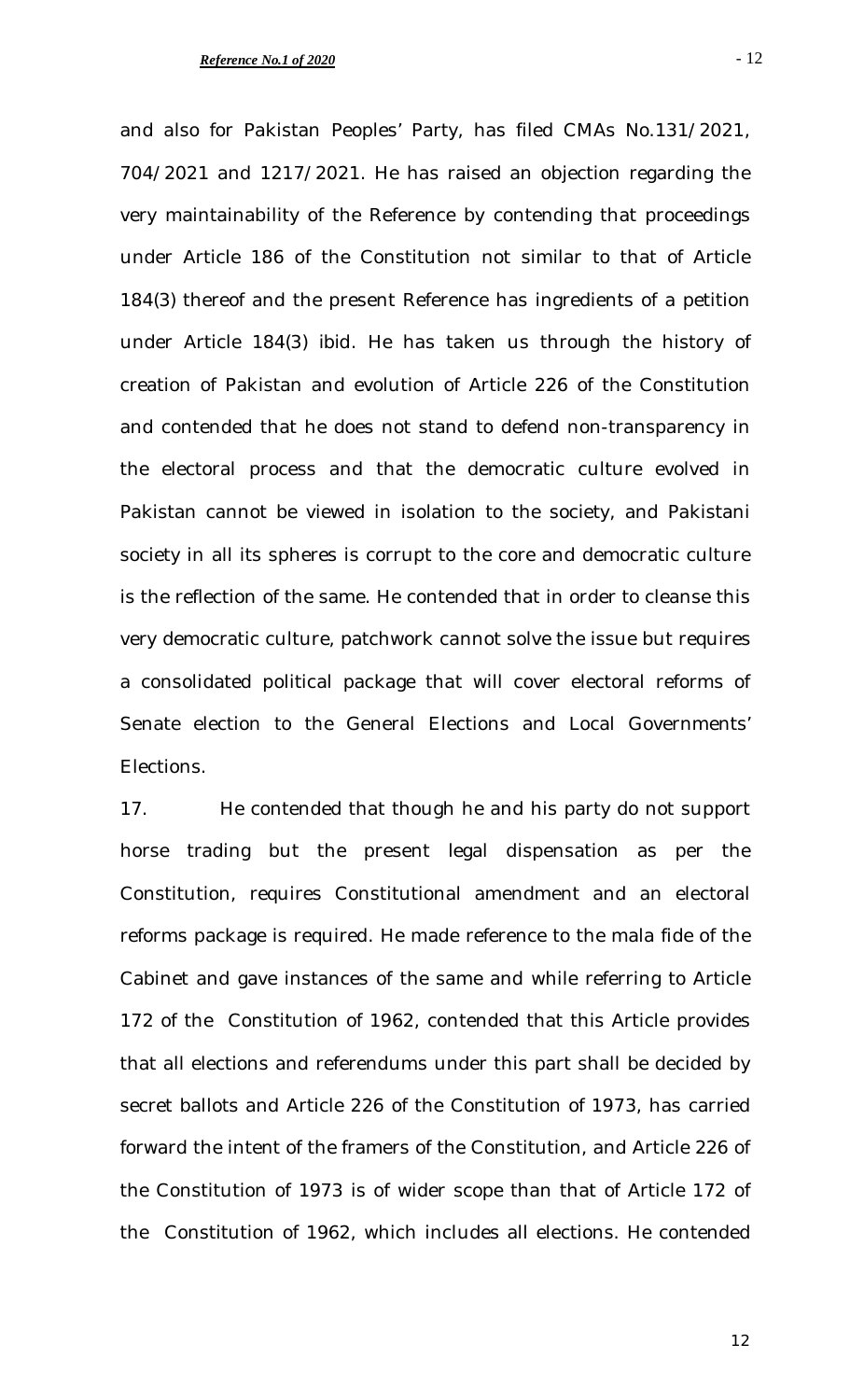- 12

and also for Pakistan Peoples' Party, has filed CMAs No.131/2021, 704/2021 and 1217/2021. He has raised an objection regarding the very maintainability of the Reference by contending that proceedings under Article 186 of the Constitution not similar to that of Article 184(3) thereof and the present Reference has ingredients of a petition under Article 184(3) *ibid*. He has taken us through the history of creation of Pakistan and evolution of Article 226 of the Constitution and contended that he does not stand to defend non-transparency in the electoral process and that the democratic culture evolved in Pakistan cannot be viewed in isolation to the society, and Pakistani society in all its spheres is corrupt to the core and democratic culture is the reflection of the same. He contended that in order to cleanse this very democratic culture, patchwork cannot solve the issue but requires a consolidated political package that will cover electoral reforms of Senate election to the General Elections and Local Governments' Elections.

17. He contended that though he and his party do not support horse trading but the present legal dispensation as per the Constitution, requires Constitutional amendment and an electoral reforms package is required. He made reference to the mala fide of the Cabinet and gave instances of the same and while referring to Article 172 of the Constitution of 1962, contended that this Article provides that all elections and referendums under this part shall be decided by secret ballots and Article 226 of the Constitution of 1973, has carried forward the intent of the framers of the Constitution, and Article 226 of the Constitution of 1973 is of wider scope than that of Article 172 of the Constitution of 1962, which includes all elections. He contended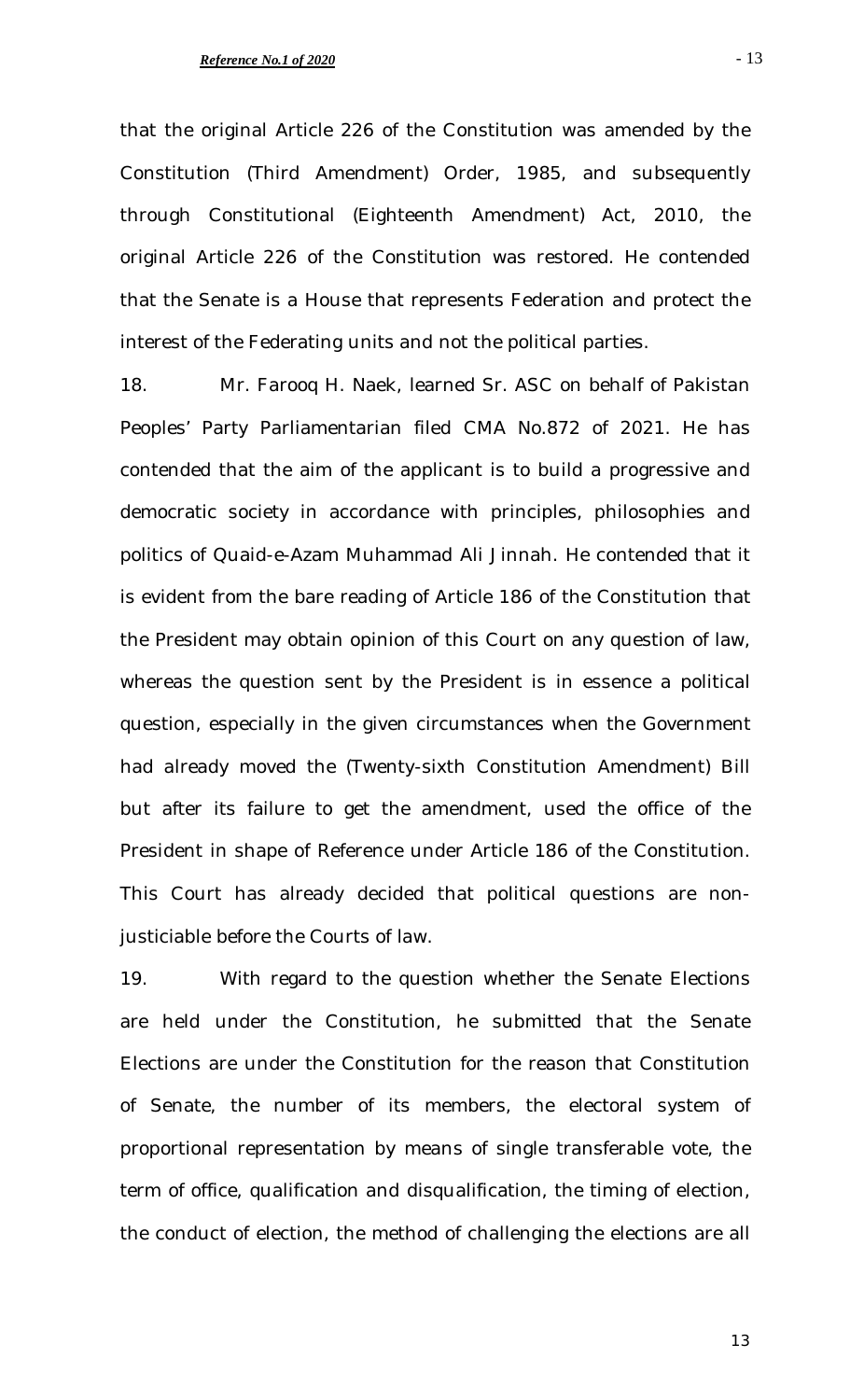that the original Article 226 of the Constitution was amended by the Constitution (Third Amendment) Order, 1985, and subsequently through Constitutional (Eighteenth Amendment) Act, 2010, the original Article 226 of the Constitution was restored. He contended that the Senate is a House that represents Federation and protect the interest of the Federating units and not the political parties.

18. Mr. Farooq H. Naek, learned Sr. ASC on behalf of Pakistan Peoples' Party Parliamentarian filed CMA No.872 of 2021. He has contended that the aim of the applicant is to build a progressive and democratic society in accordance with principles, philosophies and politics of Quaid-e-Azam Muhammad Ali Jinnah. He contended that it is evident from the bare reading of Article 186 of the Constitution that the President may obtain opinion of this Court on any question of law, whereas the question sent by the President is in essence a political question, especially in the given circumstances when the Government had already moved the (Twenty-sixth Constitution Amendment) Bill but after its failure to get the amendment, used the office of the President in shape of Reference under Article 186 of the Constitution. This Court has already decided that political questions are nonjusticiable before the Courts of law.

19. With regard to the question whether the Senate Elections are held under the Constitution, he submitted that the Senate Elections are under the Constitution for the reason that Constitution of Senate, the number of its members, the electoral system of proportional representation by means of single transferable vote, the term of office, qualification and disqualification, the timing of election, the conduct of election, the method of challenging the elections are all

- 13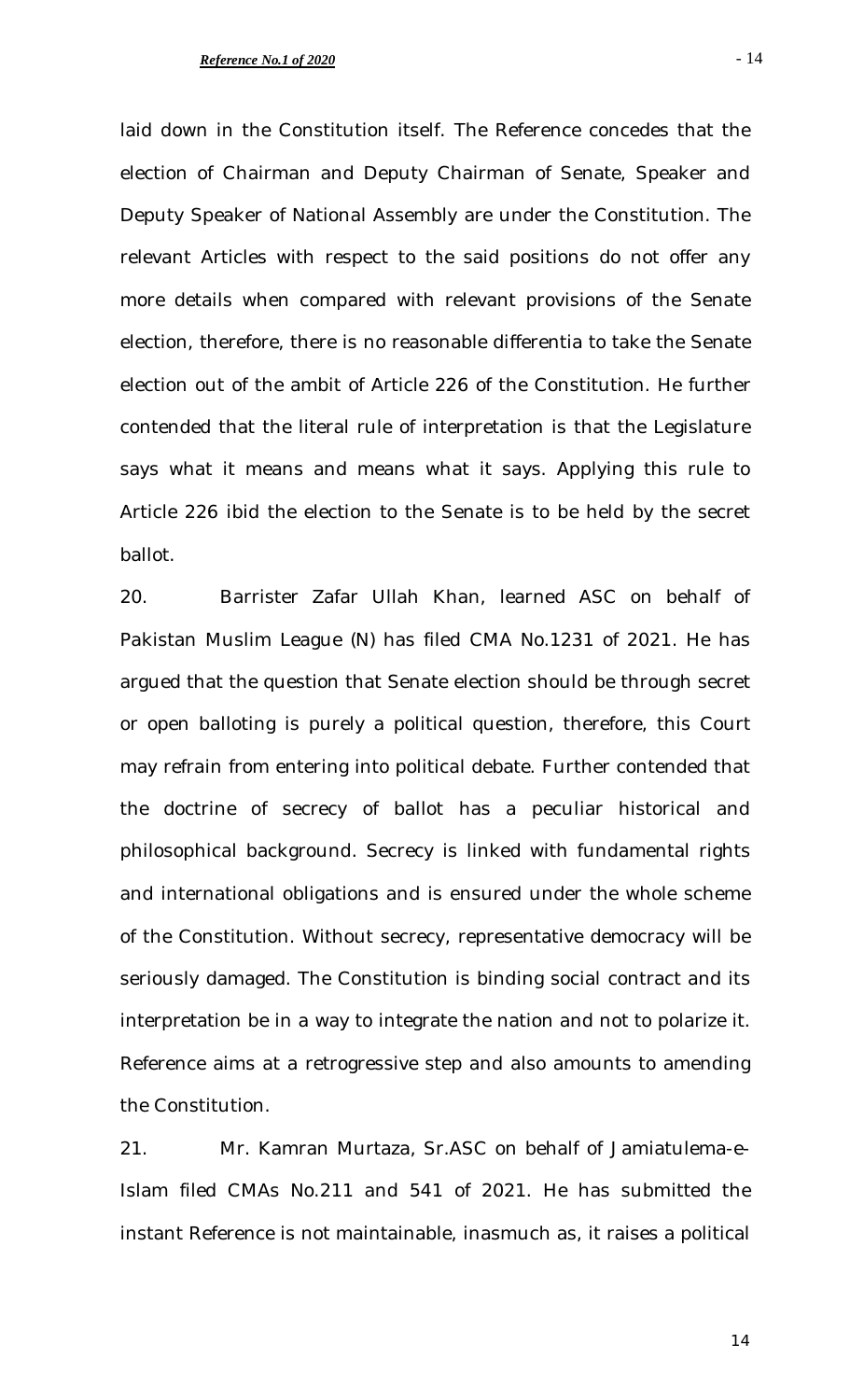laid down in the Constitution itself. The Reference concedes that the election of Chairman and Deputy Chairman of Senate, Speaker and Deputy Speaker of National Assembly are under the Constitution. The relevant Articles with respect to the said positions do not offer any more details when compared with relevant provisions of the Senate election, therefore, there is no reasonable differentia to take the Senate election out of the ambit of Article 226 of the Constitution. He further contended that the literal rule of interpretation is that the Legislature says what it means and means what it says. Applying this rule to Article 226 ibid the election to the Senate is to be held by the secret ballot.

20. Barrister Zafar Ullah Khan, learned ASC on behalf of Pakistan Muslim League (N) has filed CMA No.1231 of 2021. He has argued that the question that Senate election should be through secret or open balloting is purely a political question, therefore, this Court may refrain from entering into political debate. Further contended that the doctrine of secrecy of ballot has a peculiar historical and philosophical background. Secrecy is linked with fundamental rights and international obligations and is ensured under the whole scheme of the Constitution. Without secrecy, representative democracy will be seriously damaged. The Constitution is binding social contract and its interpretation be in a way to integrate the nation and not to polarize it. Reference aims at a retrogressive step and also amounts to amending the Constitution.

21. Mr. Kamran Murtaza, Sr.ASC on behalf of Jamiatulema-e-Islam filed CMAs No.211 and 541 of 2021. He has submitted the instant Reference is not maintainable, inasmuch as, it raises a political

- 14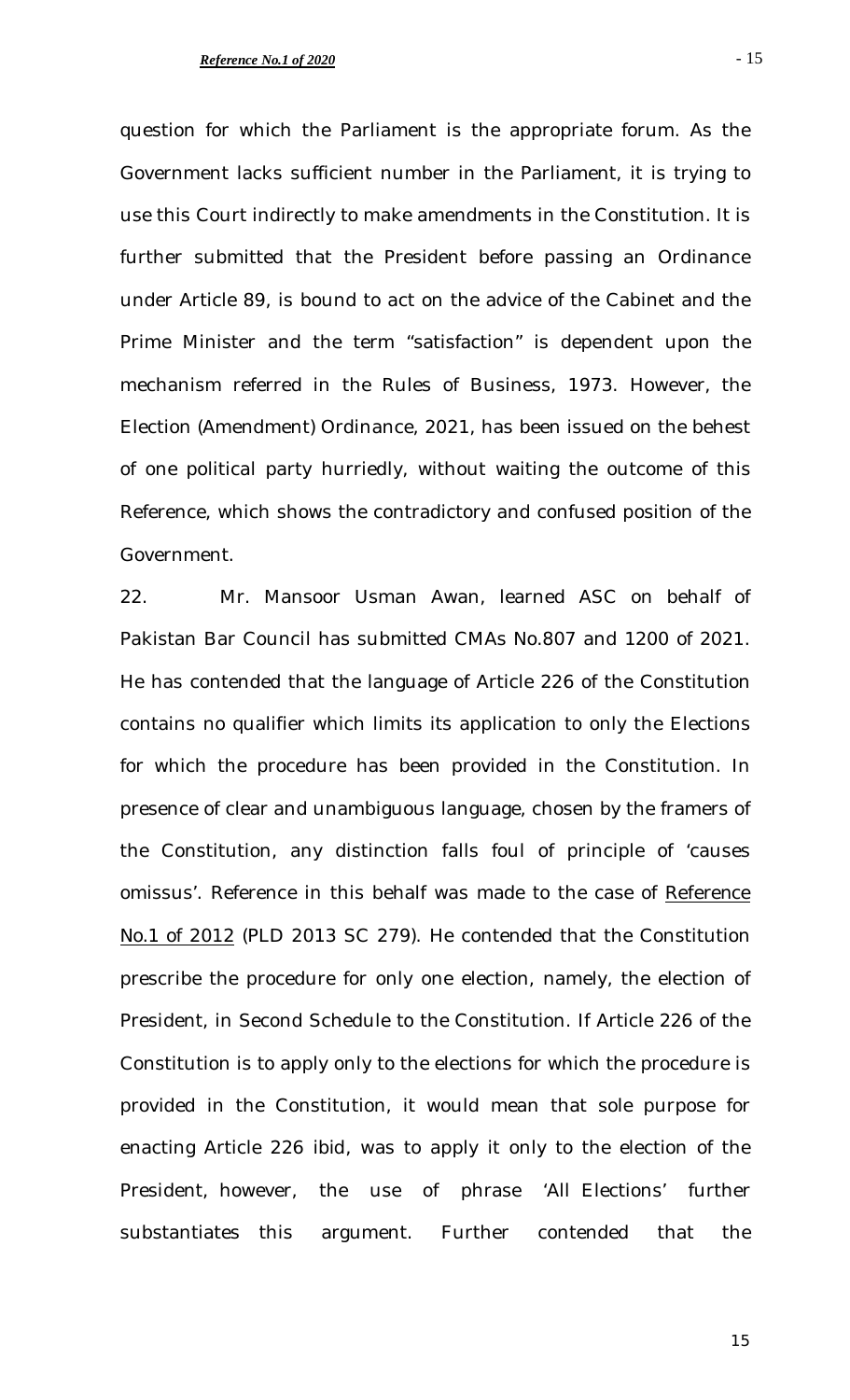question for which the Parliament is the appropriate forum. As the Government lacks sufficient number in the Parliament, it is trying to use this Court indirectly to make amendments in the Constitution. It is further submitted that the President before passing an Ordinance under Article 89, is bound to act on the advice of the Cabinet and the Prime Minister and the term "satisfaction" is dependent upon the mechanism referred in the Rules of Business, 1973. However, the Election (Amendment) Ordinance, 2021, has been issued on the behest of one political party hurriedly, without waiting the outcome of this Reference, which shows the contradictory and confused position of the Government.

22. Mr. Mansoor Usman Awan, learned ASC on behalf of Pakistan Bar Council has submitted CMAs No.807 and 1200 of 2021. He has contended that the language of Article 226 of the Constitution contains no qualifier which limits its application to only the Elections for which the procedure has been provided in the Constitution. In presence of clear and unambiguous language, chosen by the framers of the Constitution, any distinction falls foul of principle of 'causes omissus'. Reference in this behalf was made to the case of *Reference No.1 of 2012* (PLD 2013 SC 279). He contended that the Constitution prescribe the procedure for only one election, namely, the election of President, in Second Schedule to the Constitution. If Article 226 of the Constitution is to apply only to the elections for which the procedure is provided in the Constitution, it would mean that sole purpose for enacting Article 226 *ibid*, was to apply it only to the election of the President, however, the use of phrase 'All Elections' further substantiates this argument. Further contended that the

- 15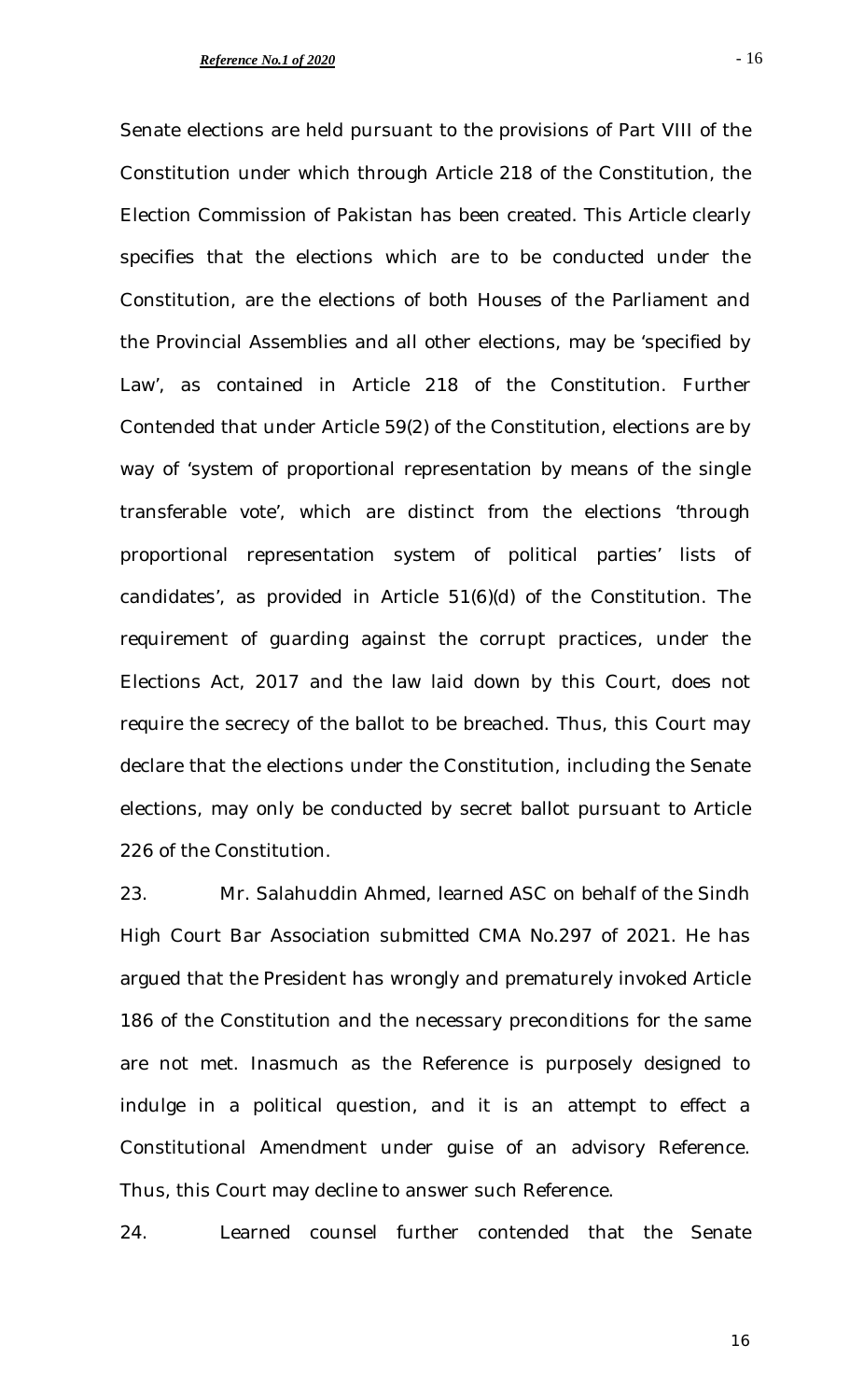Senate elections are held pursuant to the provisions of Part VIII of the Constitution under which through Article 218 of the Constitution, the Election Commission of Pakistan has been created. This Article clearly specifies that the elections which are to be conducted under the Constitution, are the elections of both Houses of the Parliament and the Provincial Assemblies and all other elections, may be 'specified by Law', as contained in Article 218 of the Constitution. Further Contended that under Article 59(2) of the Constitution, elections are by way of 'system of proportional representation by means of the single transferable vote', which are distinct from the elections 'through proportional representation system of political parties' lists of candidates', as provided in Article 51(6)(d) of the Constitution. The requirement of guarding against the corrupt practices, under the Elections Act, 2017 and the law laid down by this Court, does not require the secrecy of the ballot to be breached. Thus, this Court may declare that the elections under the Constitution, including the Senate elections, may only be conducted by secret ballot pursuant to Article 226 of the Constitution.

23. Mr. Salahuddin Ahmed, learned ASC on behalf of the Sindh High Court Bar Association submitted CMA No.297 of 2021. He has argued that the President has wrongly and prematurely invoked Article 186 of the Constitution and the necessary preconditions for the same are not met. Inasmuch as the Reference is purposely designed to indulge in a political question, and it is an attempt to effect a Constitutional Amendment under guise of an advisory Reference. Thus, this Court may decline to answer such Reference.

24. Learned counsel further contended that the Senate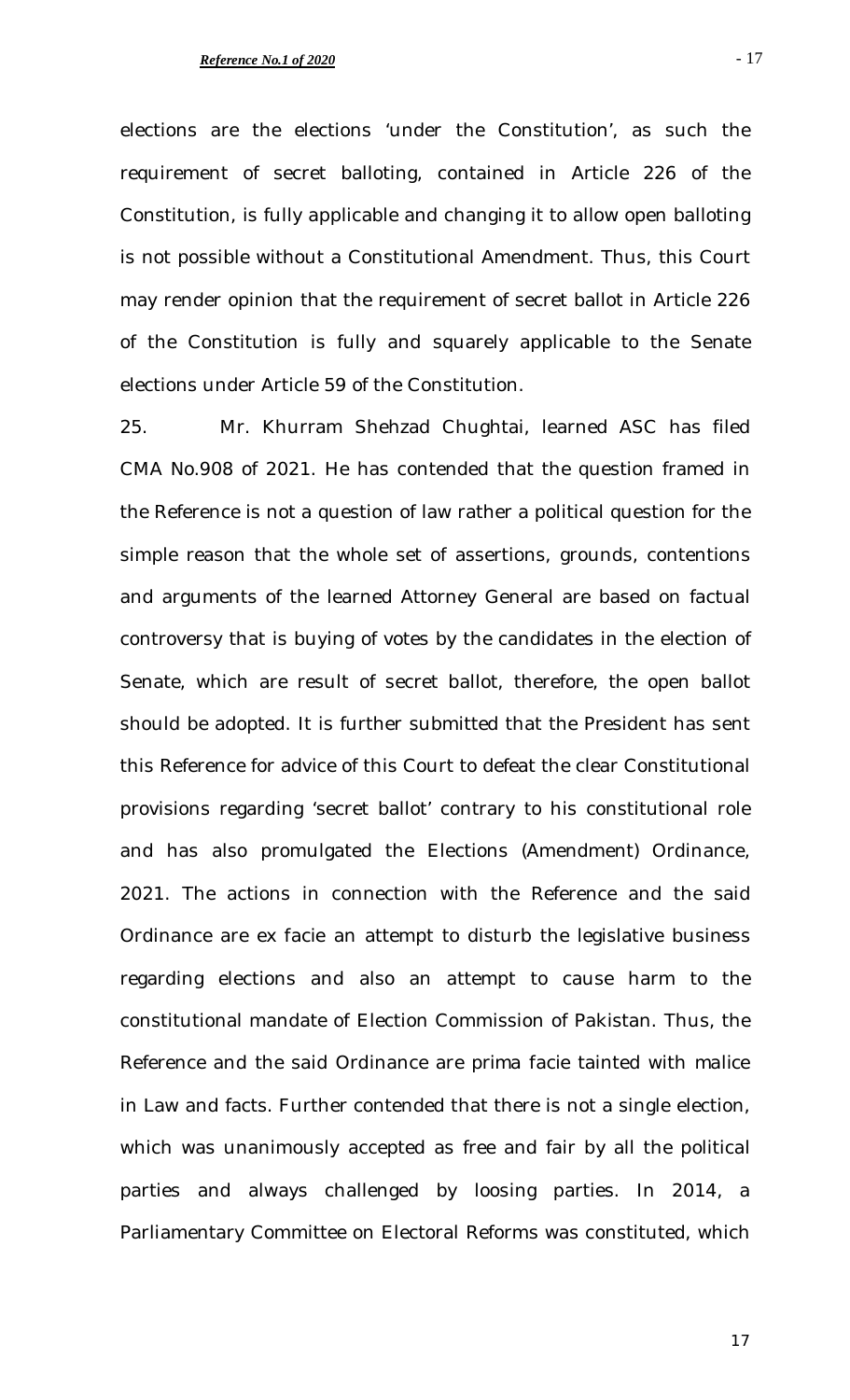elections under Article 59 of the Constitution.

elections are the elections 'under the Constitution', as such the requirement of secret balloting, contained in Article 226 of the Constitution, is fully applicable and changing it to allow open balloting is not possible without a Constitutional Amendment. Thus, this Court may render opinion that the requirement of secret ballot in Article 226 of the Constitution is fully and squarely applicable to the Senate

25. Mr. Khurram Shehzad Chughtai, learned ASC has filed CMA No.908 of 2021. He has contended that the question framed in the Reference is not a question of law rather a political question for the simple reason that the whole set of assertions, grounds, contentions and arguments of the learned Attorney General are based on factual controversy that is buying of votes by the candidates in the election of Senate, which are result of secret ballot, therefore, the open ballot should be adopted. It is further submitted that the President has sent this Reference for advice of this Court to defeat the clear Constitutional provisions regarding 'secret ballot' contrary to his constitutional role and has also promulgated the Elections (Amendment) Ordinance, 2021. The actions in connection with the Reference and the said Ordinance are *ex facie* an attempt to disturb the legislative business regarding elections and also an attempt to cause harm to the constitutional mandate of Election Commission of Pakistan. Thus, the Reference and the said Ordinance are *prima facie* tainted with *malice* in Law and facts. Further contended that there is not a single election, which was unanimously accepted as free and fair by all the political parties and always challenged by loosing parties. In 2014, a Parliamentary Committee on Electoral Reforms was constituted, which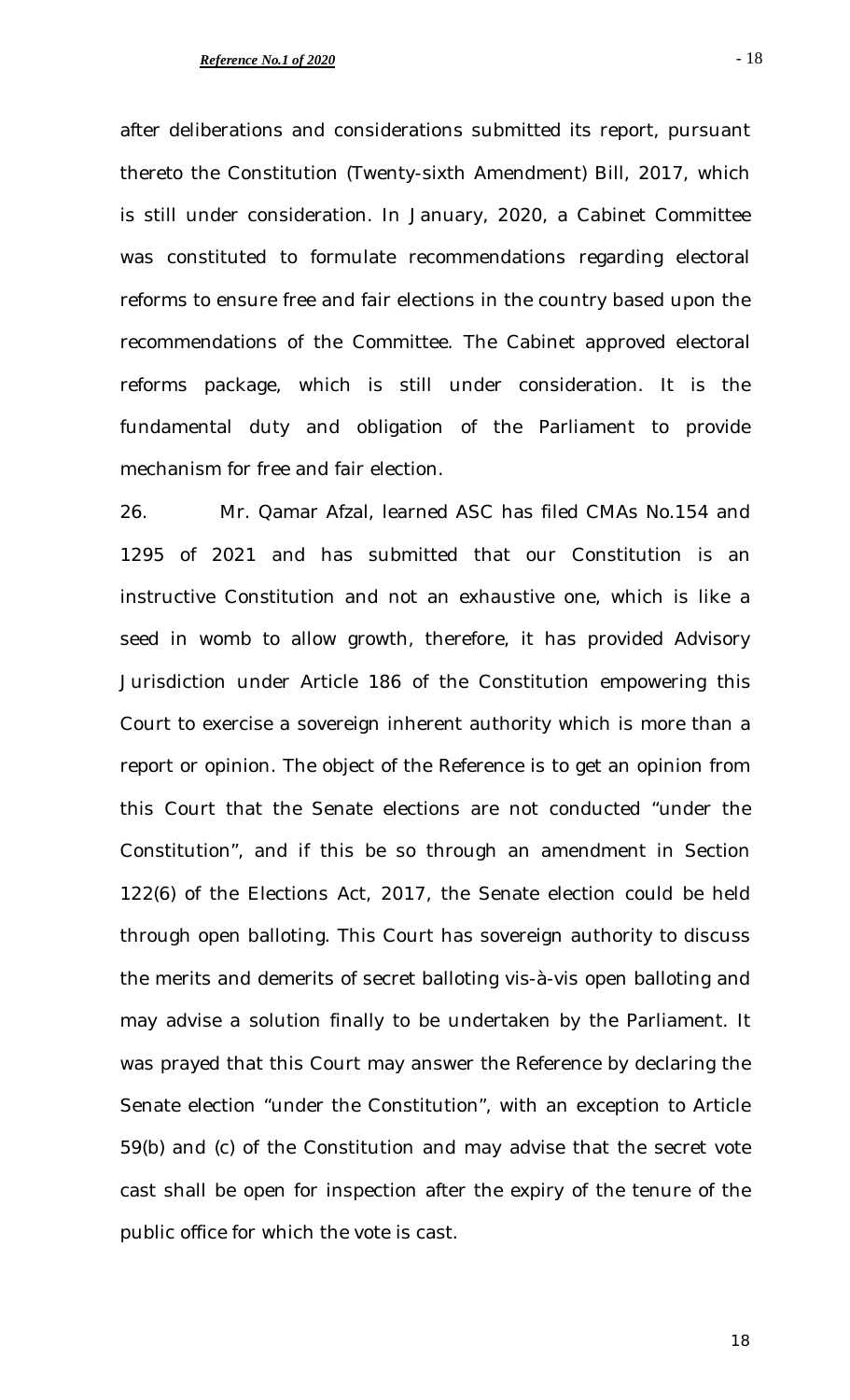after deliberations and considerations submitted its report, pursuant thereto the Constitution (Twenty-sixth Amendment) Bill, 2017, which is still under consideration. In January, 2020, a Cabinet Committee was constituted to formulate recommendations regarding electoral reforms to ensure free and fair elections in the country based upon the recommendations of the Committee. The Cabinet approved electoral reforms package, which is still under consideration. It is the fundamental duty and obligation of the Parliament to provide mechanism for free and fair election.

26. Mr. Qamar Afzal, learned ASC has filed CMAs No.154 and 1295 of 2021 and has submitted that our Constitution is an instructive Constitution and not an exhaustive one, which is like a seed in womb to allow growth, therefore, it has provided Advisory Jurisdiction under Article 186 of the Constitution empowering this Court to exercise a sovereign inherent authority which is more than a report or opinion. The object of the Reference is to get an opinion from this Court that the Senate elections are not conducted "under the Constitution", and if this be so through an amendment in Section 122(6) of the Elections Act, 2017, the Senate election could be held through open balloting. This Court has sovereign authority to discuss the merits and demerits of secret balloting vis-à-vis open balloting and may advise a solution finally to be undertaken by the Parliament. It was prayed that this Court may answer the Reference by declaring the Senate election "under the Constitution", with an exception to Article 59(b) and (c) of the Constitution and may advise that the secret vote cast shall be open for inspection after the expiry of the tenure of the public office for which the vote is cast.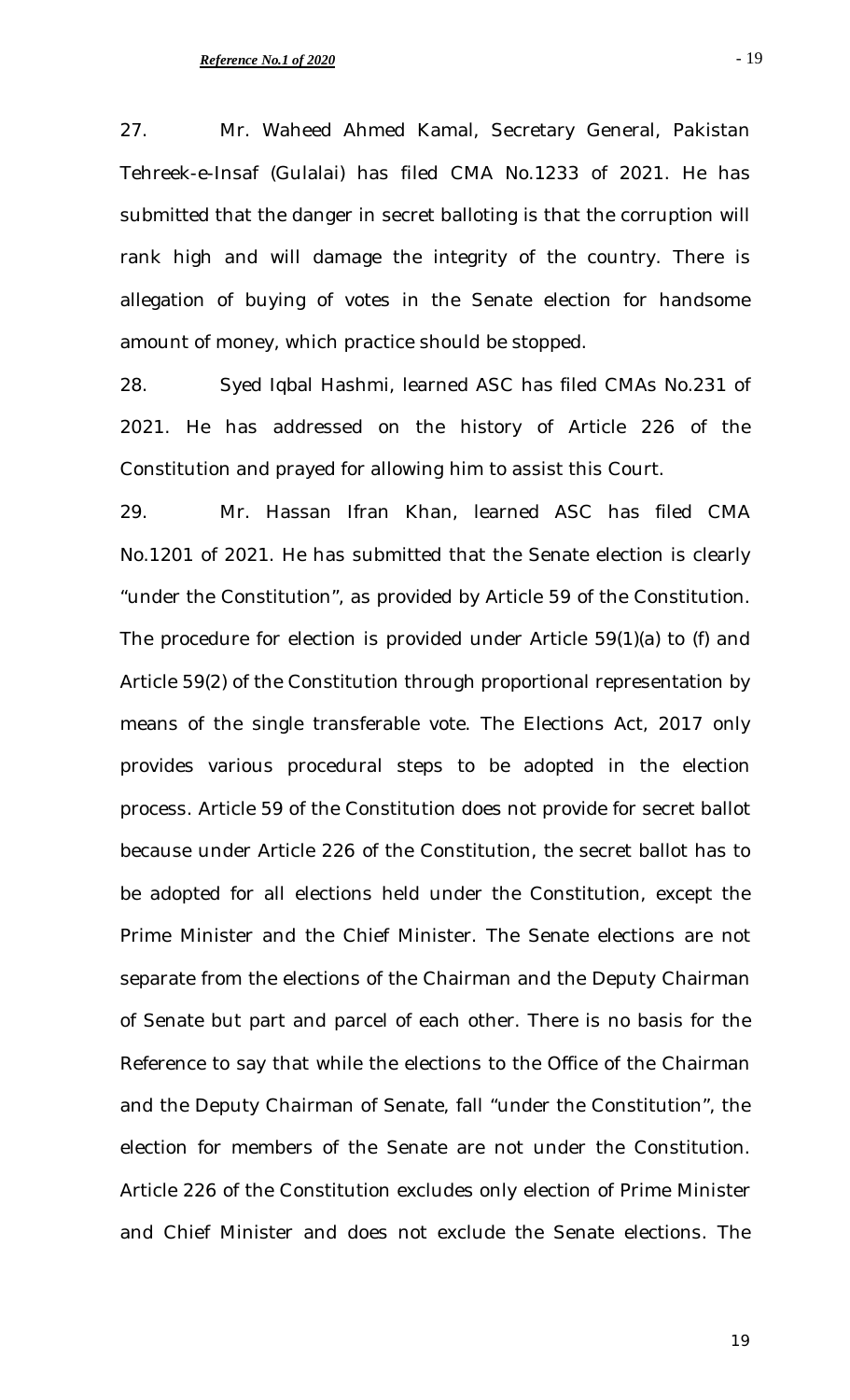27. Mr. Waheed Ahmed Kamal, Secretary General, Pakistan Tehreek-e-Insaf (Gulalai) has filed CMA No.1233 of 2021. He has submitted that the danger in secret balloting is that the corruption will rank high and will damage the integrity of the country. There is allegation of buying of votes in the Senate election for handsome amount of money, which practice should be stopped.

28. Syed Iqbal Hashmi, learned ASC has filed CMAs No.231 of 2021. He has addressed on the history of Article 226 of the Constitution and prayed for allowing him to assist this Court.

29. Mr. Hassan Ifran Khan, learned ASC has filed CMA No.1201 of 2021. He has submitted that the Senate election is clearly "under the Constitution", as provided by Article 59 of the Constitution. The procedure for election is provided under Article 59(1)(a) to (f) and Article 59(2) of the Constitution through proportional representation by means of the single transferable vote. The Elections Act, 2017 only provides various procedural steps to be adopted in the election process. Article 59 of the Constitution does not provide for secret ballot because under Article 226 of the Constitution, the secret ballot has to be adopted for all elections held under the Constitution, except the Prime Minister and the Chief Minister. The Senate elections are not separate from the elections of the Chairman and the Deputy Chairman of Senate but part and parcel of each other. There is no basis for the Reference to say that while the elections to the Office of the Chairman and the Deputy Chairman of Senate, fall "under the Constitution", the election for members of the Senate are not under the Constitution. Article 226 of the Constitution excludes only election of Prime Minister and Chief Minister and does not exclude the Senate elections. The

- 19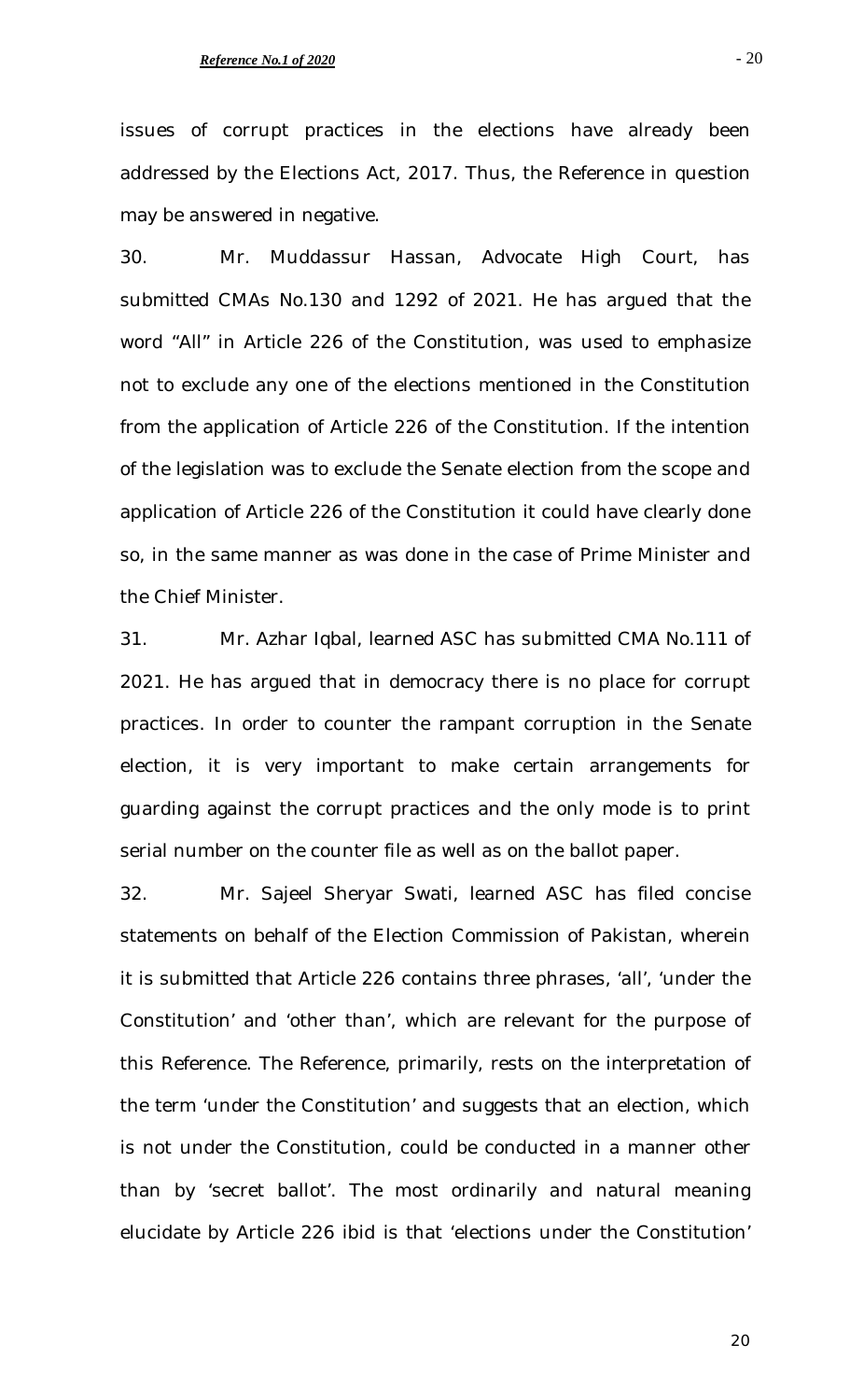- 20

issues of corrupt practices in the elections have already been addressed by the Elections Act, 2017. Thus, the Reference in question may be answered in negative.

30. Mr. Muddassur Hassan, Advocate High Court, has submitted CMAs No.130 and 1292 of 2021. He has argued that the word "All" in Article 226 of the Constitution, was used to emphasize not to exclude any one of the elections mentioned in the Constitution from the application of Article 226 of the Constitution. If the intention of the legislation was to exclude the Senate election from the scope and application of Article 226 of the Constitution it could have clearly done so, in the same manner as was done in the case of Prime Minister and the Chief Minister.

31. Mr. Azhar Iqbal, learned ASC has submitted CMA No.111 of 2021. He has argued that in democracy there is no place for corrupt practices. In order to counter the rampant corruption in the Senate election, it is very important to make certain arrangements for guarding against the corrupt practices and the only mode is to print serial number on the counter file as well as on the ballot paper.

32. Mr. Sajeel Sheryar Swati, learned ASC has filed concise statements on behalf of the Election Commission of Pakistan, wherein it is submitted that Article 226 contains three phrases, 'all', 'under the Constitution' and 'other than', which are relevant for the purpose of this Reference. The Reference, primarily, rests on the interpretation of the term 'under the Constitution' and suggests that an election, which is not under the Constitution, could be conducted in a manner other than by 'secret ballot'. The most ordinarily and natural meaning elucidate by Article 226 ibid is that 'elections under the Constitution'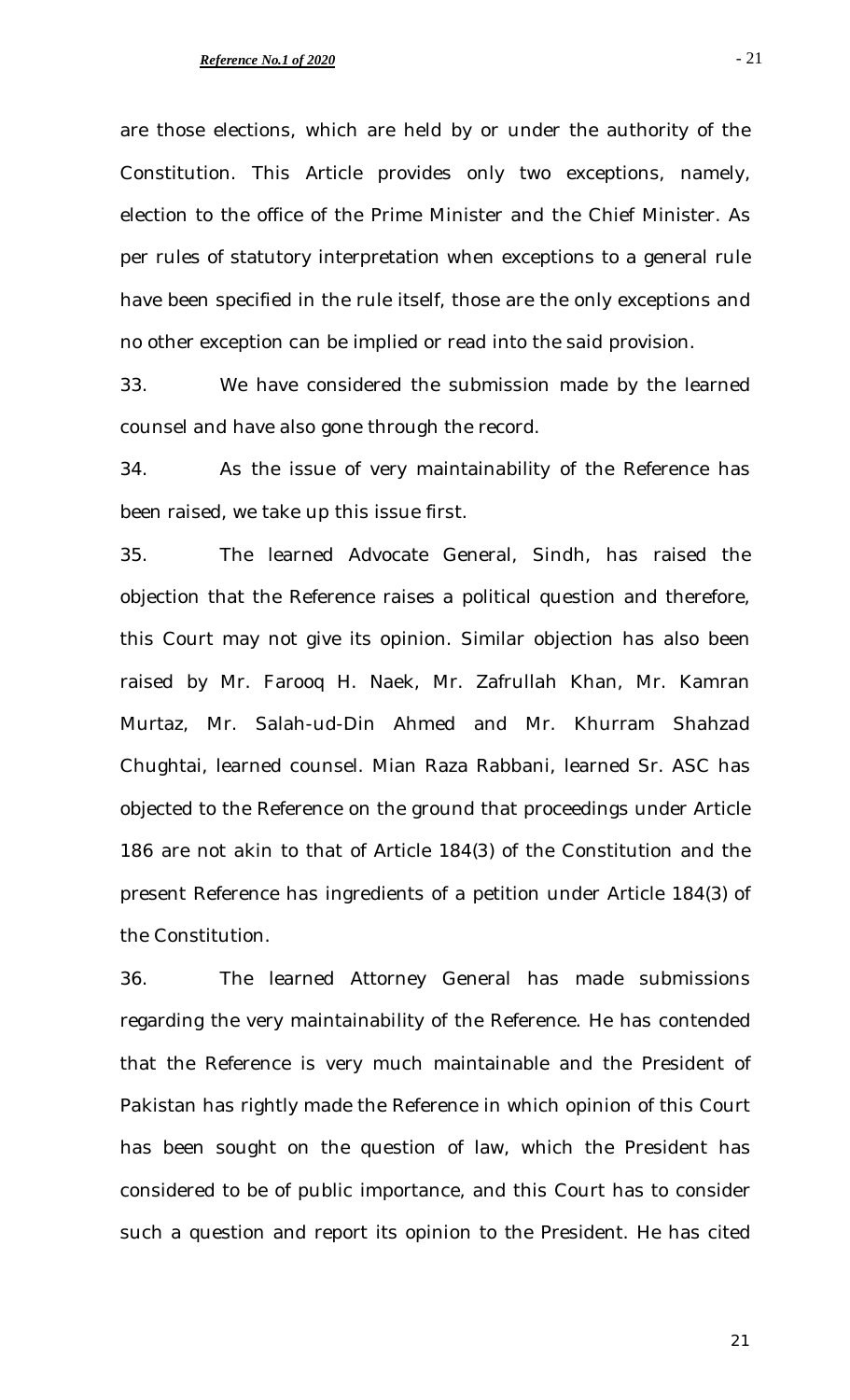are those elections, which are held by or under the authority of the Constitution. This Article provides only two exceptions, namely, election to the office of the Prime Minister and the Chief Minister. As per rules of statutory interpretation when exceptions to a general rule have been specified in the rule itself, those are the only exceptions and no other exception can be implied or read into the said provision.

33. We have considered the submission made by the learned counsel and have also gone through the record.

34. As the issue of very maintainability of the Reference has been raised, we take up this issue first.

35. The learned Advocate General, Sindh, has raised the objection that the Reference raises a political question and therefore, this Court may not give its opinion. Similar objection has also been raised by Mr. Farooq H. Naek, Mr. Zafrullah Khan, Mr. Kamran Murtaz, Mr. Salah-ud-Din Ahmed and Mr. Khurram Shahzad Chughtai, learned counsel. Mian Raza Rabbani, learned Sr. ASC has objected to the Reference on the ground that proceedings under Article 186 are not akin to that of Article 184(3) of the Constitution and the present Reference has ingredients of a petition under Article 184(3) of the Constitution.

36. The learned Attorney General has made submissions regarding the very maintainability of the Reference. He has contended that the Reference is very much maintainable and the President of Pakistan has rightly made the Reference in which opinion of this Court has been sought on the question of law, which the President has considered to be of public importance, and this Court has to consider such a question and report its opinion to the President. He has cited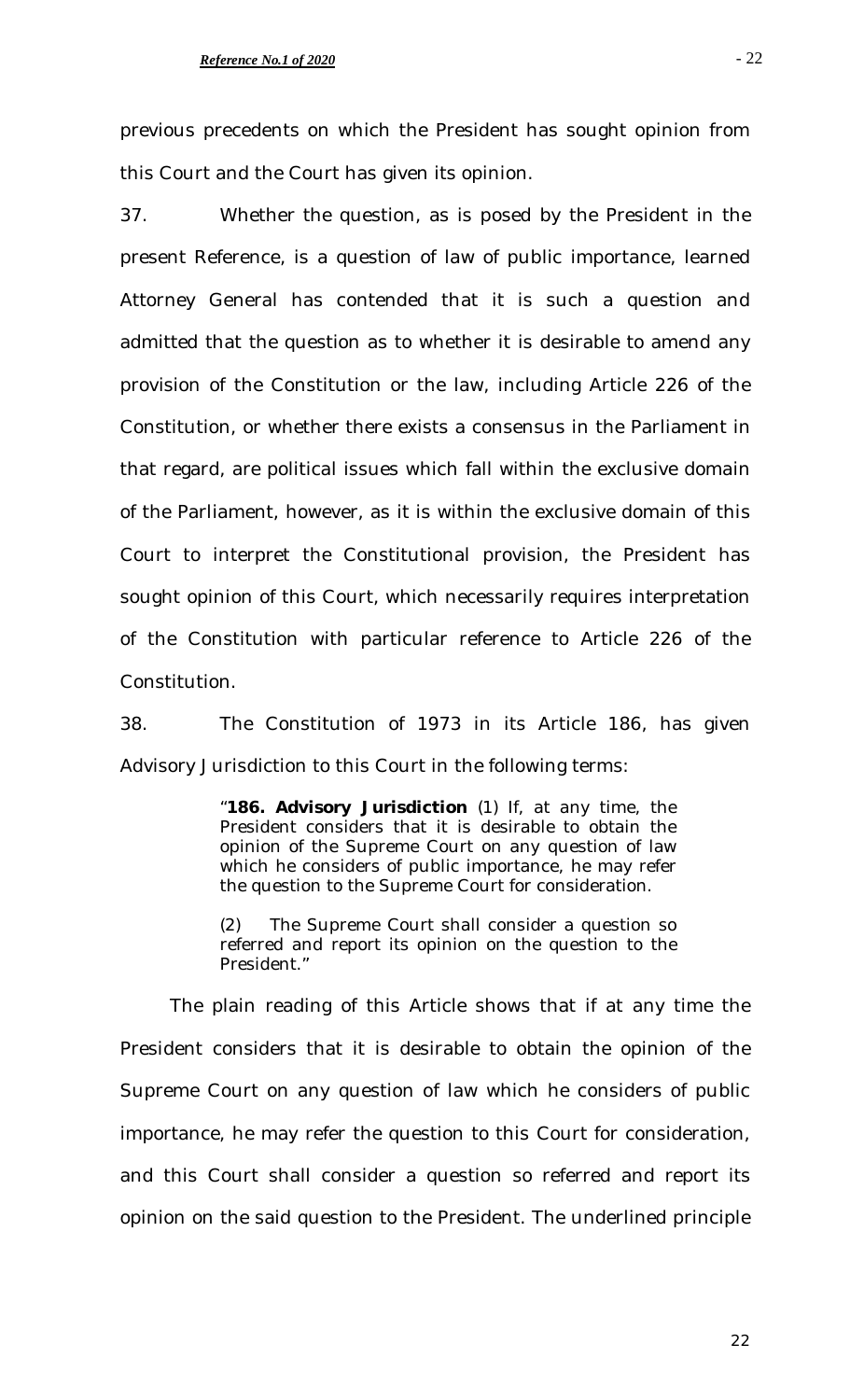previous precedents on which the President has sought opinion from this Court and the Court has given its opinion.

37. Whether the question, as is posed by the President in the present Reference, is a question of law of public importance, learned Attorney General has contended that it is such a question and admitted that the question as to whether it is desirable to amend any provision of the Constitution or the law, including Article 226 of the Constitution, or whether there exists a consensus in the Parliament in that regard, are political issues which fall within the exclusive domain of the Parliament, however, as it is within the exclusive domain of this Court to interpret the Constitutional provision, the President has sought opinion of this Court, which necessarily requires interpretation of the Constitution with particular reference to Article 226 of the Constitution.

38. The Constitution of 1973 in its Article 186, has given Advisory Jurisdiction to this Court in the following terms:

> "**186. Advisory Jurisdiction** (1) If, at any time, the President considers that it is desirable to obtain the opinion of the Supreme Court on any question of law which he considers of public importance, he may refer the question to the Supreme Court for consideration.

> (2) The Supreme Court shall consider a question so referred and report its opinion on the question to the President."

The plain reading of this Article shows that if at any time the President considers that it is desirable to obtain the opinion of the Supreme Court on any question of law which he considers of public importance, he may refer the question to this Court for consideration, and this Court shall consider a question so referred and report its opinion on the said question to the President. The underlined principle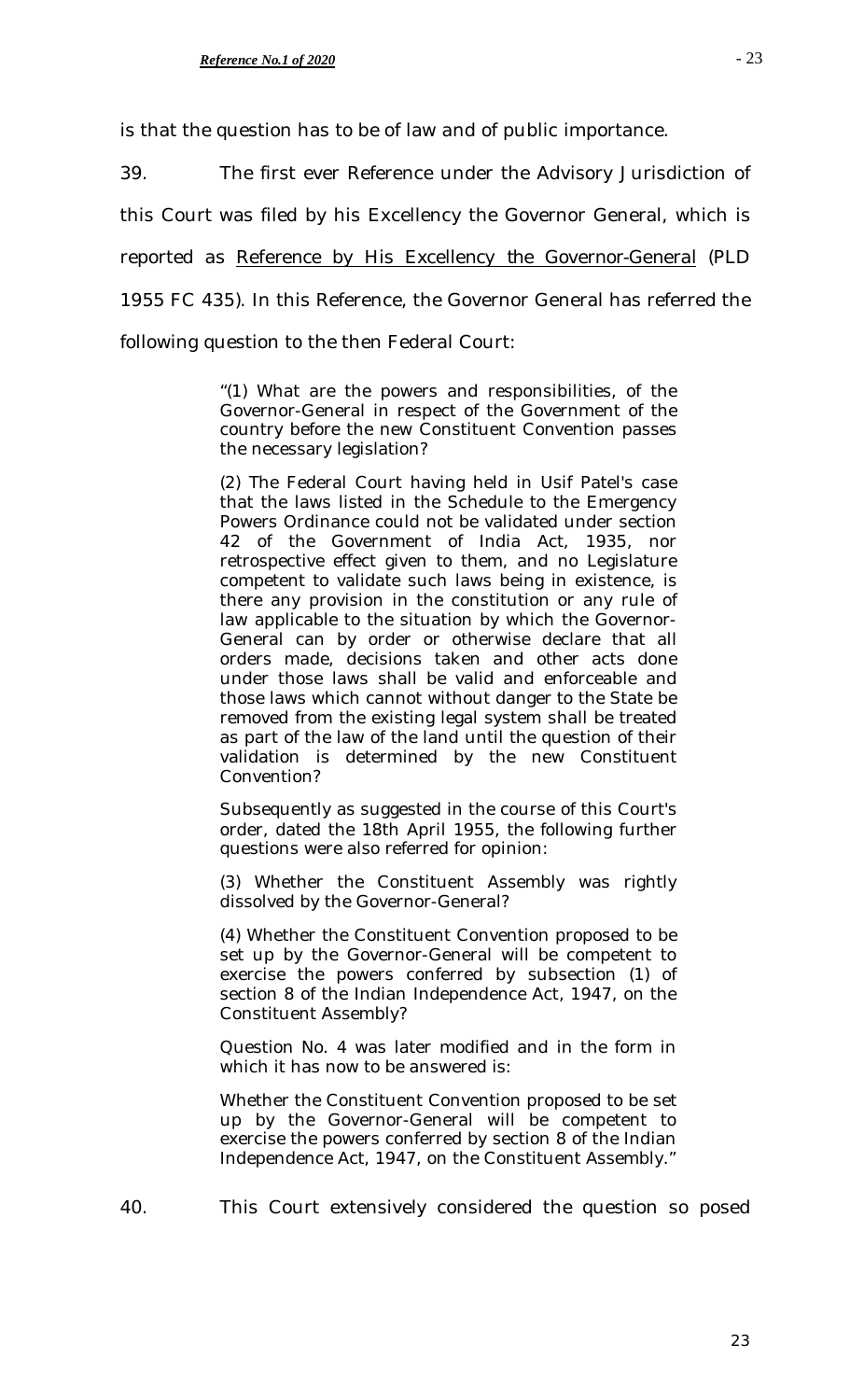is that the question has to be of law and of public importance.

39. The first ever Reference under the Advisory Jurisdiction of

this Court was filed by his Excellency the Governor General, which is

reported as *Reference by His Excellency the Governor-General* (PLD

1955 FC 435). In this Reference, the Governor General has referred the

following question to the then Federal Court:

"(1) What are the powers and responsibilities, of the Governor-General in respect of the Government of the country before the new Constituent Convention passes the necessary legislation?

(2) The Federal Court having held in Usif Patel's case that the laws listed in the Schedule to the Emergency Powers Ordinance could not be validated under section 42 of the Government of India Act, 1935, nor retrospective effect given to them, and no Legislature competent to validate such laws being in existence, is there any provision in the constitution or any rule of law applicable to the situation by which the Governor-General can by order or otherwise declare that all orders made, decisions taken and other acts done under those laws shall be valid and enforceable and those laws which cannot without danger to the State be removed from the existing legal system shall be treated as part of the law of the land until the question of their validation is determined by the new Constituent Convention?

Subsequently as suggested in the course of this Court's order, dated the 18th April 1955, the following further questions were also referred for opinion:

(3) Whether the Constituent Assembly was rightly dissolved by the Governor-General?

(4) Whether the Constituent Convention proposed to be set up by the Governor-General will be competent to exercise the powers conferred by subsection (1) of section 8 of the Indian Independence Act, 1947, on the Constituent Assembly?

Question No. 4 was later modified and in the form in which it has now to be answered is:

Whether the Constituent Convention proposed to be set up by the Governor-General will be competent to exercise the powers conferred by section 8 of the Indian Independence Act, 1947, on the Constituent Assembly."

40. This Court extensively considered the question so posed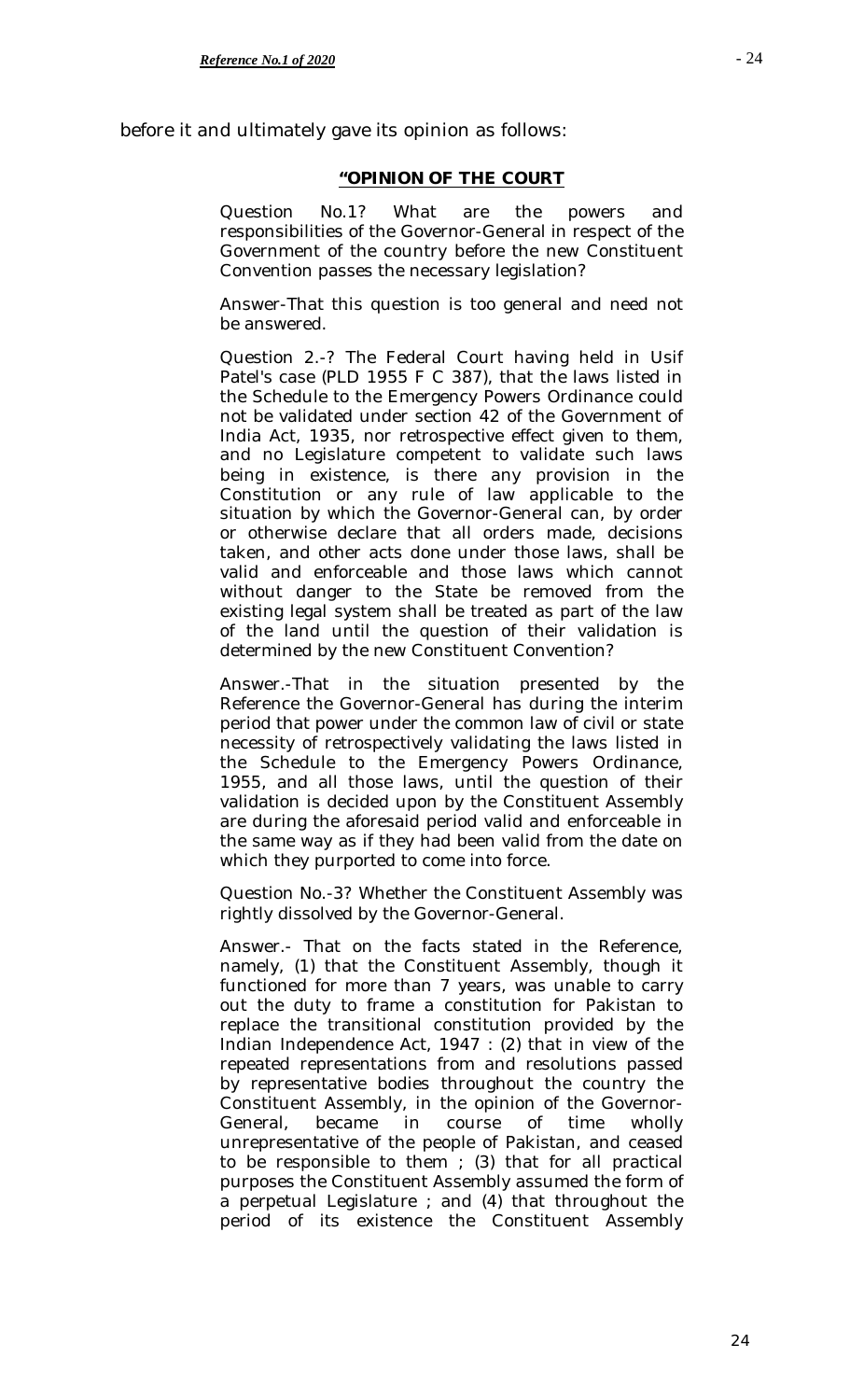before it and ultimately gave its opinion as follows:

### **"OPINION OF THE COURT**

Question No.1? What are the powers and responsibilities of the Governor-General in respect of the Government of the country before the new Constituent Convention passes the necessary legislation?

Answer-That this question is too general and need not be answered.

Question 2.-? The Federal Court having held in Usif Patel's case (PLD 1955 F C 387), that the laws listed in the Schedule to the Emergency Powers Ordinance could not be validated under section 42 of the Government of India Act, 1935, nor retrospective effect given to them, and no Legislature competent to validate such laws being in existence, is there any provision in the Constitution or any rule of law applicable to the situation by which the Governor-General can, by order or otherwise declare that all orders made, decisions taken, and other acts done under those laws, shall be valid and enforceable and those laws which cannot without danger to the State be removed from the existing legal system shall be treated as part of the law of the land until the question of their validation is determined by the new Constituent Convention?

Answer.-That in the situation presented by the Reference the Governor-General has during the interim period that power under the common law of civil or state necessity of retrospectively validating the laws listed in the Schedule to the Emergency Powers Ordinance, 1955, and all those laws, until the question of their validation is decided upon by the Constituent Assembly are during the aforesaid period valid and enforceable in the same way as if they had been valid from the date on which they purported to come into force.

Question No.-3? Whether the Constituent Assembly was rightly dissolved by the Governor-General.

Answer.- That on the facts stated in the Reference, namely, (1) that the Constituent Assembly, though it functioned for more than 7 years, was unable to carry out the duty to frame a constitution for Pakistan to replace the transitional constitution provided by the Indian Independence Act, 1947 : (2) that in view of the repeated representations from and resolutions passed by representative bodies throughout the country the Constituent Assembly, in the opinion of the Governor-General, became in course of time wholly unrepresentative of the people of Pakistan, and ceased to be responsible to them  $(3)$  that for all practical purposes the Constituent Assembly assumed the form of a perpetual Legislature ; and (4) that throughout the period of its existence the Constituent Assembly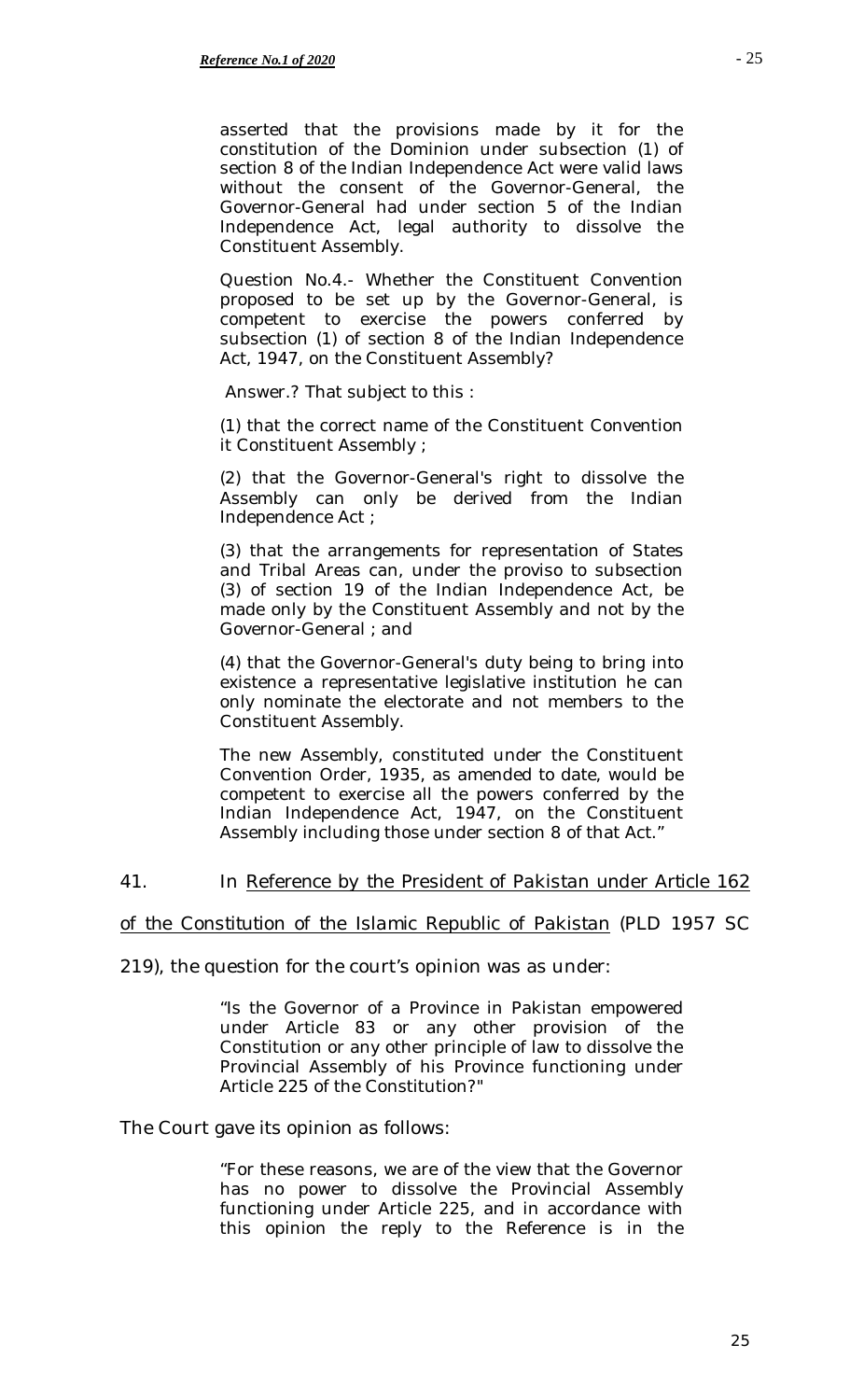asserted that the provisions made by it for the constitution of the Dominion under subsection (1) of section 8 of the Indian Independence Act were valid laws without the consent of the Governor-General, the Governor-General had under section 5 of the Indian Independence Act, legal authority to dissolve the Constituent Assembly.

Question No.4.- Whether the Constituent Convention proposed to be set up by the Governor-General, is competent to exercise the powers conferred by subsection (1) of section 8 of the Indian Independence Act, 1947, on the Constituent Assembly?

Answer.? That subject to this :

(1) that the correct name of the Constituent Convention it Constituent Assembly ;

(2) that the Governor-General's right to dissolve the Assembly can only be derived from the Indian Independence Act ;

(3) that the arrangements for representation of States and Tribal Areas can, under the proviso to subsection (3) of section 19 of the Indian Independence Act, be made only by the Constituent Assembly and not by the Governor-General ; and

(4) that the Governor-General's duty being to bring into existence a representative legislative institution he can only nominate the electorate and not members to the Constituent Assembly.

The new Assembly, constituted under the Constituent Convention Order, 1935, as amended to date, would be competent to exercise all the powers conferred by the Indian Independence Act, 1947, on the Constituent Assembly including those under section 8 of that Act."

# 41. In *Reference by the President of Pakistan under Article 162*

### *of the Constitution of the Islamic Republic of Pakistan* (PLD 1957 SC

219), the question for the court's opinion was as under:

"Is the Governor of a Province in Pakistan empowered under Article 83 or any other provision of the Constitution or any other principle of law to dissolve the Provincial Assembly of his Province functioning under Article 225 of the Constitution?"

The Court gave its opinion as follows:

"For these reasons, we are of the view that the Governor has no power to dissolve the Provincial Assembly functioning under Article 225, and in accordance with this opinion the reply to the Reference is in the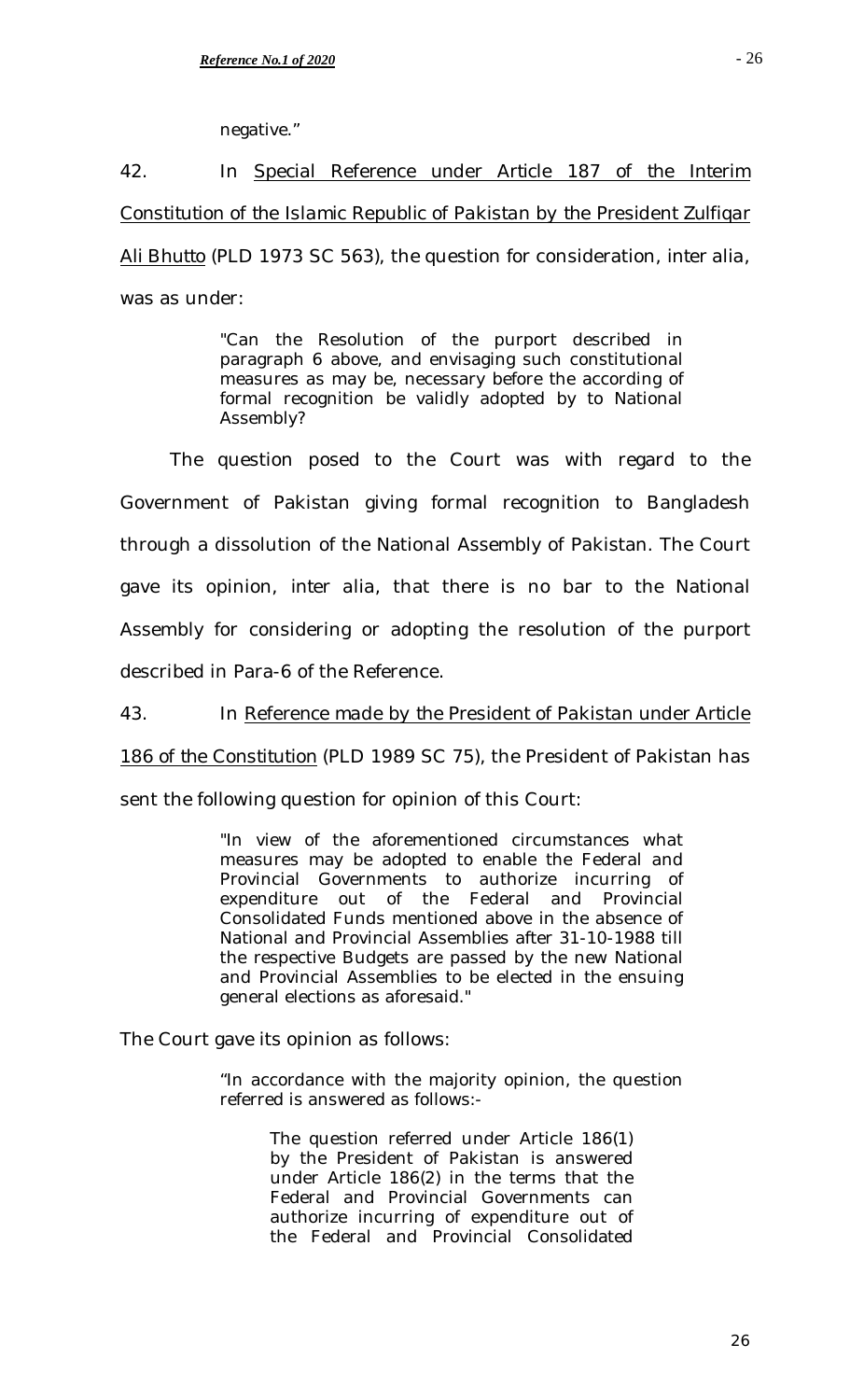negative."

42. In *Special Reference under Article 187 of the Interim Constitution of the Islamic Republic of Pakistan by the President Zulfiqar Ali Bhutto* (PLD 1973 SC 563), the question for consideration, *inter alia*, was as under:

> "Can the Resolution of the purport described in paragraph 6 above, and envisaging such constitutional measures as may be, necessary before the according of formal recognition be validly adopted by to National Assembly?

The question posed to the Court was with regard to the Government of Pakistan giving formal recognition to Bangladesh through a dissolution of the National Assembly of Pakistan. The Court gave its opinion, *inter alia*, that there is no bar to the National Assembly for considering or adopting the resolution of the purport described in Para-6 of the Reference.

43. In *Reference made by the President of Pakistan under Article* 

*186 of the Constitution* (PLD 1989 SC 75), the President of Pakistan has

sent the following question for opinion of this Court:

"In view of the aforementioned circumstances what measures may be adopted to enable the Federal and Provincial Governments to authorize incurring of expenditure out of the Federal and Provincial Consolidated Funds mentioned above in the absence of National and Provincial Assemblies after 31-10-1988 till the respective Budgets are passed by the new National and Provincial Assemblies to be elected in the ensuing general elections as aforesaid."

The Court gave its opinion as follows:

"In accordance with the majority opinion, the question referred is answered as follows:-

> The question referred under Article 186(1) by the President of Pakistan is answered under Article 186(2) in the terms that the Federal and Provincial Governments can authorize incurring of expenditure out of the Federal and Provincial Consolidated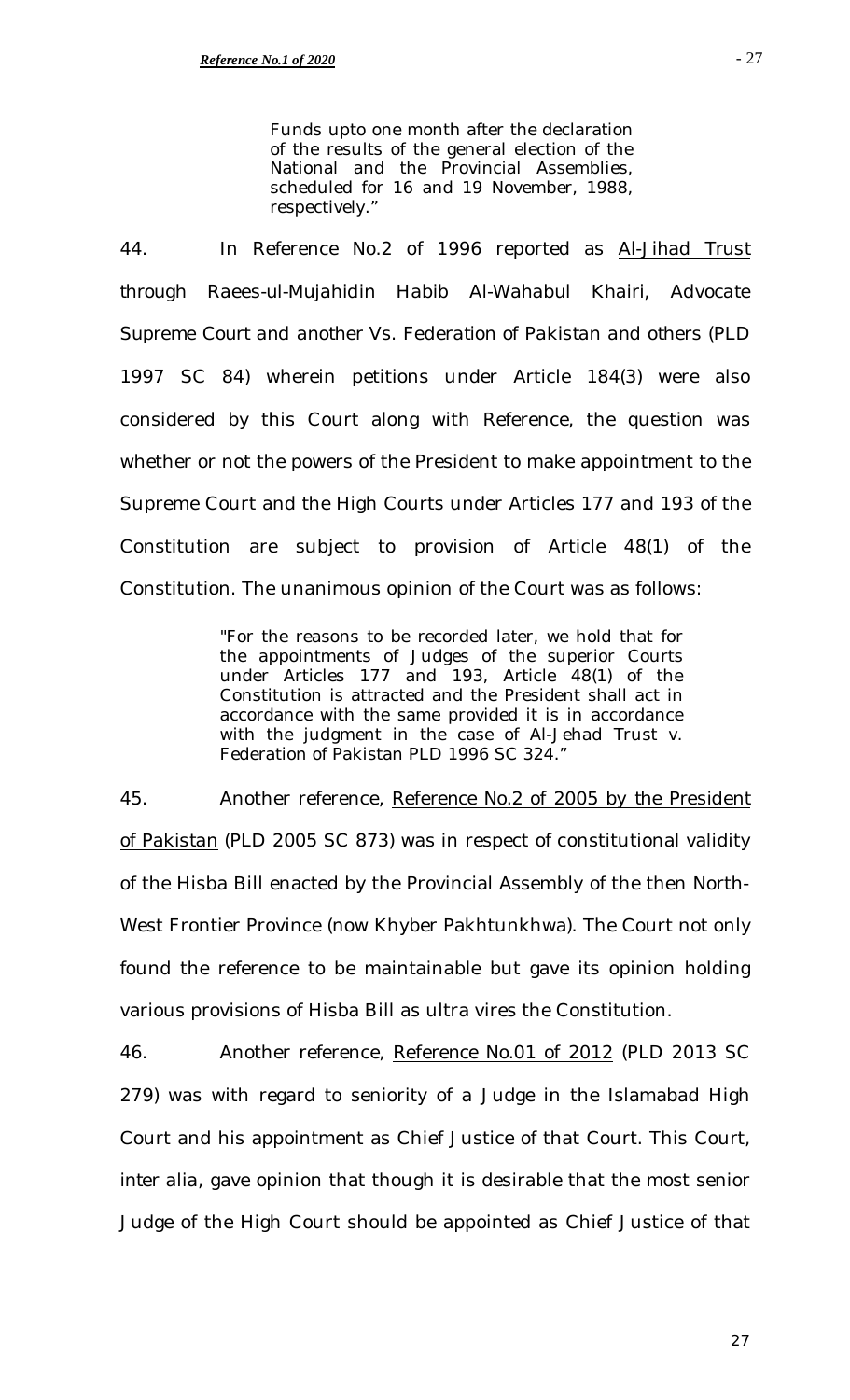Funds upto one month after the declaration of the results of the general election of the National and the Provincial Assemblies, scheduled for 16 and 19 November, 1988, respectively."

44. In Reference No.2 of 1996 reported as *Al-Jihad Trust through Raees-ul-Mujahidin Habib Al-Wahabul Khairi, Advocate Supreme Court and another Vs. Federation of Pakistan and others* (PLD 1997 SC 84) wherein petitions under Article 184(3) were also considered by this Court along with Reference, the question was whether or not the powers of the President to make appointment to the Supreme Court and the High Courts under Articles 177 and 193 of the Constitution are subject to provision of Article 48(1) of the Constitution. The unanimous opinion of the Court was as follows:

> "For the reasons to be recorded later, we hold that for the appointments of Judges of the superior Courts under Articles 177 and 193, Article 48(1) of the Constitution is attracted and the President shall act in accordance with the same provided it is in accordance with the judgment in the case of Al-Jehad Trust v. Federation of Pakistan PLD 1996 SC 324."

45. Another reference, *Reference No.2 of 2005 by the President of Pakistan* (PLD 2005 SC 873) was in respect of constitutional validity of the Hisba Bill enacted by the Provincial Assembly of the then North-West Frontier Province (now Khyber Pakhtunkhwa). The Court not only found the reference to be maintainable but gave its opinion holding various provisions of Hisba Bill as ultra vires the Constitution.

46. Another reference, *Reference No.01 of 2012* (PLD 2013 SC 279) was with regard to seniority of a Judge in the Islamabad High Court and his appointment as Chief Justice of that Court. This Court, *inter alia*, gave opinion that though it is desirable that the most senior Judge of the High Court should be appointed as Chief Justice of that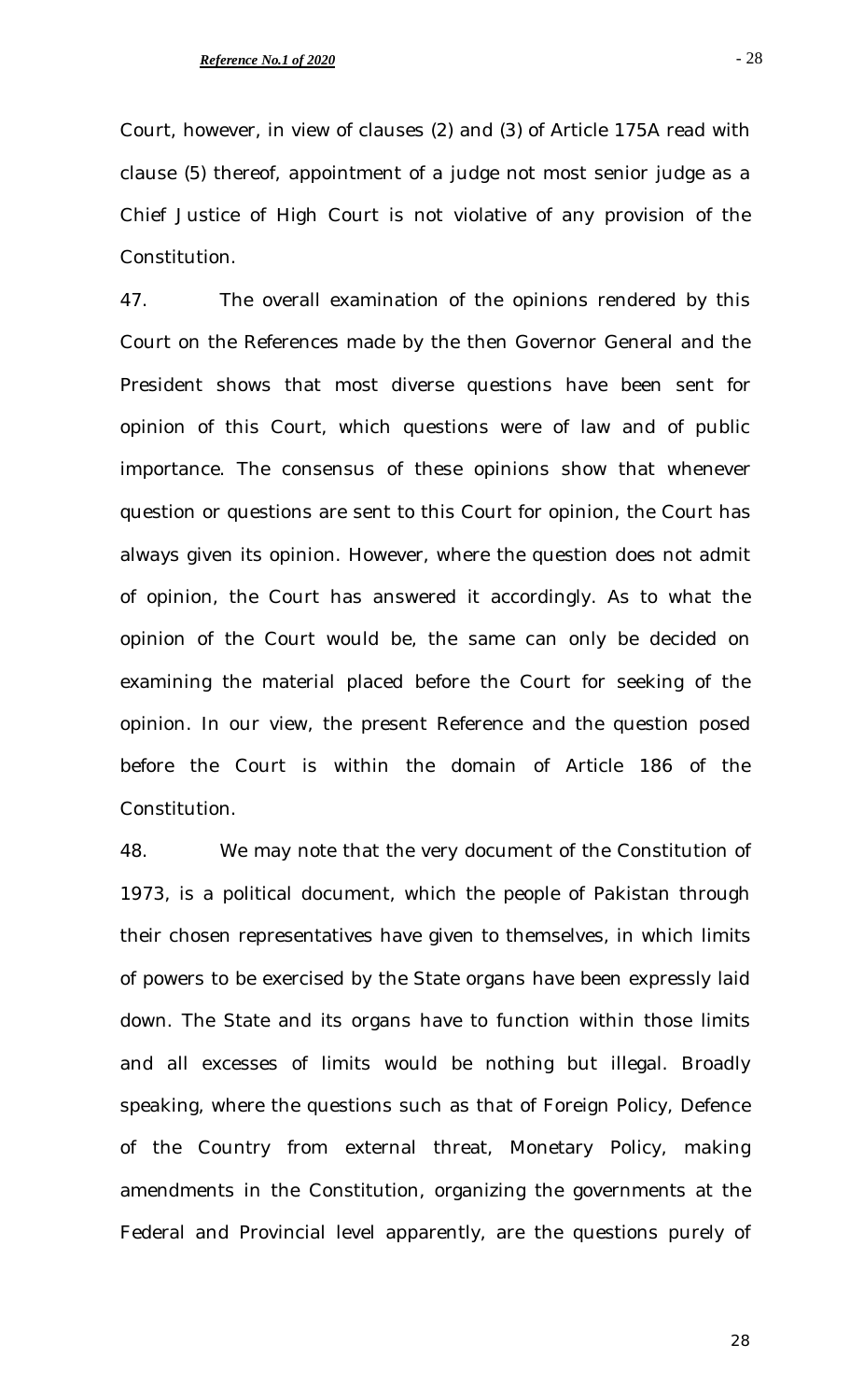Court, however, in view of clauses (2) and (3) of Article 175A read with clause (5) thereof, appointment of a judge not most senior judge as a Chief Justice of High Court is not violative of any provision of the Constitution.

47. The overall examination of the opinions rendered by this Court on the References made by the then Governor General and the President shows that most diverse questions have been sent for opinion of this Court, which questions were of law and of public importance. The consensus of these opinions show that whenever question or questions are sent to this Court for opinion, the Court has always given its opinion. However, where the question does not admit of opinion, the Court has answered it accordingly. As to what the opinion of the Court would be, the same can only be decided on examining the material placed before the Court for seeking of the opinion. In our view, the present Reference and the question posed before the Court is within the domain of Article 186 of the Constitution.

48. We may note that the very document of the Constitution of 1973, is a political document, which the people of Pakistan through their chosen representatives have given to themselves, in which limits of powers to be exercised by the State organs have been expressly laid down. The State and its organs have to function within those limits and all excesses of limits would be nothing but illegal. Broadly speaking, where the questions such as that of Foreign Policy, Defence of the Country from external threat, Monetary Policy, making amendments in the Constitution, organizing the governments at the Federal and Provincial level apparently, are the questions purely of

- 28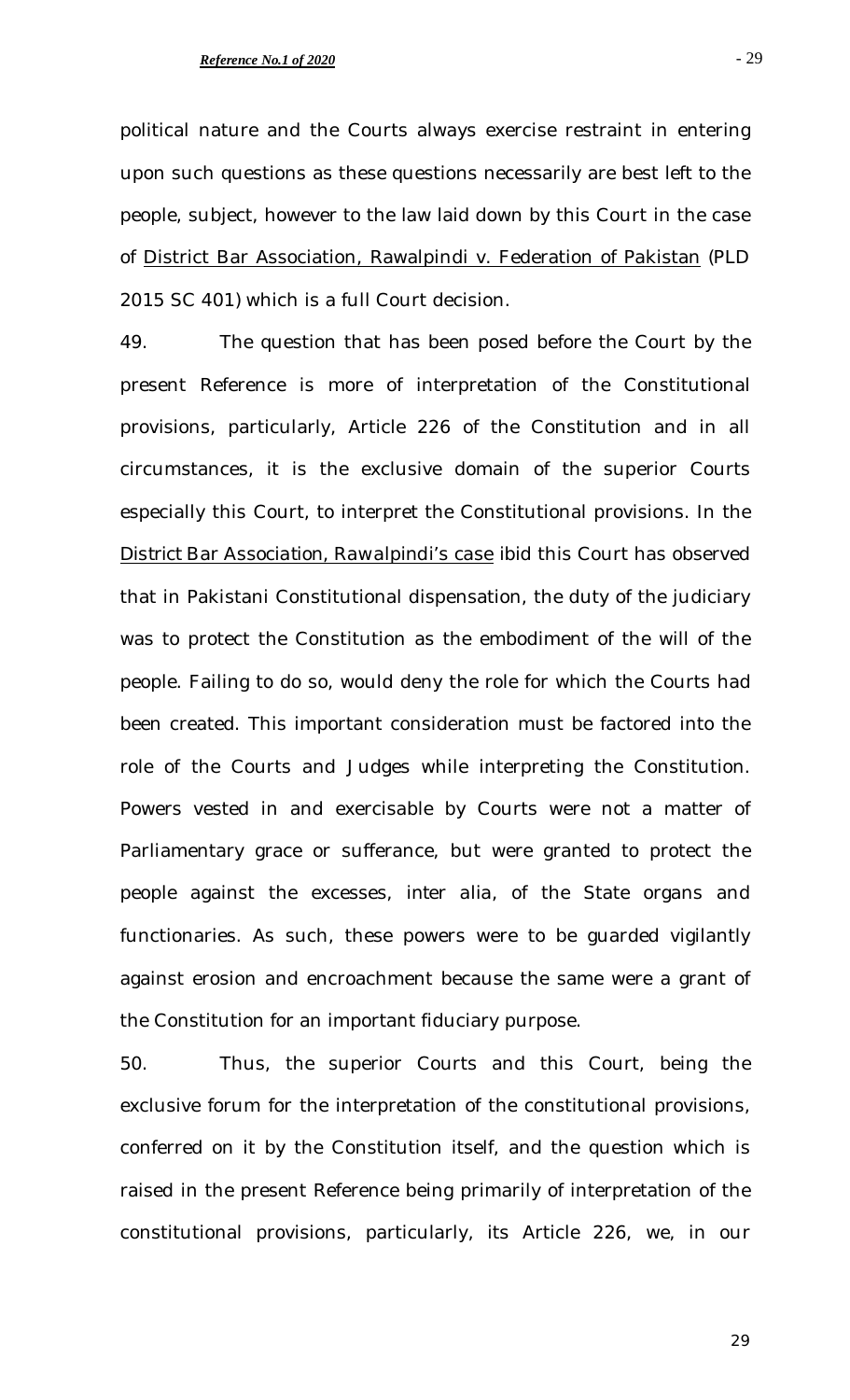political nature and the Courts always exercise restraint in entering upon such questions as these questions necessarily are best left to the people, subject, however to the law laid down by this Court in the case of District Bar Association, Rawalpindi v. Federation of Pakistan (PLD 2015 SC 401) which is a full Court decision.

49. The question that has been posed before the Court by the present Reference is more of interpretation of the Constitutional provisions, particularly, Article 226 of the Constitution and in all circumstances, it is the exclusive domain of the superior Courts especially this Court, to interpret the Constitutional provisions. In the *District Bar Association, Rawalpindi's case ibid* this Court has observed that in Pakistani Constitutional dispensation, the duty of the judiciary was to protect the Constitution as the embodiment of the will of the people. Failing to do so, would deny the role for which the Courts had been created. This important consideration must be factored into the role of the Courts and Judges while interpreting the Constitution. Powers vested in and exercisable by Courts were not a matter of Parliamentary grace or sufferance, but were granted to protect the people against the excesses, *inter alia*, of the State organs and functionaries. As such, these powers were to be guarded vigilantly against erosion and encroachment because the same were a grant of the Constitution for an important fiduciary purpose.

50. Thus, the superior Courts and this Court, being the exclusive forum for the interpretation of the constitutional provisions, conferred on it by the Constitution itself, and the question which is raised in the present Reference being primarily of interpretation of the constitutional provisions, particularly, its Article 226, we, in our

- 29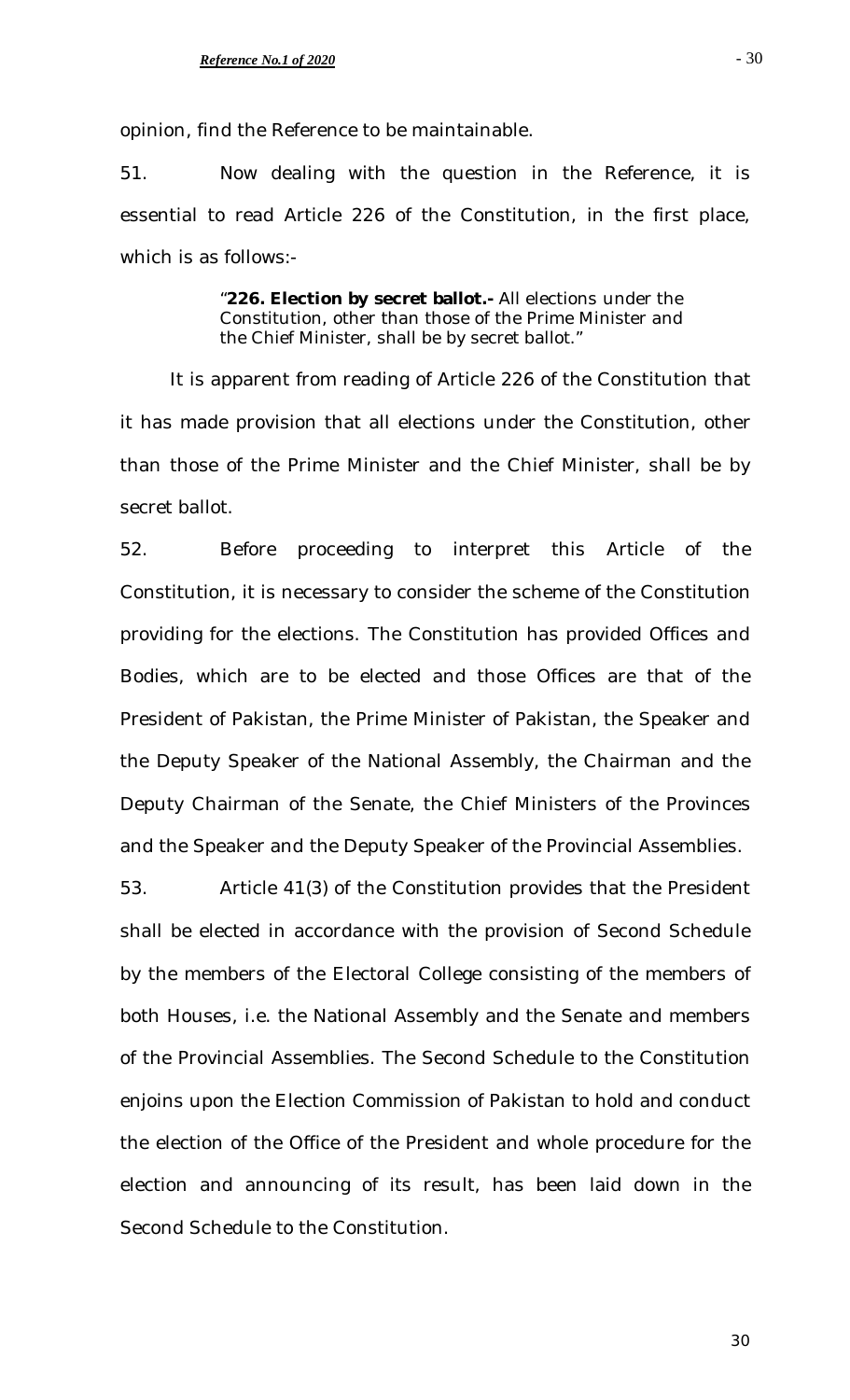opinion, find the Reference to be maintainable.

51. Now dealing with the question in the Reference, it is essential to read Article 226 of the Constitution, in the first place, which is as follows:-

> "**226. Election by secret ballot.-** All elections under the Constitution, other than those of the Prime Minister and the Chief Minister, shall be by secret ballot."

It is apparent from reading of Article 226 of the Constitution that it has made provision that all elections under the Constitution, other than those of the Prime Minister and the Chief Minister, shall be by secret ballot.

52. Before proceeding to interpret this Article of the Constitution, it is necessary to consider the scheme of the Constitution providing for the elections. The Constitution has provided Offices and Bodies, which are to be elected and those Offices are that of the President of Pakistan, the Prime Minister of Pakistan, the Speaker and the Deputy Speaker of the National Assembly, the Chairman and the Deputy Chairman of the Senate, the Chief Ministers of the Provinces and the Speaker and the Deputy Speaker of the Provincial Assemblies.

53. Article 41(3) of the Constitution provides that the President shall be elected in accordance with the provision of Second Schedule by the members of the Electoral College consisting of the members of both Houses, i.e. the National Assembly and the Senate and members of the Provincial Assemblies. The Second Schedule to the Constitution enjoins upon the Election Commission of Pakistan to hold and conduct the election of the Office of the President and whole procedure for the election and announcing of its result, has been laid down in the Second Schedule to the Constitution.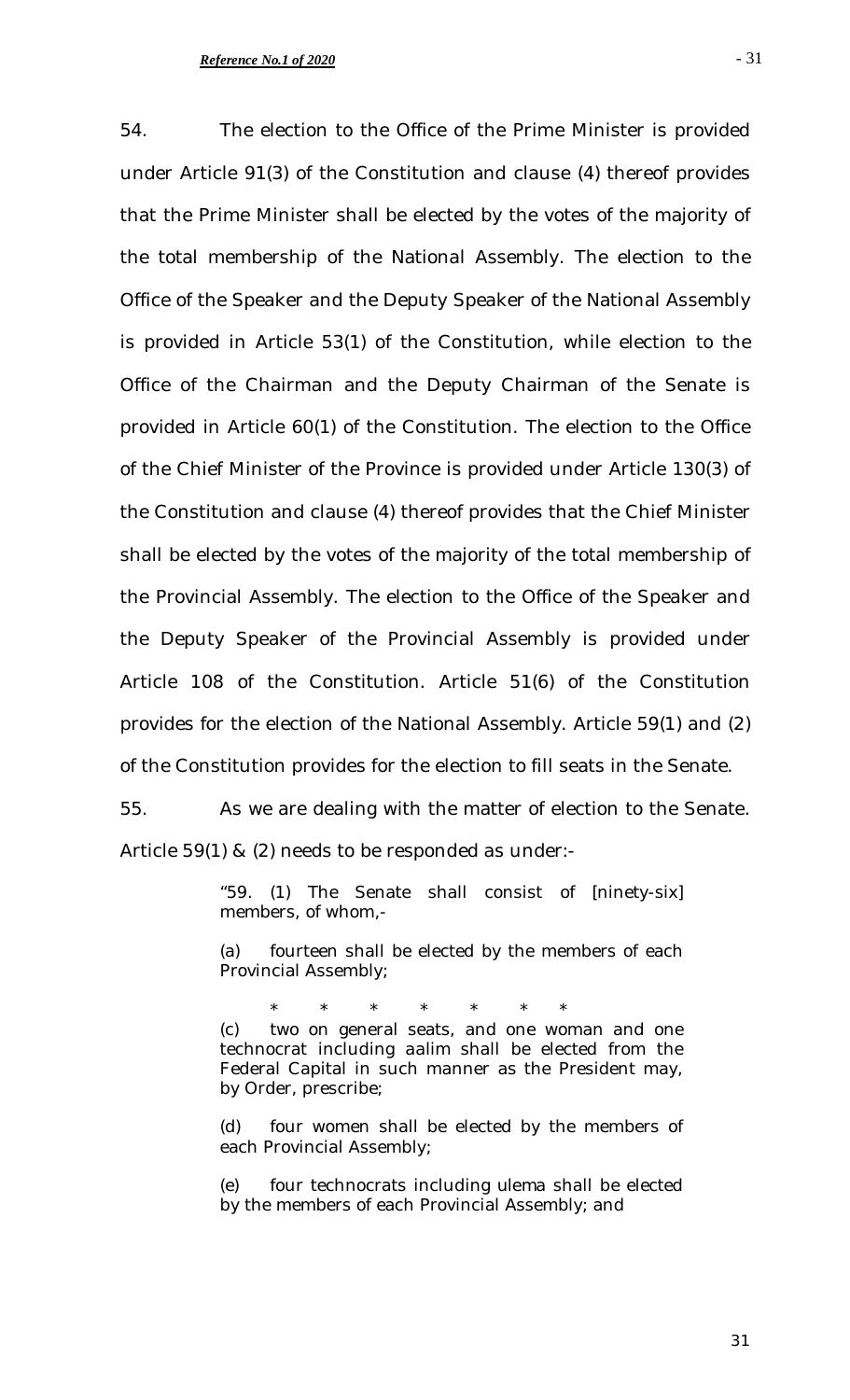54. The election to the Office of the Prime Minister is provided under Article 91(3) of the Constitution and clause (4) thereof provides that the Prime Minister shall be elected by the votes of the majority of the total membership of the National Assembly. The election to the Office of the Speaker and the Deputy Speaker of the National Assembly is provided in Article 53(1) of the Constitution, while election to the Office of the Chairman and the Deputy Chairman of the Senate is provided in Article 60(1) of the Constitution. The election to the Office of the Chief Minister of the Province is provided under Article 130(3) of the Constitution and clause (4) thereof provides that the Chief Minister shall be elected by the votes of the majority of the total membership of the Provincial Assembly. The election to the Office of the Speaker and the Deputy Speaker of the Provincial Assembly is provided under Article 108 of the Constitution. Article 51(6) of the Constitution provides for the election of the National Assembly. Article 59(1) and (2) of the Constitution provides for the election to fill seats in the Senate.

55. As we are dealing with the matter of election to the Senate. Article 59(1) & (2) needs to be responded as under:-

> "59. (1) The Senate shall consist of [ninety-six] members, of whom,-

> (a) fourteen shall be elected by the members of each Provincial Assembly;

> \* \* \* \* \* \* \* (c) two on general seats, and one woman and one technocrat including *aalim* shall be elected from the Federal Capital in such manner as the President may, by Order, prescribe;

> (d) four women shall be elected by the members of each Provincial Assembly;

> (e) four technocrats including *ulema* shall be elected by the members of each Provincial Assembly; and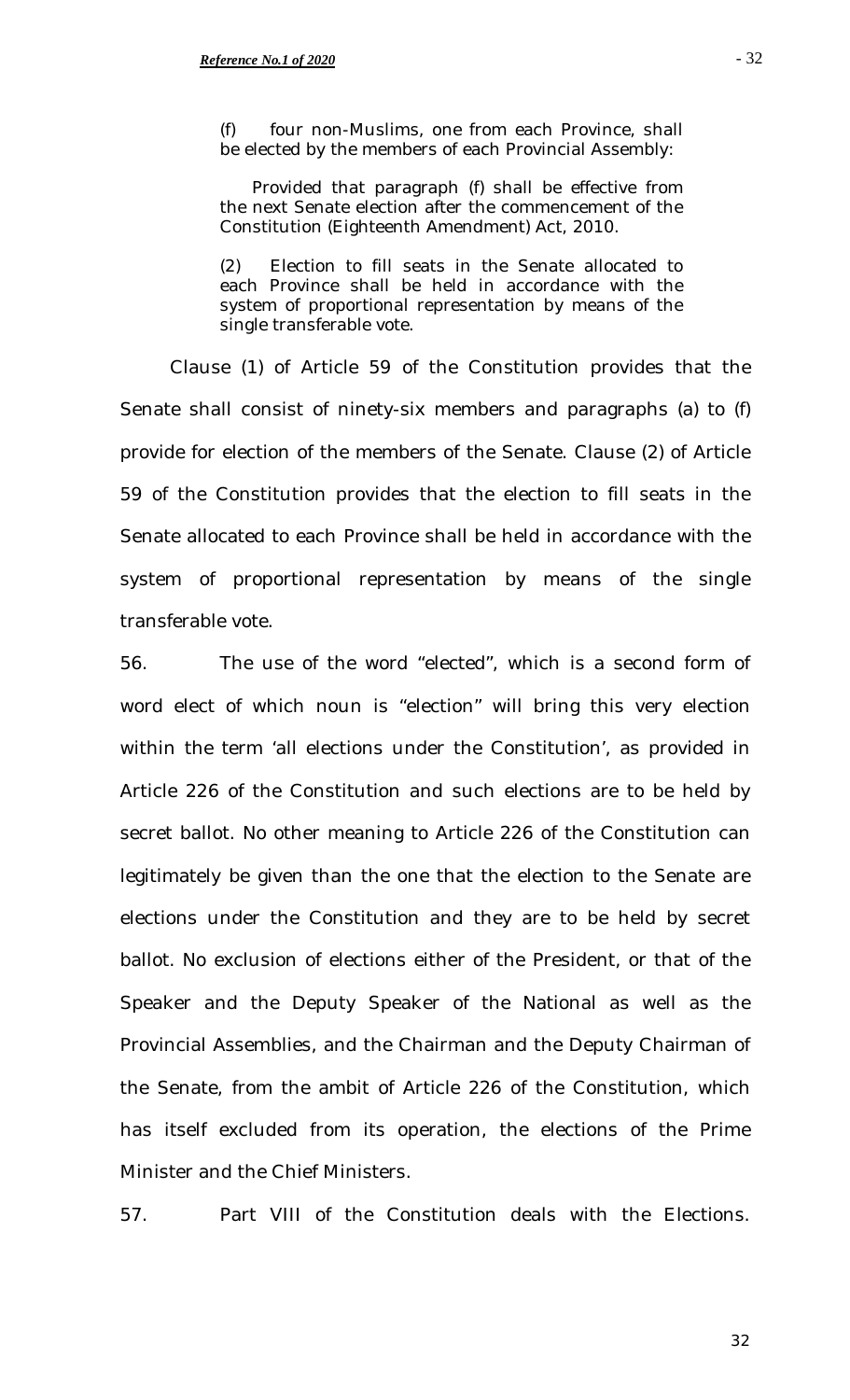(f) four non-Muslims, one from each Province, shall be elected by the members of each Provincial Assembly:

 Provided that paragraph (f) shall be effective from the next Senate election after the commencement of the Constitution (Eighteenth Amendment) Act, 2010.

(2) Election to fill seats in the Senate allocated to each Province shall be held in accordance with the system of proportional representation by means of the single transferable vote.

Clause (1) of Article 59 of the Constitution provides that the Senate shall consist of ninety-six members and paragraphs (a) to (f) provide for election of the members of the Senate. Clause (2) of Article 59 of the Constitution provides that the election to fill seats in the Senate allocated to each Province shall be held in accordance with the system of proportional representation by means of the single transferable vote.

56. The use of the word "elected", which is a second form of word elect of which noun is "election" will bring this very election within the term 'all elections under the Constitution', as provided in Article 226 of the Constitution and such elections are to be held by secret ballot. No other meaning to Article 226 of the Constitution can legitimately be given than the one that the election to the Senate are elections under the Constitution and they are to be held by secret ballot. No exclusion of elections either of the President, or that of the Speaker and the Deputy Speaker of the National as well as the Provincial Assemblies, and the Chairman and the Deputy Chairman of the Senate, from the ambit of Article 226 of the Constitution, which has itself excluded from its operation, the elections of the Prime Minister and the Chief Ministers.

57. Part VIII of the Constitution deals with the Elections.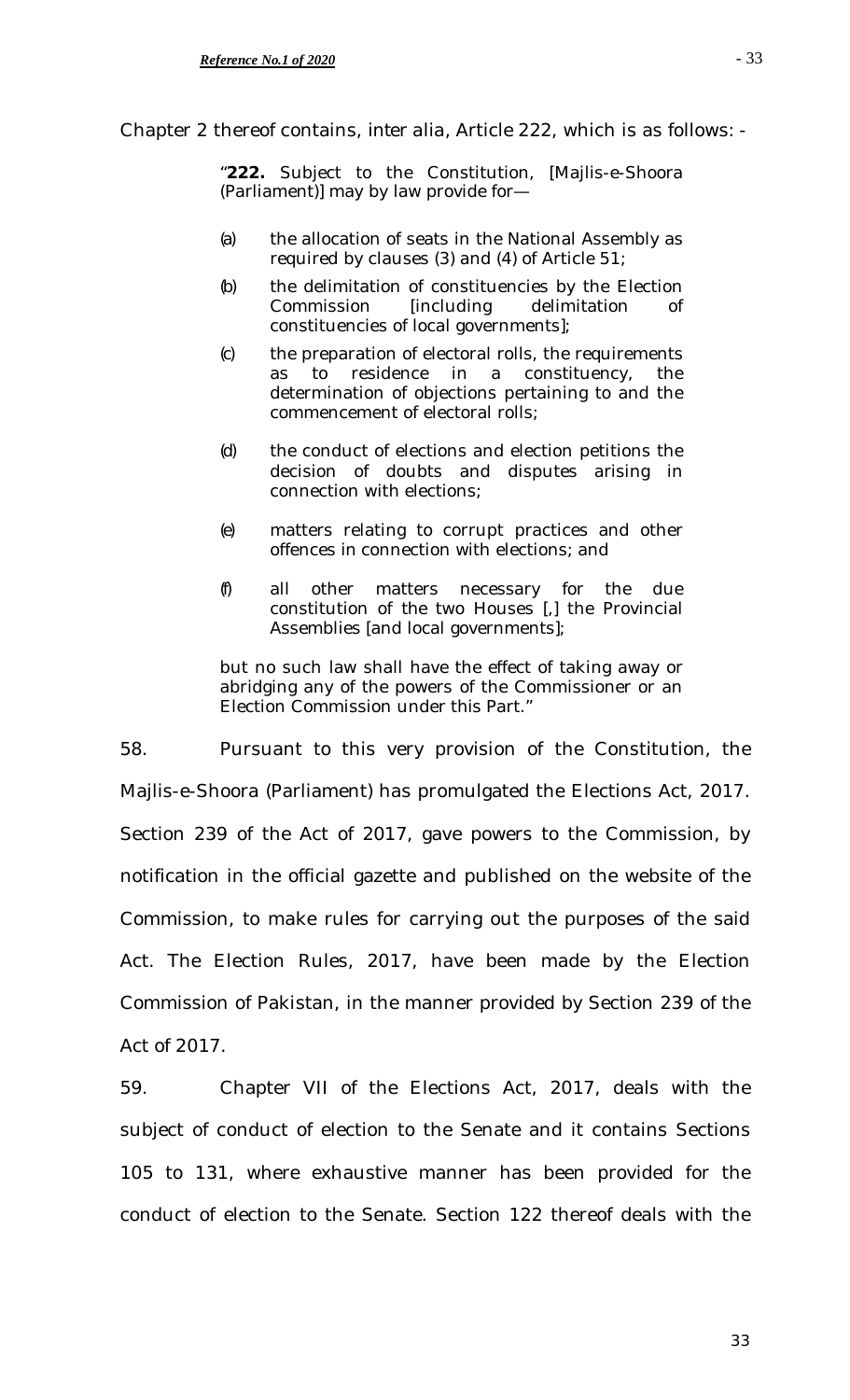Chapter 2 thereof contains, *inter alia,* Article 222, which is as follows: -

"**222.** Subject to the Constitution, [Majlis-e-Shoora (Parliament)] may by law provide for—

- (a) the allocation of seats in the National Assembly as required by clauses (3) and (4) of Article 51;
- (b) the delimitation of constituencies by the Election Commission [including delimitation of constituencies of local governments];
- (c) the preparation of electoral rolls, the requirements as to residence in a constituency, the determination of objections pertaining to and the commencement of electoral rolls;
- (d) the conduct of elections and election petitions the decision of doubts and disputes arising in connection with elections;
- (e) matters relating to corrupt practices and other offences in connection with elections; and
- (f) all other matters necessary for the due constitution of the two Houses [,] the Provincial Assemblies [and local governments];

but no such law shall have the effect of taking away or abridging any of the powers of the Commissioner or an Election Commission under this Part."

58. Pursuant to this very provision of the Constitution, the Majlis-e-Shoora (Parliament) has promulgated the Elections Act, 2017. Section 239 of the Act of 2017, gave powers to the Commission, by notification in the official gazette and published on the website of the Commission, to make rules for carrying out the purposes of the said Act. The Election Rules, 2017, have been made by the Election Commission of Pakistan, in the manner provided by Section 239 of the Act of 2017.

59. Chapter VII of the Elections Act, 2017, deals with the subject of conduct of election to the Senate and it contains Sections 105 to 131, where exhaustive manner has been provided for the conduct of election to the Senate. Section 122 thereof deals with the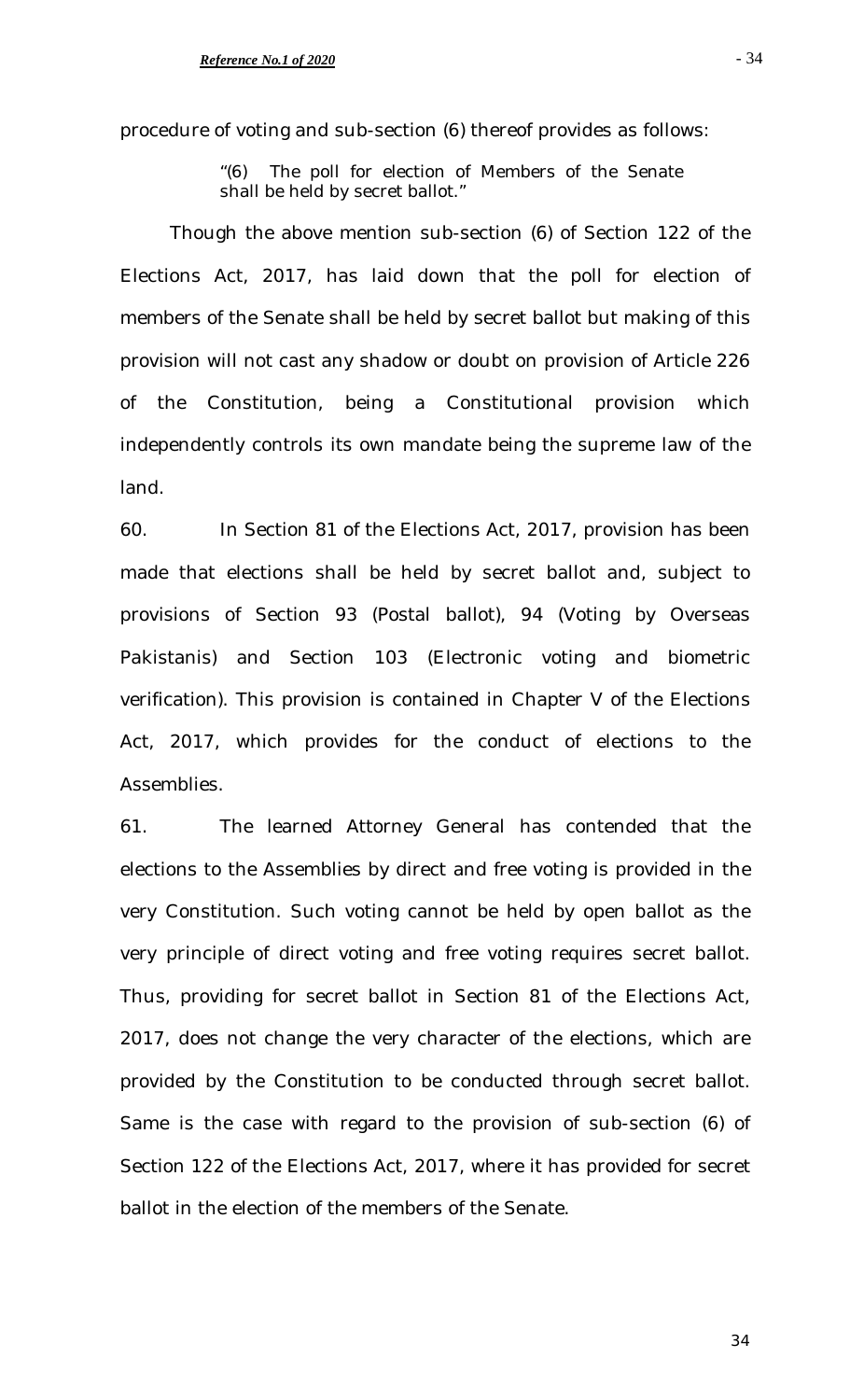procedure of voting and sub-section (6) thereof provides as follows:

"(6) The poll for election of Members of the Senate shall be held by secret ballot."

Though the above mention sub-section (6) of Section 122 of the Elections Act, 2017, has laid down that the poll for election of members of the Senate shall be held by secret ballot but making of this provision will not cast any shadow or doubt on provision of Article 226 of the Constitution, being a Constitutional provision which independently controls its own mandate being the supreme law of the land.

60. In Section 81 of the Elections Act, 2017, provision has been made that elections shall be held by secret ballot and, subject to provisions of Section 93 (Postal ballot), 94 (Voting by Overseas Pakistanis) and Section 103 (Electronic voting and biometric verification). This provision is contained in Chapter V of the Elections Act, 2017, which provides for the conduct of elections to the Assemblies.

61. The learned Attorney General has contended that the elections to the Assemblies by direct and free voting is provided in the very Constitution. Such voting cannot be held by open ballot as the very principle of direct voting and free voting requires secret ballot. Thus, providing for secret ballot in Section 81 of the Elections Act, 2017, does not change the very character of the elections, which are provided by the Constitution to be conducted through secret ballot. Same is the case with regard to the provision of sub-section (6) of Section 122 of the Elections Act, 2017, where it has provided for secret ballot in the election of the members of the Senate.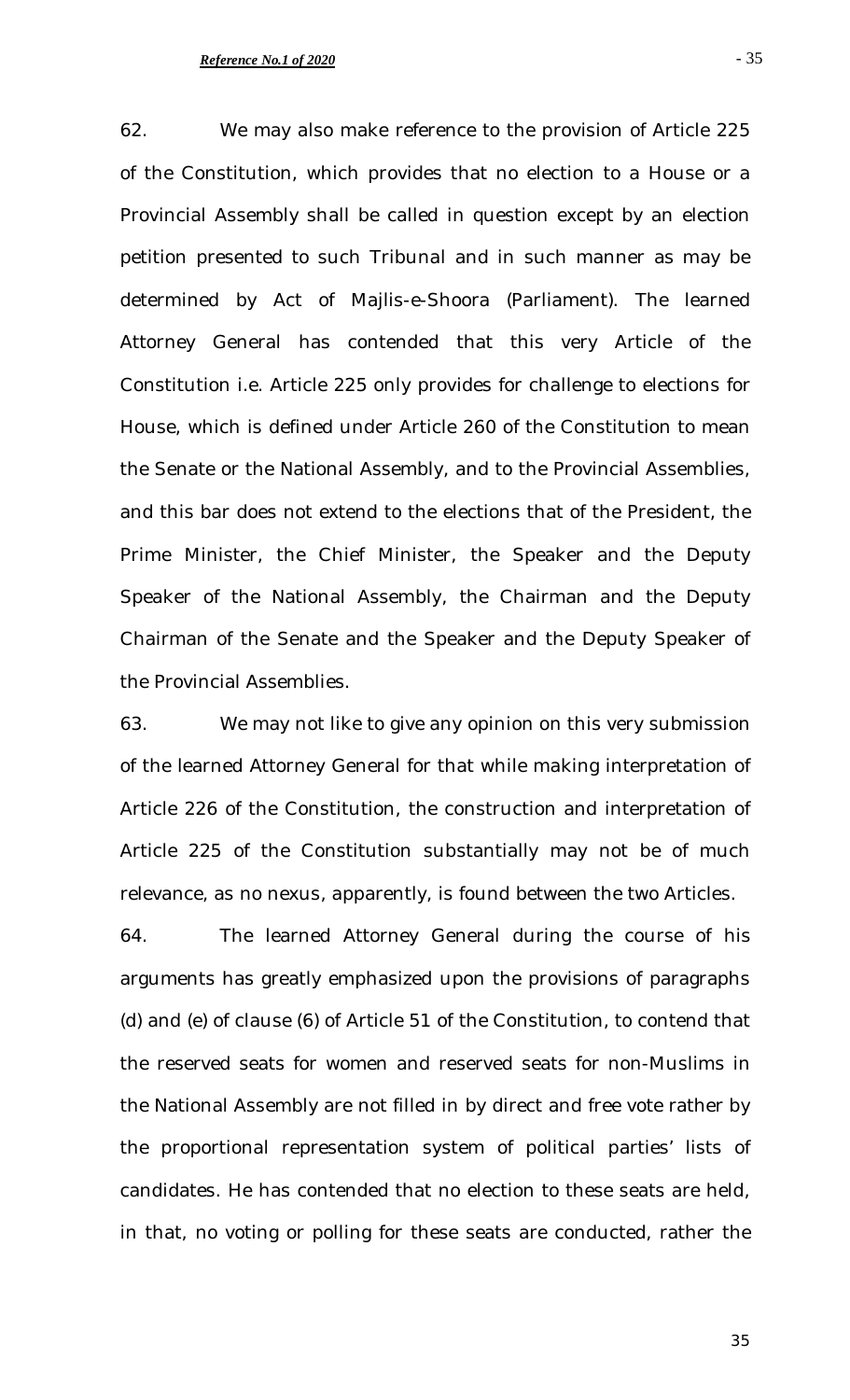62. We may also make reference to the provision of Article 225 of the Constitution, which provides that no election to a House or a Provincial Assembly shall be called in question except by an election petition presented to such Tribunal and in such manner as may be determined by Act of Majlis-e-Shoora (Parliament). The learned Attorney General has contended that this very Article of the Constitution i.e. Article 225 only provides for challenge to elections for House, which is defined under Article 260 of the Constitution to mean the Senate or the National Assembly, and to the Provincial Assemblies, and this bar does not extend to the elections that of the President, the Prime Minister, the Chief Minister, the Speaker and the Deputy Speaker of the National Assembly, the Chairman and the Deputy Chairman of the Senate and the Speaker and the Deputy Speaker of the Provincial Assemblies.

63. We may not like to give any opinion on this very submission of the learned Attorney General for that while making interpretation of Article 226 of the Constitution, the construction and interpretation of Article 225 of the Constitution substantially may not be of much relevance, as no nexus, apparently, is found between the two Articles.

64. The learned Attorney General during the course of his arguments has greatly emphasized upon the provisions of paragraphs (d) and (e) of clause (6) of Article 51 of the Constitution, to contend that the reserved seats for women and reserved seats for non-Muslims in the National Assembly are not filled in by direct and free vote rather by the proportional representation system of political parties' lists of candidates. He has contended that no election to these seats are held, in that, no voting or polling for these seats are conducted, rather the

- 35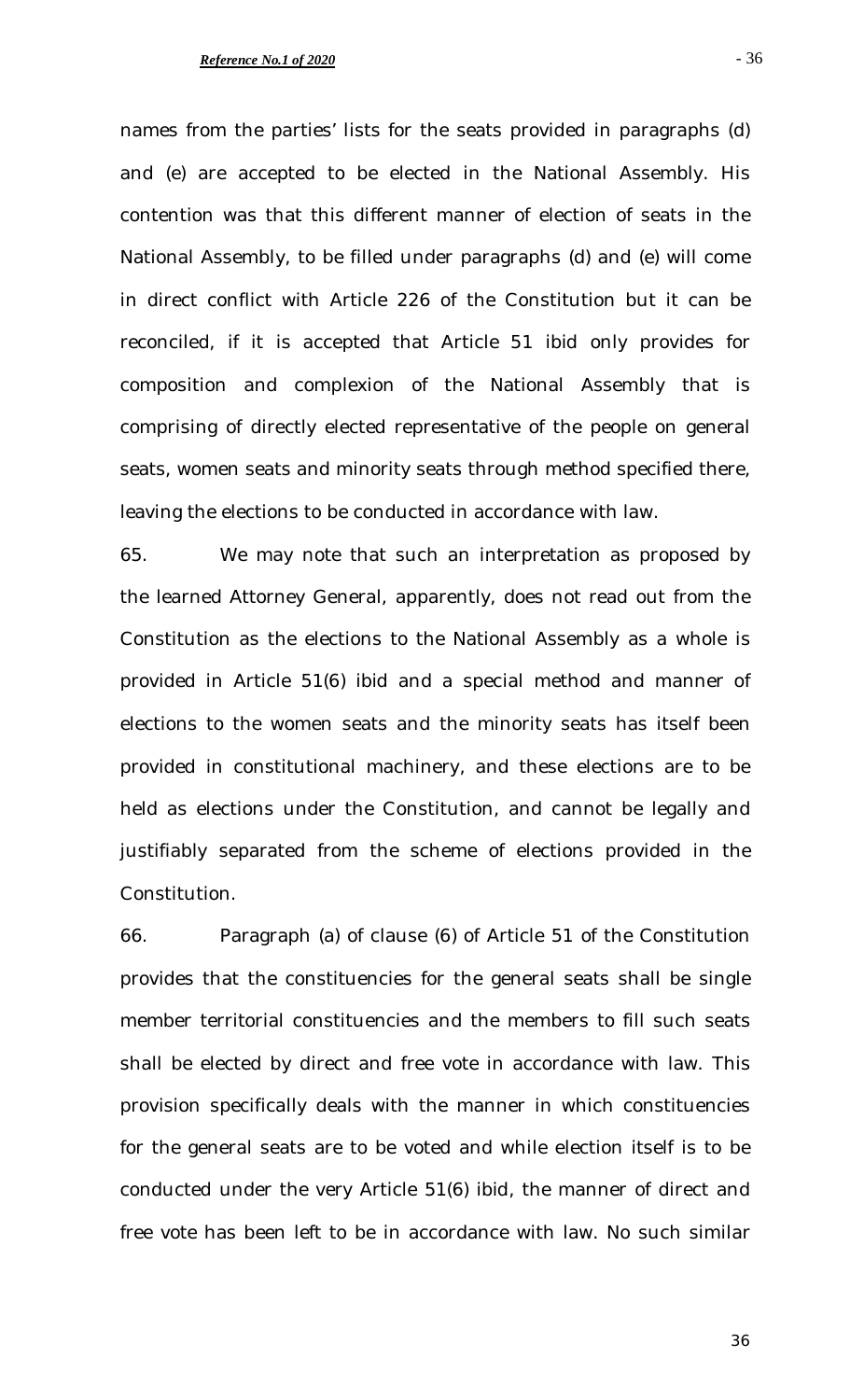names from the parties' lists for the seats provided in paragraphs (d) and (e) are accepted to be elected in the National Assembly. His contention was that this different manner of election of seats in the National Assembly, to be filled under paragraphs (d) and (e) will come in direct conflict with Article 226 of the Constitution but it can be reconciled, if it is accepted that Article 51 *ibid* only provides for composition and complexion of the National Assembly that is comprising of directly elected representative of the people on general seats, women seats and minority seats through method specified there, leaving the elections to be conducted in accordance with law.

65. We may note that such an interpretation as proposed by the learned Attorney General, apparently, does not read out from the Constitution as the elections to the National Assembly as a whole is provided in Article 51(6) *ibid* and a special method and manner of elections to the women seats and the minority seats has itself been provided in constitutional machinery, and these elections are to be held as elections under the Constitution, and cannot be legally and justifiably separated from the scheme of elections provided in the Constitution.

66. Paragraph (a) of clause (6) of Article 51 of the Constitution provides that the constituencies for the general seats shall be single member territorial constituencies and the members to fill such seats shall be elected by direct and free vote in accordance with law. This provision specifically deals with the manner in which constituencies for the general seats are to be voted and while election itself is to be conducted under the very Article 51(6) *ibid*, the manner of direct and free vote has been left to be in accordance with law. No such similar

- 36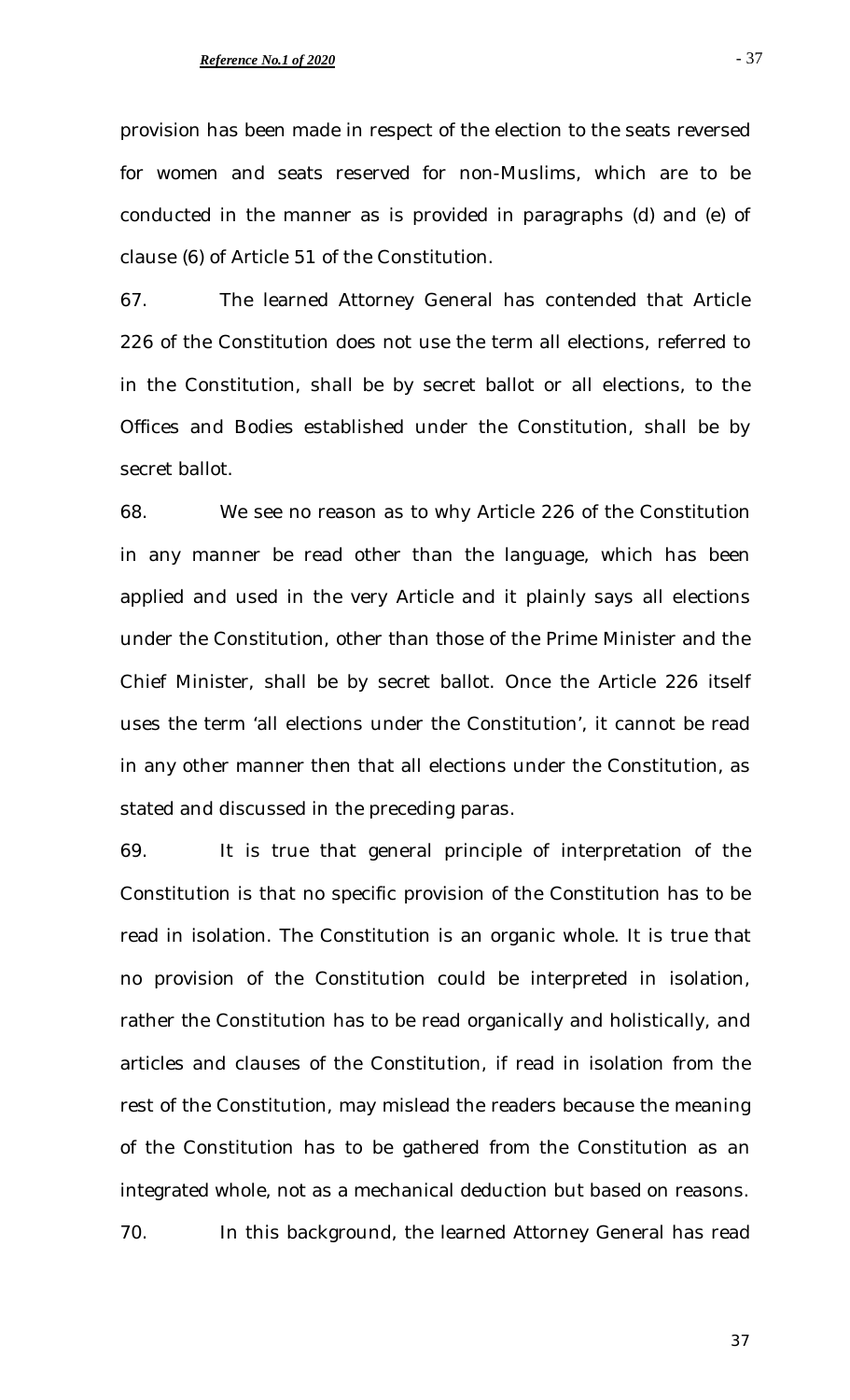### *Reference No.1 of 2020*

provision has been made in respect of the election to the seats reversed for women and seats reserved for non-Muslims, which are to be conducted in the manner as is provided in paragraphs (d) and (e) of clause (6) of Article 51 of the Constitution.

67. The learned Attorney General has contended that Article 226 of the Constitution does not use the term all elections, referred to in the Constitution, shall be by secret ballot or all elections, to the Offices and Bodies established under the Constitution, shall be by secret ballot.

68. We see no reason as to why Article 226 of the Constitution in any manner be read other than the language, which has been applied and used in the very Article and it plainly says all elections under the Constitution, other than those of the Prime Minister and the Chief Minister, shall be by secret ballot. Once the Article 226 itself uses the term 'all elections under the Constitution', it cannot be read in any other manner then that all elections under the Constitution, as stated and discussed in the preceding paras.

69. It is true that general principle of interpretation of the Constitution is that no specific provision of the Constitution has to be read in isolation. The Constitution is an organic whole. It is true that no provision of the Constitution could be interpreted in isolation, rather the Constitution has to be read organically and holistically, and articles and clauses of the Constitution, if read in isolation from the rest of the Constitution, may mislead the readers because the meaning of the Constitution has to be gathered from the Constitution as an integrated whole, not as a mechanical deduction but based on reasons. 70. In this background, the learned Attorney General has read

- 37

37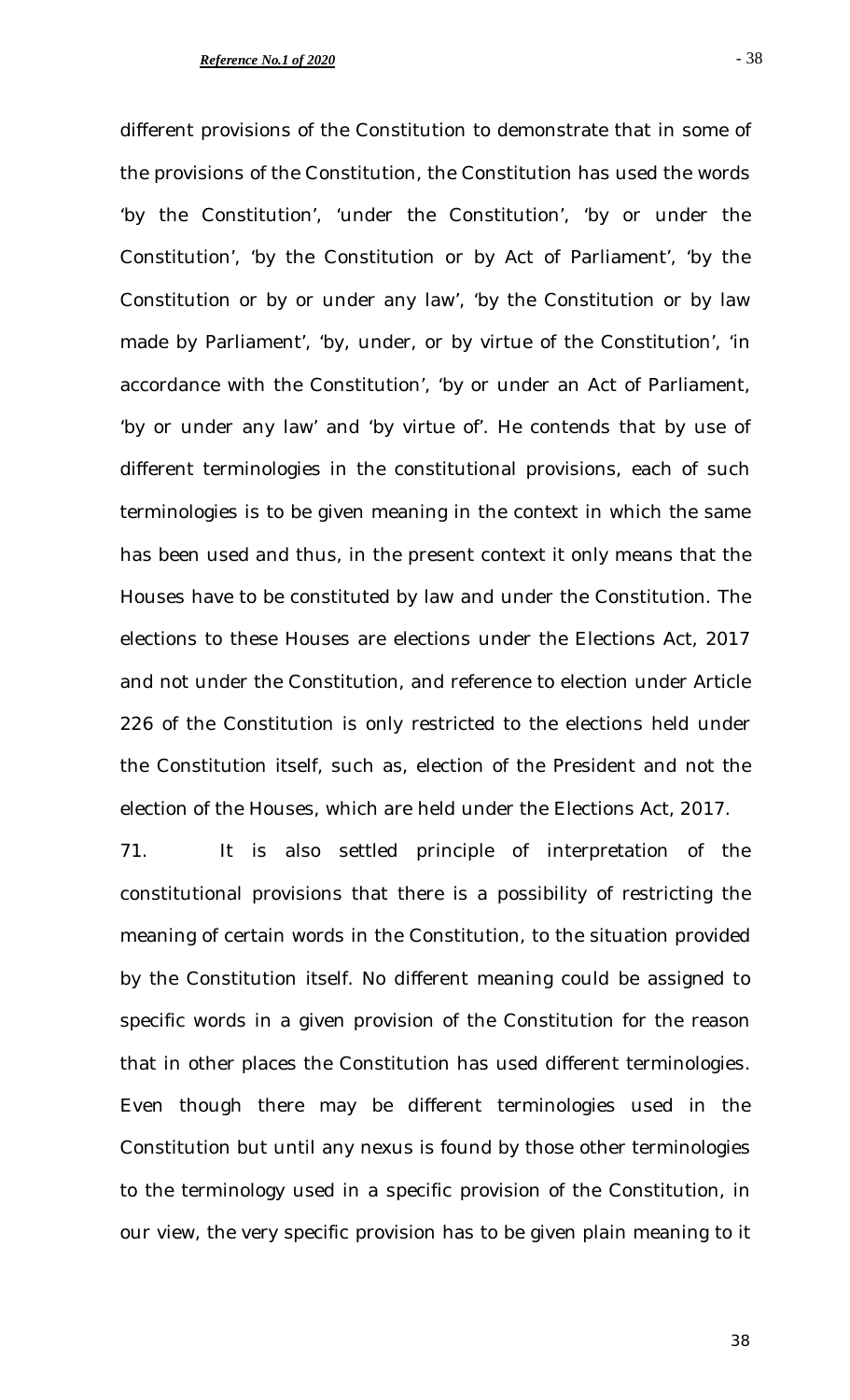different provisions of the Constitution to demonstrate that in some of the provisions of the Constitution, the Constitution has used the words 'by the Constitution', 'under the Constitution', 'by or under the Constitution', 'by the Constitution or by Act of Parliament', 'by the Constitution or by or under any law', 'by the Constitution or by law made by Parliament', 'by, under, or by virtue of the Constitution', 'in accordance with the Constitution', 'by or under an Act of Parliament, 'by or under any law' and 'by virtue of'. He contends that by use of different terminologies in the constitutional provisions, each of such terminologies is to be given meaning in the context in which the same has been used and thus, in the present context it only means that the Houses have to be constituted by law and under the Constitution. The elections to these Houses are elections under the Elections Act, 2017 and not under the Constitution, and reference to election under Article 226 of the Constitution is only restricted to the elections held under the Constitution itself, such as, election of the President and not the election of the Houses, which are held under the Elections Act, 2017.

71. It is also settled principle of interpretation of the constitutional provisions that there is a possibility of restricting the meaning of certain words in the Constitution, to the situation provided by the Constitution itself. No different meaning could be assigned to specific words in a given provision of the Constitution for the reason that in other places the Constitution has used different terminologies. Even though there may be different terminologies used in the Constitution but until any nexus is found by those other terminologies to the terminology used in a specific provision of the Constitution, in our view, the very specific provision has to be given plain meaning to it

38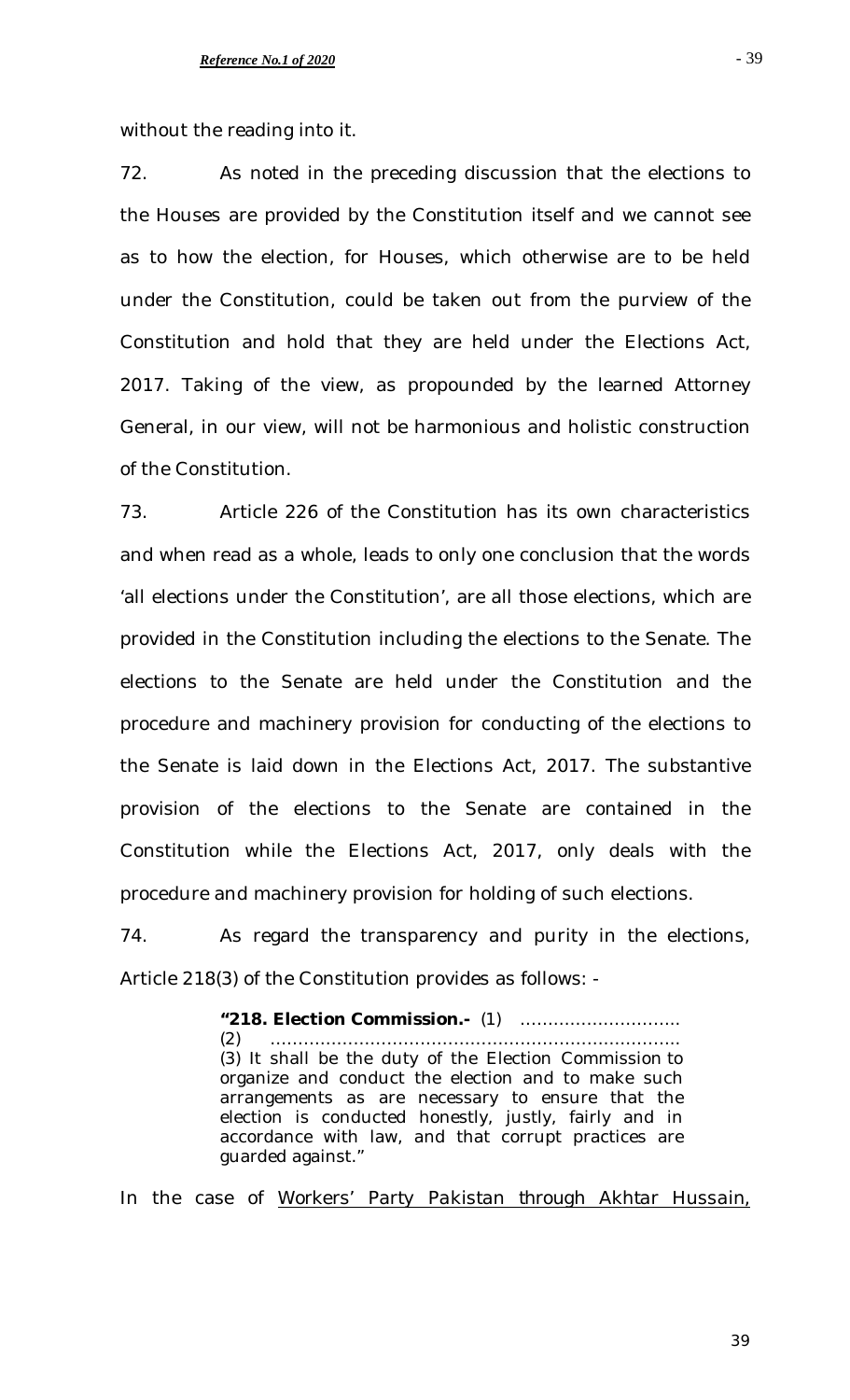without the reading into it.

72. As noted in the preceding discussion that the elections to the Houses are provided by the Constitution itself and we cannot see as to how the election, for Houses, which otherwise are to be held under the Constitution, could be taken out from the purview of the Constitution and hold that they are held under the Elections Act, 2017. Taking of the view, as propounded by the learned Attorney General, in our view, will not be harmonious and holistic construction of the Constitution.

73. Article 226 of the Constitution has its own characteristics and when read as a whole, leads to only one conclusion that the words 'all elections under the Constitution', are all those elections, which are provided in the Constitution including the elections to the Senate. The elections to the Senate are held under the Constitution and the procedure and machinery provision for conducting of the elections to the Senate is laid down in the Elections Act, 2017. The substantive provision of the elections to the Senate are contained in the Constitution while the Elections Act, 2017, only deals with the procedure and machinery provision for holding of such elections.

74. As regard the transparency and purity in the elections, Article 218(3) of the Constitution provides as follows: -

> **"218. Election Commission.-** (1) ……………………….. (2) ……………………………………………………………….. (3) It shall be the duty of the Election Commission to organize and conduct the election and to make such arrangements as are necessary to ensure that the election is conducted honestly, justly, fairly and in accordance with law, and that corrupt practices are guarded against."

In the case of *Workers' Party Pakistan through Akhtar Hussain,* 

- 39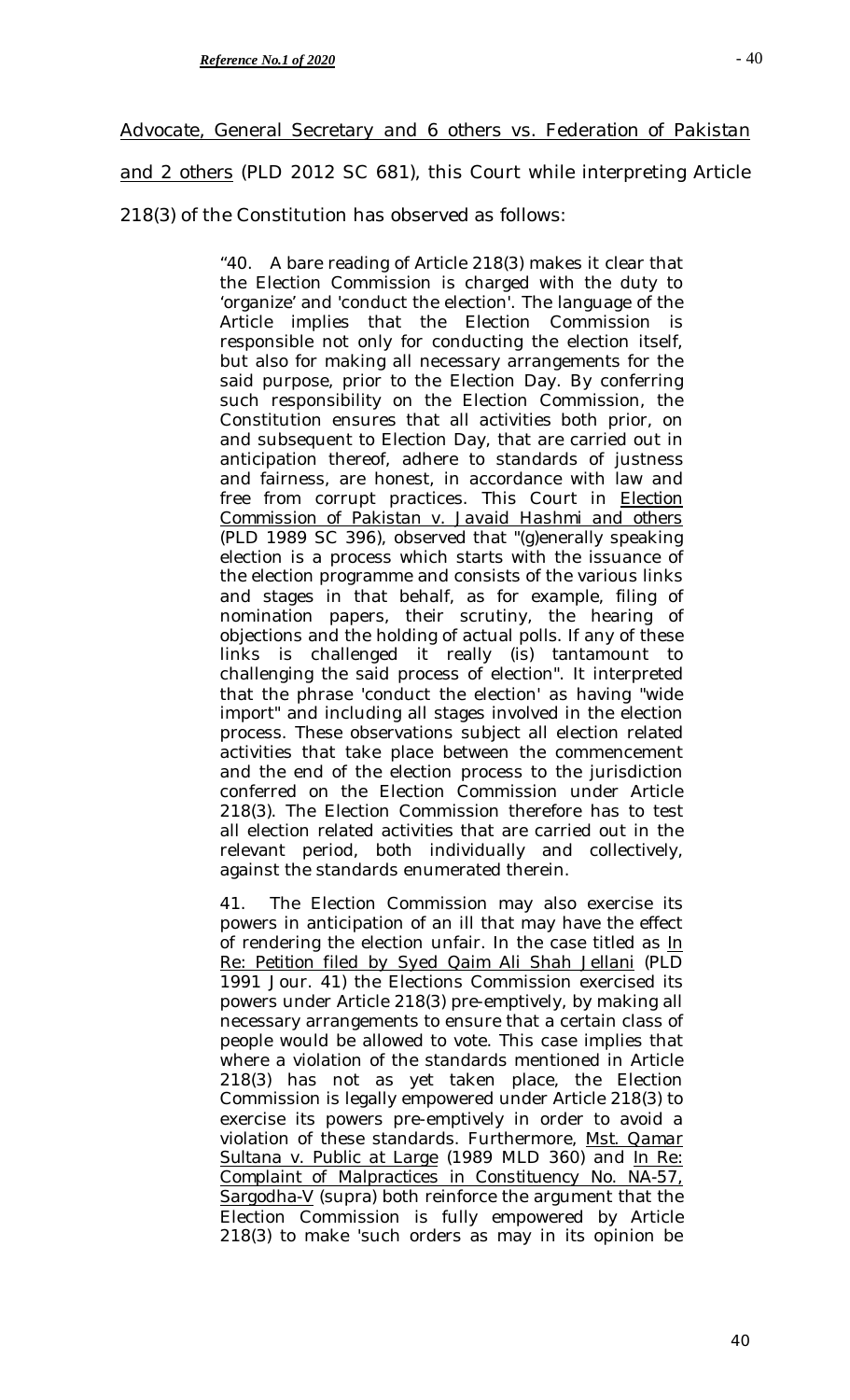# *Advocate, General Secretary and 6 others vs. Federation of Pakistan*

*and 2 others* (PLD 2012 SC 681), this Court while interpreting Article

218(3) of the Constitution has observed as follows:

"40. A bare reading of Article 218(3) makes it clear that the Election Commission is charged with the duty to 'organize' and 'conduct the election'. The language of the Article implies that the Election Commission is responsible not only for conducting the election itself, but also for making all necessary arrangements for the said purpose, prior to the Election Day. By conferring such responsibility on the Election Commission, the Constitution ensures that all activities both prior, on and subsequent to Election Day, that are carried out in anticipation thereof, adhere to standards of justness and fairness, are honest, in accordance with law and free from corrupt practices. This Court in *Election Commission of Pakistan v. Javaid Hashmi and others* (PLD 1989 SC 396), observed that "(g)enerally speaking election is a process which starts with the issuance of the election programme and consists of the various links and stages in that behalf, as for example, filing of nomination papers, their scrutiny, the hearing of objections and the holding of actual polls. If any of these links is challenged it really (is) tantamount to challenging the said process of election". It interpreted that the phrase 'conduct the election' as having "wide import" and including all stages involved in the election process. These observations subject all election related activities that take place between the commencement and the end of the election process to the jurisdiction conferred on the Election Commission under Article 218(3). The Election Commission therefore has to test all election related activities that are carried out in the relevant period, both individually and collectively, against the standards enumerated therein.

41. The Election Commission may also exercise its powers in anticipation of an ill that may have the effect of rendering the election unfair. In the case titled as *In Re: Petition filed by Syed Qaim Ali Shah Jellani* (PLD 1991 Jour. 41) the Elections Commission exercised its powers under Article 218(3) pre-emptively, by making all necessary arrangements to ensure that a certain class of people would be allowed to vote. This case implies that where a violation of the standards mentioned in Article 218(3) has not as yet taken place, the Election Commission is legally empowered under Article 218(3) to exercise its powers pre-emptively in order to avoid a violation of these standards. Furthermore, *Mst. Qamar Sultana v. Public at Large* (1989 MLD 360) and *In Re: Complaint of Malpractices in Constituency No. NA-57, Sargodha-V* (supra) both reinforce the argument that the Election Commission is fully empowered by Article 218(3) to make 'such orders as may in its opinion be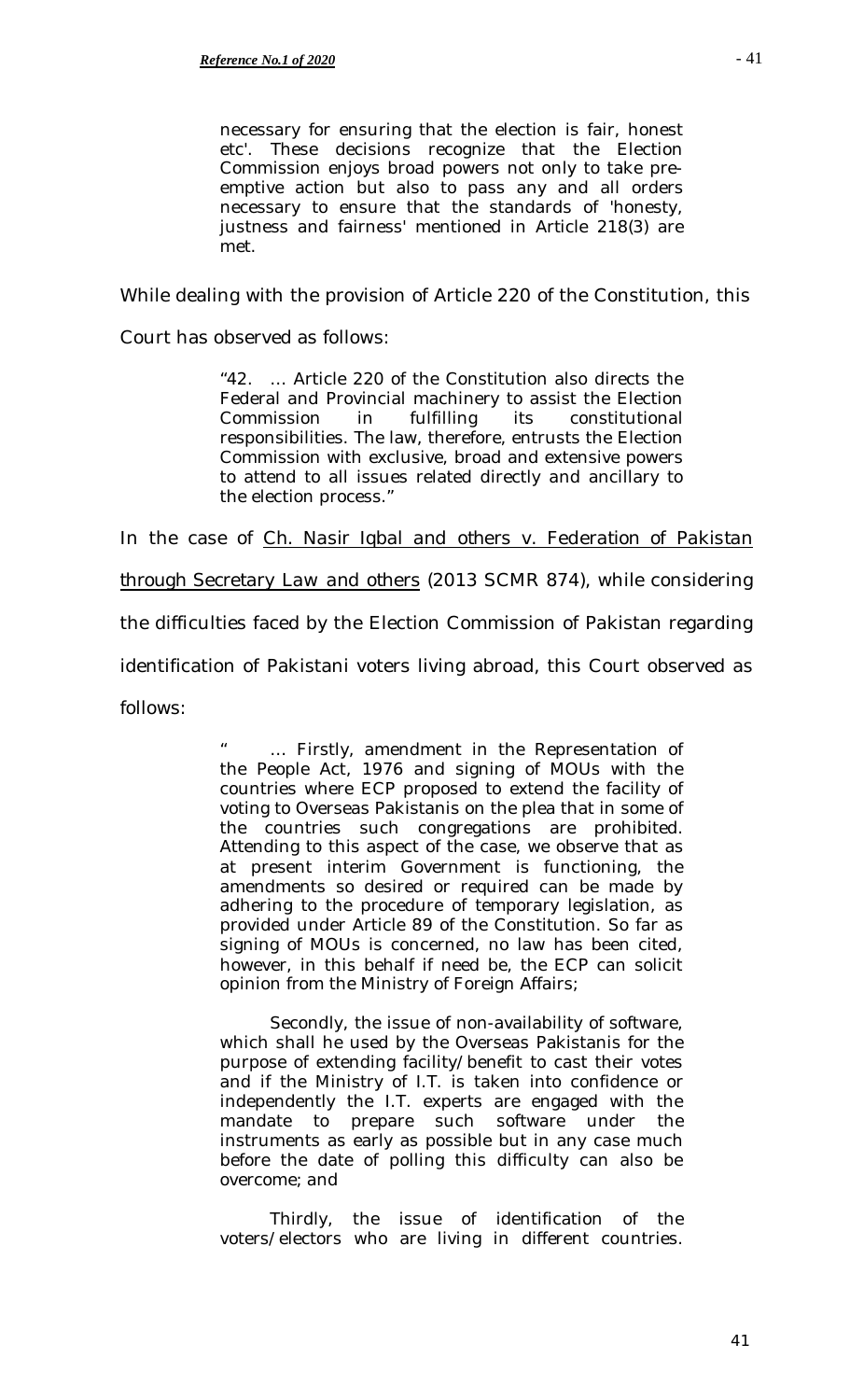necessary for ensuring that the election is fair, honest etc'. These decisions recognize that the Election Commission enjoys broad powers not only to take preemptive action but also to pass any and all orders necessary to ensure that the standards of 'honesty, justness and fairness' mentioned in Article 218(3) are met.

While dealing with the provision of Article 220 of the Constitution, this

Court has observed as follows:

"42. … Article 220 of the Constitution also directs the Federal and Provincial machinery to assist the Election Commission in fulfilling its constitutional responsibilities. The law, therefore, entrusts the Election Commission with exclusive, broad and extensive powers to attend to all issues related directly and ancillary to the election process."

In the case of *Ch. Nasir Iqbal and others v. Federation of Pakistan* 

*through Secretary Law and others* (2013 SCMR 874), while considering

the difficulties faced by the Election Commission of Pakistan regarding

identification of Pakistani voters living abroad, this Court observed as

follows:

... Firstly, amendment in the Representation of the People Act, 1976 and signing of MOUs with the countries where ECP proposed to extend the facility of voting to Overseas Pakistanis on the plea that in some of the countries such congregations are prohibited. Attending to this aspect of the case, we observe that as at present interim Government is functioning, the amendments so desired or required can be made by adhering to the procedure of temporary legislation, as provided under Article 89 of the Constitution. So far as signing of MOUs is concerned, no law has been cited, however, in this behalf if need be, the ECP can solicit opinion from the Ministry of Foreign Affairs;

Secondly, the issue of non-availability of software, which shall he used by the Overseas Pakistanis for the purpose of extending facility/benefit to cast their votes and if the Ministry of I.T. is taken into confidence or independently the I.T. experts are engaged with the mandate to prepare such software under the instruments as early as possible but in any case much before the date of polling this difficulty can also be overcome; and

Thirdly, the issue of identification of the voters/electors who are living in different countries.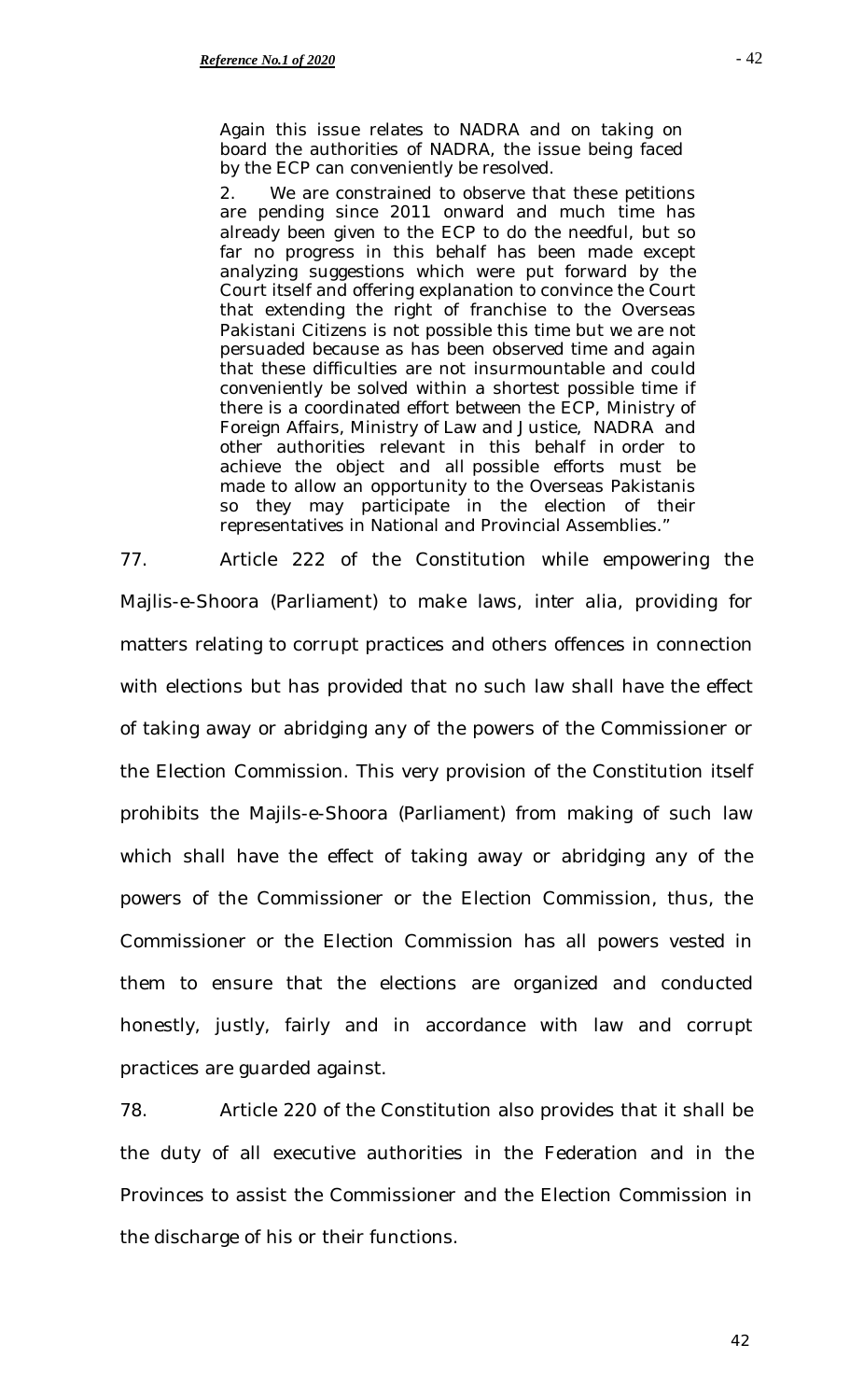Again this issue relates to NADRA and on taking on board the authorities of NADRA, the issue being faced by the ECP can conveniently be resolved.

2. We are constrained to observe that these petitions are pending since 2011 onward and much time has already been given to the ECP to do the needful, but so far no progress in this behalf has been made except analyzing suggestions which were put forward by the Court itself and offering explanation to convince the Court that extending the right of franchise to the Overseas Pakistani Citizens is not possible this time but we are not persuaded because as has been observed time and again that these difficulties are not insurmountable and could conveniently be solved within a shortest possible time if there is a coordinated effort between the ECP, Ministry of Foreign Affairs, Ministry of Law and Justice, NADRA and other authorities relevant in this behalf in order to achieve the object and all possible efforts must be made to allow an opportunity to the Overseas Pakistanis so they may participate in the election of their representatives in National and Provincial Assemblies."

77. Article 222 of the Constitution while empowering the Majlis-e-Shoora (Parliament) to make laws, *inter alia,* providing for matters relating to corrupt practices and others offences in connection with elections but has provided that no such law shall have the effect of taking away or abridging any of the powers of the Commissioner or the Election Commission. This very provision of the Constitution itself prohibits the Majils-e-Shoora (Parliament) from making of such law which shall have the effect of taking away or abridging any of the powers of the Commissioner or the Election Commission, thus, the Commissioner or the Election Commission has all powers vested in them to ensure that the elections are organized and conducted honestly, justly, fairly and in accordance with law and corrupt practices are guarded against.

78. Article 220 of the Constitution also provides that it shall be the duty of all executive authorities in the Federation and in the Provinces to assist the Commissioner and the Election Commission in the discharge of his or their functions.

- 42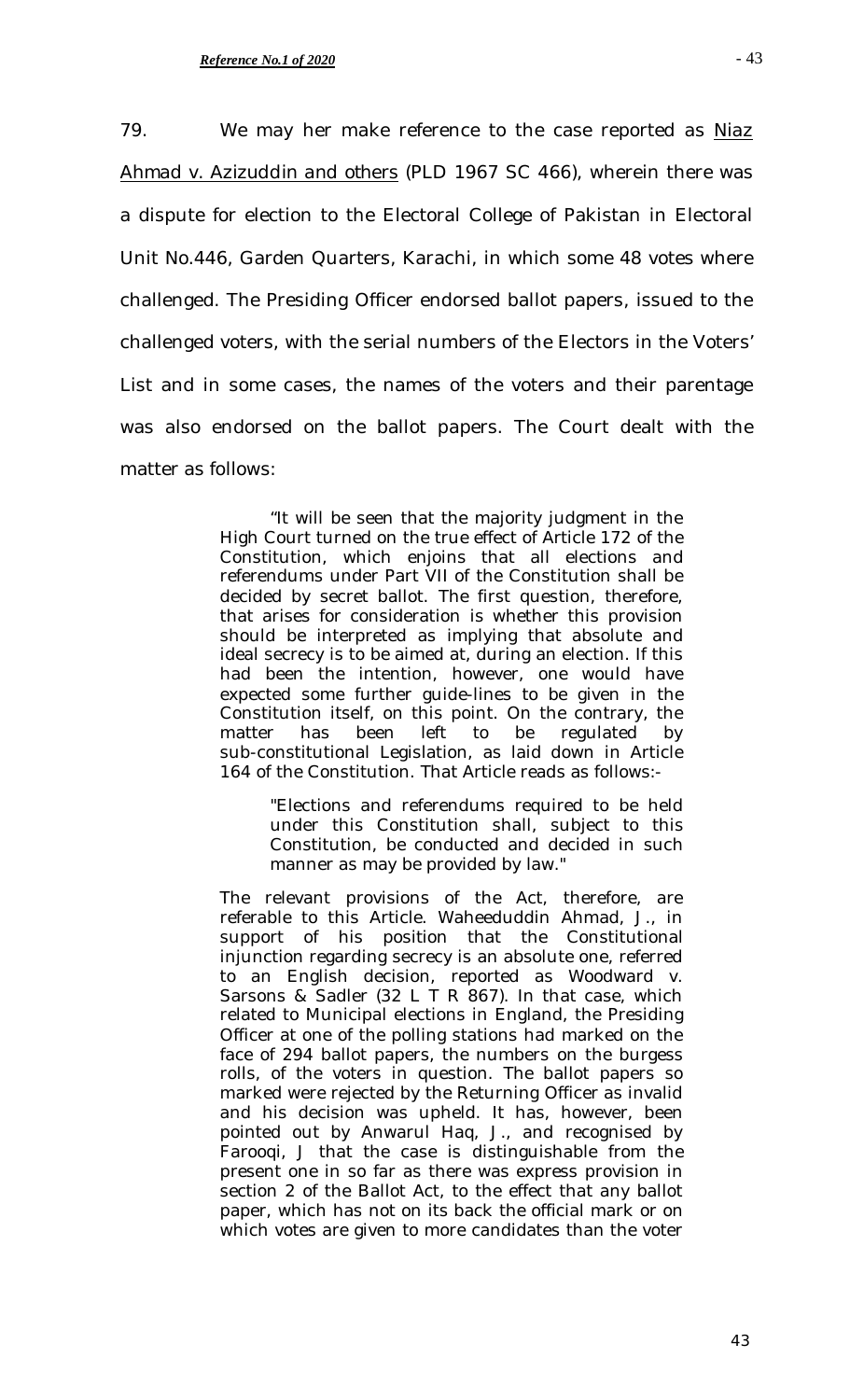79. We may her make reference to the case reported as *Niaz Ahmad v. Azizuddin and others* (PLD 1967 SC 466), wherein there was a dispute for election to the Electoral College of Pakistan in Electoral Unit No.446, Garden Quarters, Karachi, in which some 48 votes where challenged. The Presiding Officer endorsed ballot papers, issued to the challenged voters, with the serial numbers of the Electors in the Voters' List and in some cases, the names of the voters and their parentage was also endorsed on the ballot papers. The Court dealt with the matter as follows:

> "It will be seen that the majority judgment in the High Court turned on the true effect of Article 172 of the Constitution, which enjoins that all elections and referendums under Part VII of the Constitution shall be decided by secret ballot. The first question, therefore, that arises for consideration is whether this provision should be interpreted as implying that absolute and ideal secrecy is to be aimed at, during an election. If this had been the intention, however, one would have expected some further guide-lines to be given in the Constitution itself, on this point. On the contrary, the matter has been left to be regulated by sub-constitutional Legislation, as laid down in Article 164 of the Constitution. That Article reads as follows:-

> > "Elections and referendums required to be held under this Constitution shall, subject to this Constitution, be conducted and decided in such manner as may be provided by law."

The relevant provisions of the Act, therefore, are referable to this Article. Waheeduddin Ahmad, J., in support of his position that the Constitutional injunction regarding secrecy is an absolute one, referred to an English decision, reported as Woodward v. Sarsons & Sadler (32 L T R 867). In that case, which related to Municipal elections in England, the Presiding Officer at one of the polling stations had marked on the face of 294 ballot papers, the numbers on the burgess rolls, of the voters in question. The ballot papers so marked were rejected by the Returning Officer as invalid and his decision was upheld. It has, however, been pointed out by Anwarul Haq, J., and recognised by Farooqi, J that the case is distinguishable from the present one in so far as there was express provision in section 2 of the Ballot Act, to the effect that any ballot paper, which has not on its back the official mark or on which votes are given to more candidates than the voter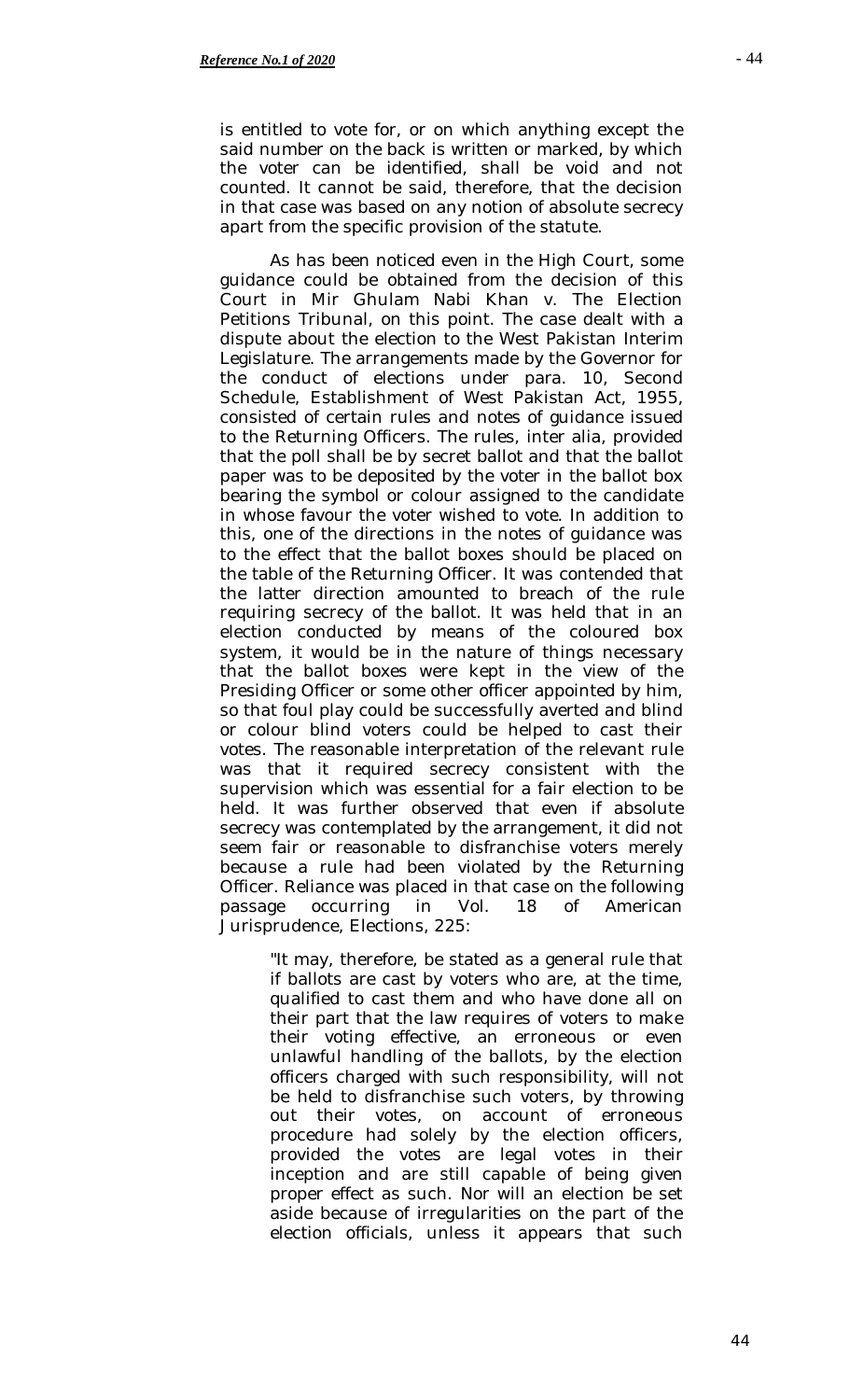is entitled to vote for, or on which anything except the said number on the back is written or marked, by which the voter can be identified, shall be void and not counted. It cannot be said, therefore, that the decision in that case was based on any notion of absolute secrecy apart from the specific provision of the statute.

As has been noticed even in the High Court, some guidance could be obtained from the decision of this Court in Mir Ghulam Nabi Khan v. The Election Petitions Tribunal, on this point. The case dealt with a dispute about the election to the West Pakistan Interim Legislature. The arrangements made by the Governor for the conduct of elections under para. 10, Second Schedule, Establishment of West Pakistan Act, 1955, consisted of certain rules and notes of guidance issued to the Returning Officers. The rules, inter alia, provided that the poll shall be by secret ballot and that the ballot paper was to be deposited by the voter in the ballot box bearing the symbol or colour assigned to the candidate in whose favour the voter wished to vote. In addition to this, one of the directions in the notes of guidance was to the effect that the ballot boxes should be placed on the table of the Returning Officer. It was contended that the latter direction amounted to breach of the rule requiring secrecy of the ballot. It was held that in an election conducted by means of the coloured box system, it would be in the nature of things necessary that the ballot boxes were kept in the view of the Presiding Officer or some other officer appointed by him, so that foul play could be successfully averted and blind or colour blind voters could be helped to cast their votes. The reasonable interpretation of the relevant rule was that it required secrecy consistent with the supervision which was essential for a fair election to be held. It was further observed that even if absolute secrecy was contemplated by the arrangement, it did not seem fair or reasonable to disfranchise voters merely because a rule had been violated by the Returning Officer. Reliance was placed in that case on the following passage occurring in Vol. 18 of American Jurisprudence, Elections, 225:

> "It may, therefore, be stated as a general rule that if ballots are cast by voters who are, at the time, qualified to cast them and who have done all on their part that the law requires of voters to make their voting effective, an erroneous or even unlawful handling of the ballots, by the election officers charged with such responsibility, will not be held to disfranchise such voters, by throwing out their votes, on account of erroneous procedure had solely by the election officers, provided the votes are legal votes in their inception and are still capable of being given proper effect as such. Nor will an election be set aside because of irregularities on the part of the election officials, unless it appears that such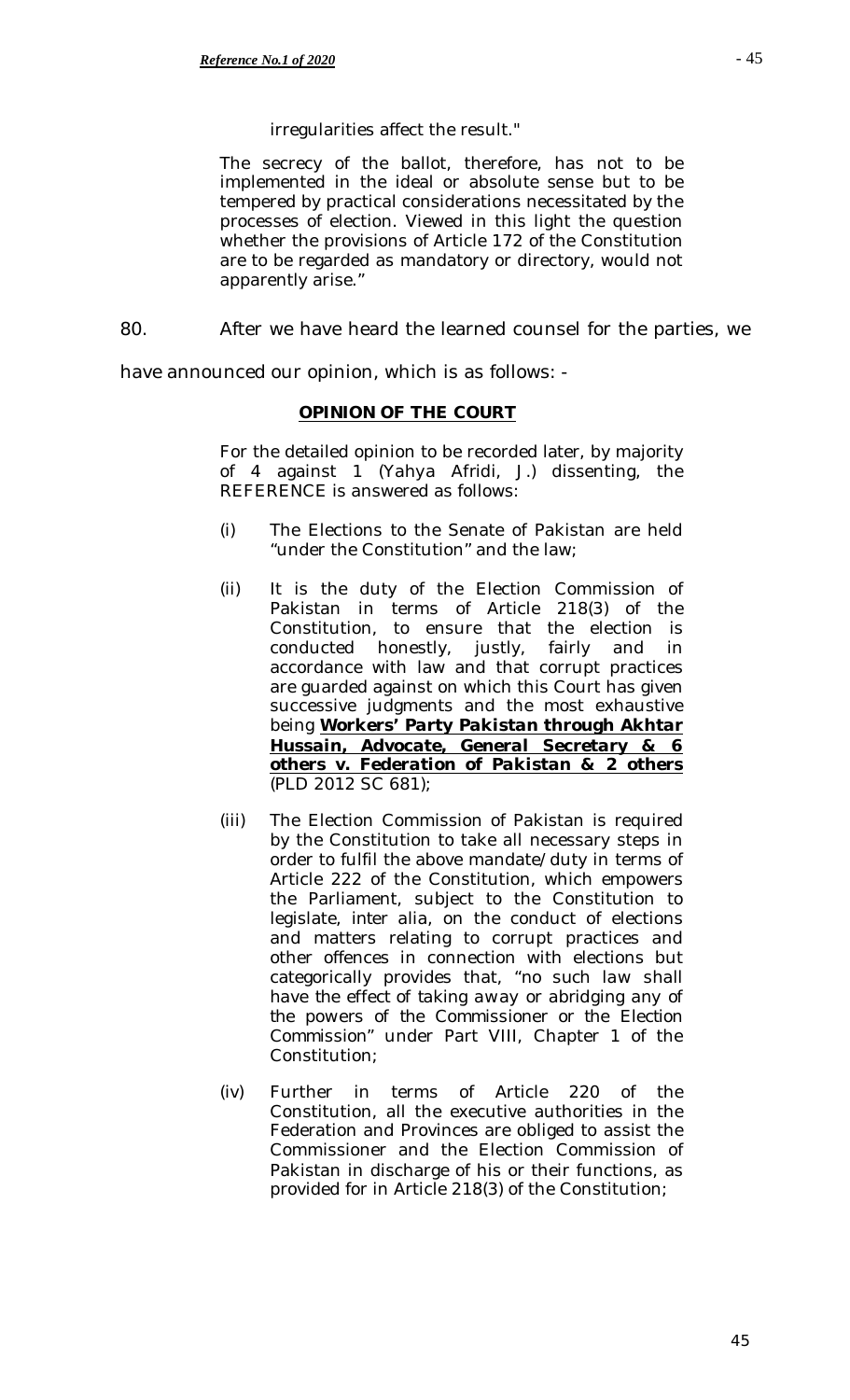# irregularities affect the result."

The secrecy of the ballot, therefore, has not to be implemented in the ideal or absolute sense but to be tempered by practical considerations necessitated by the processes of election. Viewed in this light the question whether the provisions of Article 172 of the Constitution are to be regarded as mandatory or directory, would not apparently arise."

80. After we have heard the learned counsel for the parties, we

have announced our opinion, which is as follows: -

# **OPINION OF THE COURT**

For the detailed opinion to be recorded later, by majority of 4 against 1 (*Yahya Afridi, J.*) dissenting, the REFERENCE is answered as follows:

- (i) The Elections to the Senate of Pakistan are held "under the Constitution" and the law;
- (ii) It is the duty of the Election Commission of Pakistan in terms of Article 218(3) of the Constitution, to ensure that the election is conducted honestly, justly, fairly and in accordance with law and that corrupt practices are guarded against on which this Court has given successive judgments and the most exhaustive being *Workers' Party Pakistan through Akhtar Hussain, Advocate, General Secretary & 6 others v. Federation of Pakistan & 2 others* (PLD 2012 SC 681);
- (iii) The Election Commission of Pakistan is required by the Constitution to take all necessary steps in order to fulfil the above mandate/duty in terms of Article 222 of the Constitution, which empowers the Parliament, subject to the Constitution to legislate, *inter alia*, on the conduct of elections and matters relating to corrupt practices and other offences in connection with elections but categorically provides that, *"no such law shall have the effect of taking away or abridging any of the powers of the Commissioner or the Election Commission"* under Part VIII, Chapter 1 of the Constitution;
- (iv) Further in terms of Article 220 of the Constitution, all the executive authorities in the Federation and Provinces are obliged to assist the Commissioner and the Election Commission of Pakistan in discharge of his or their functions, as provided for in Article 218(3) of the Constitution;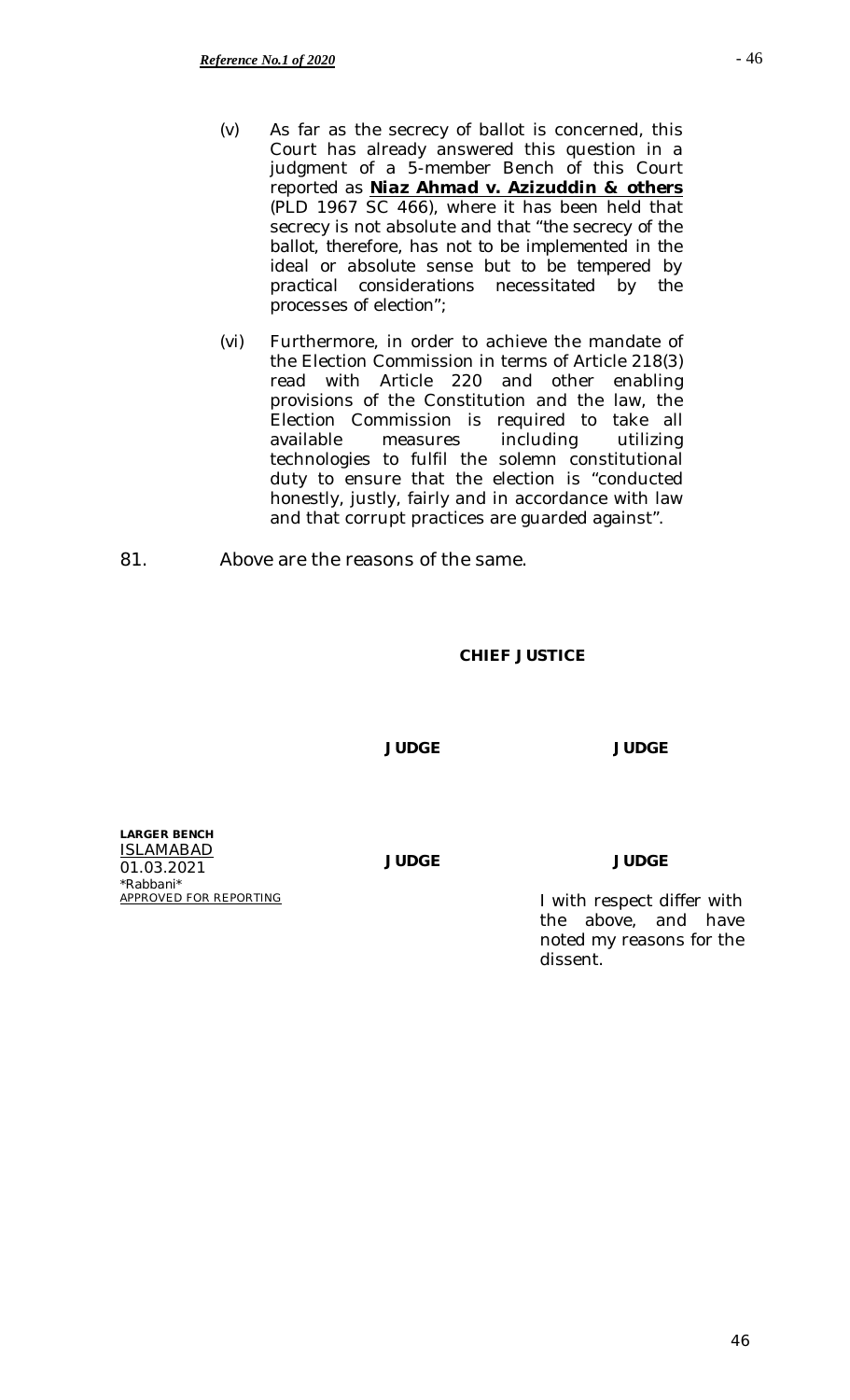- (v) As far as the secrecy of ballot is concerned, this Court has already answered this question in a judgment of a 5-member Bench of this Court reported as *Niaz Ahmad v. Azizuddin & others* (PLD 1967 SC 466), where it has been held that secrecy is not absolute and that *"the secrecy of the ballot, therefore, has not to be implemented in the ideal or absolute sense but to be tempered by practical considerations necessitated by the processes of election"*;
- (vi) Furthermore, in order to achieve the mandate of the Election Commission in terms of Article 218(3) read with Article 220 and other enabling provisions of the Constitution and the law, the Election Commission is required to take all<br>available measures including utilizing available measures including utilizing technologies to fulfil the solemn constitutional duty to ensure that the election is "conducted honestly, justly, fairly and in accordance with law and that corrupt practices are guarded against".
- 81. Above are the reasons of the same.

## **CHIEF JUSTICE**

**JUDGE JUDGE**

**LARGER BENCH** ISLAMABAD 01.03.2021 *\*Rabbani\**

**JUDGE JUDGE**

I with respect differ with the above, and have noted my reasons for the dissent.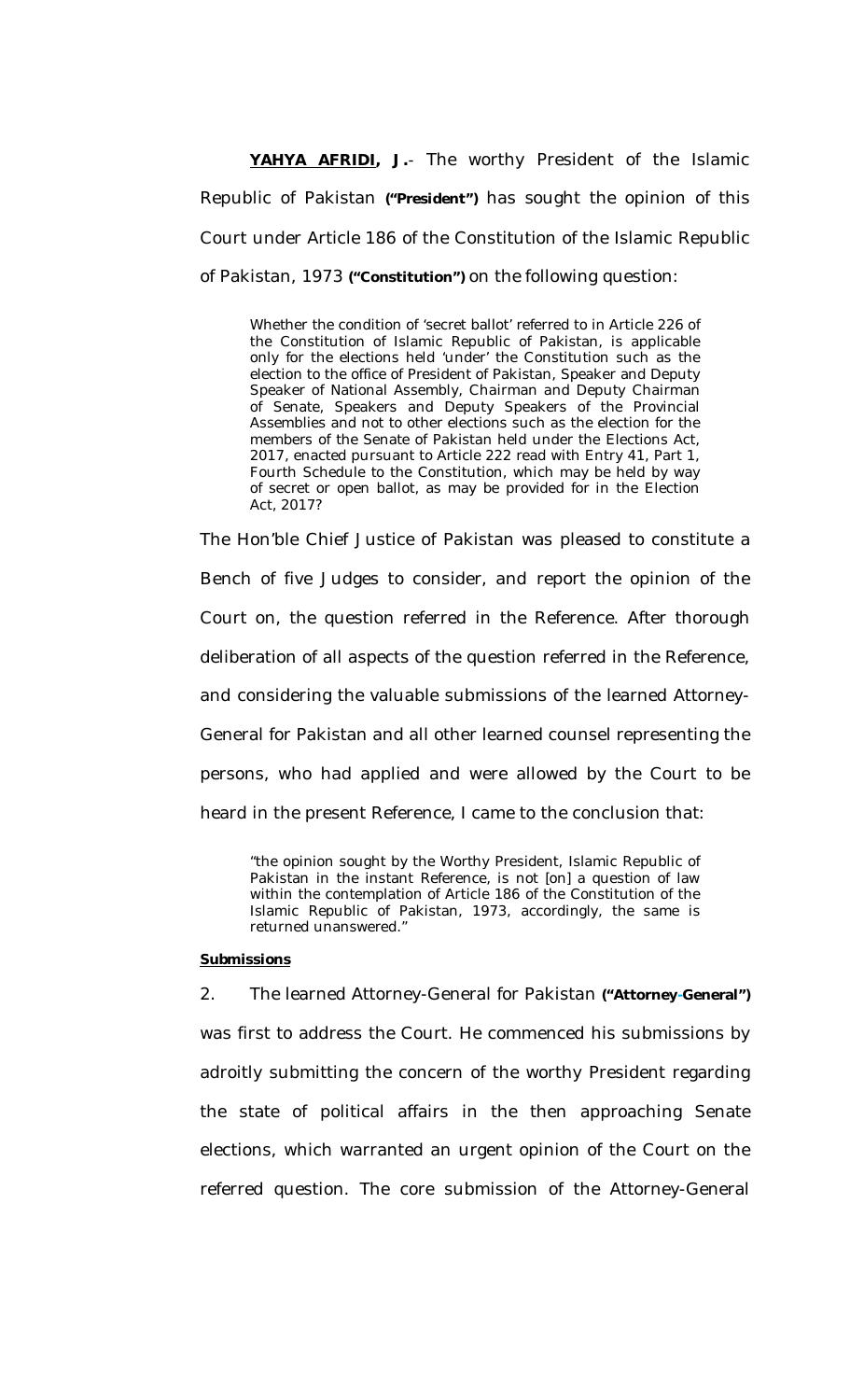**YAHYA AFRIDI, J.**- The worthy President of the Islamic Republic of Pakistan **("President")** has sought the opinion of this Court under Article 186 of the Constitution of the Islamic Republic of Pakistan, 1973 **("Constitution")** on the following question:

Whether the condition of 'secret ballot' referred to in Article 226 of the Constitution of Islamic Republic of Pakistan, is applicable only for the elections held 'under' the Constitution such as the election to the office of President of Pakistan, Speaker and Deputy Speaker of National Assembly, Chairman and Deputy Chairman of Senate, Speakers and Deputy Speakers of the Provincial Assemblies and not to other elections such as the election for the members of the Senate of Pakistan held under the Elections Act, 2017, enacted pursuant to Article 222 read with Entry 41, Part 1, Fourth Schedule to the Constitution, which may be held by way of secret or open ballot, as may be provided for in the Election Act, 2017?

The Hon'ble Chief Justice of Pakistan was pleased to constitute a Bench of five Judges to consider, and report the opinion of the Court on, the question referred in the Reference. After thorough deliberation of all aspects of the question referred in the Reference, and considering the valuable submissions of the learned Attorney-General for Pakistan and all other learned counsel representing the persons, who had applied and were allowed by the Court to be heard in the present Reference, I came to the conclusion that:

"the opinion sought by the Worthy President, Islamic Republic of Pakistan in the instant Reference, is not [on] a question of law within the contemplation of Article 186 of the Constitution of the Islamic Republic of Pakistan, 1973, accordingly, the same is returned unanswered."

### **Submissions**

2. The learned Attorney-General for Pakistan **("Attorney-General")**  was first to address the Court. He commenced his submissions by adroitly submitting the concern of the worthy President regarding the state of political affairs in the then approaching Senate elections, which warranted an urgent opinion of the Court on the referred question. The core submission of the Attorney-General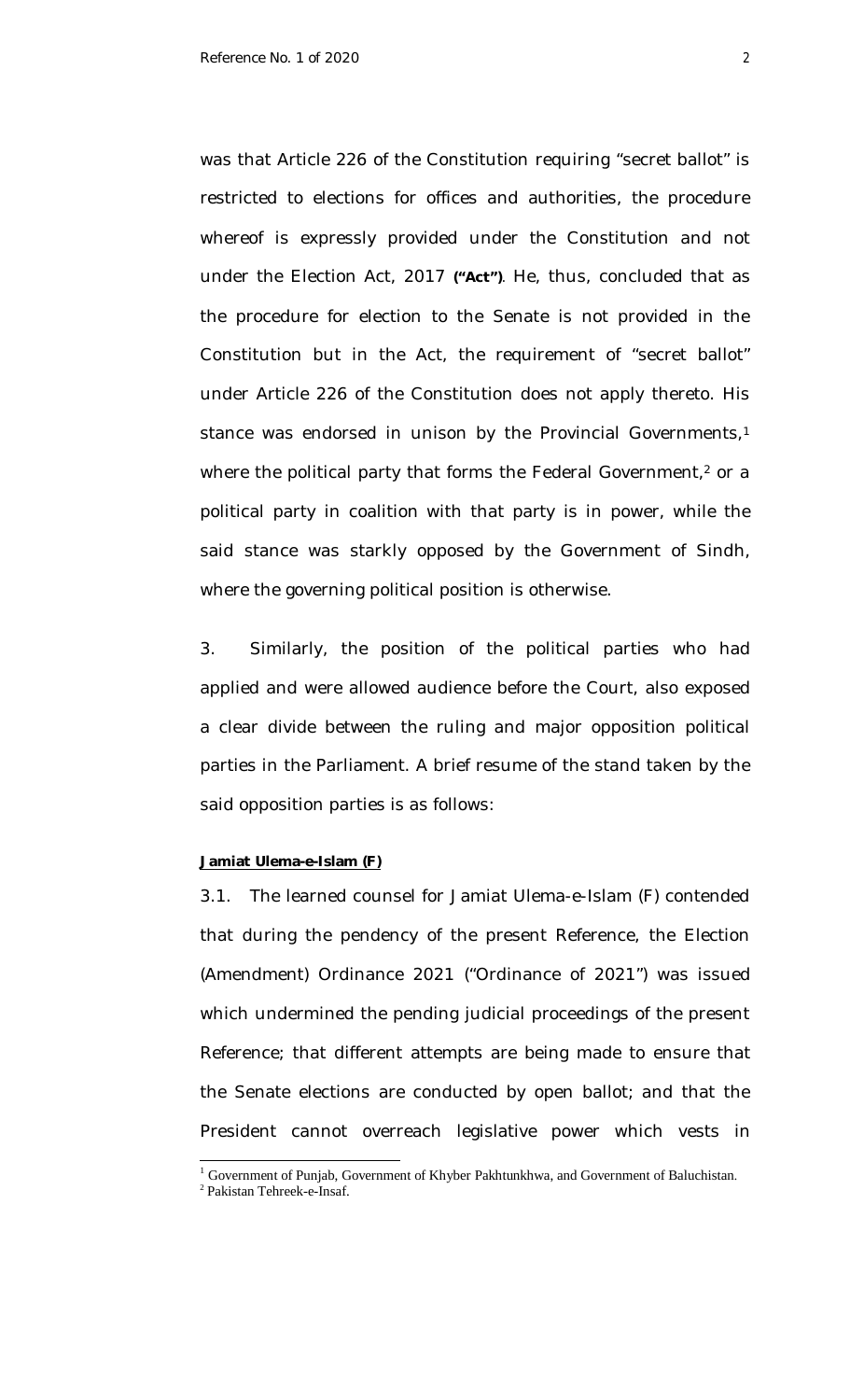was that Article 226 of the Constitution requiring "secret ballot" is restricted to elections for offices and authorities, the procedure whereof is expressly provided under the Constitution and not under the Election Act, 2017 **("Act")**. He, thus, concluded that as the procedure for election to the Senate is not provided in the Constitution but in the Act, the requirement of "secret ballot" under Article 226 of the Constitution does not apply thereto. His stance was endorsed in unison by the Provincial Governments, 1 where the political party that forms the Federal Government, <sup>2</sup> or a political party in coalition with that party is in power, while the said stance was starkly opposed by the Government of Sindh, where the governing political position is otherwise.

3. Similarly, the position of the political parties who had applied and were allowed audience before the Court, also exposed a clear divide between the ruling and major opposition political parties in the Parliament. A brief resume of the stand taken by the said opposition parties is as follows:

### **Jamiat Ulema-e-Islam (F)**

3.1. The learned counsel for Jamiat Ulema-e-Islam (F) contended that during the pendency of the present Reference, the Election (Amendment) Ordinance 2021 ("Ordinance of 2021") was issued which undermined the pending judicial proceedings of the present Reference; that different attempts are being made to ensure that the Senate elections are conducted by open ballot; and that the President cannot overreach legislative power which vests in

 $\overline{\phantom{a}}$ 

<sup>&</sup>lt;sup>1</sup> Government of Punjab, Government of Khyber Pakhtunkhwa, and Government of Baluchistan.

<sup>2</sup> Pakistan Tehreek-e-Insaf.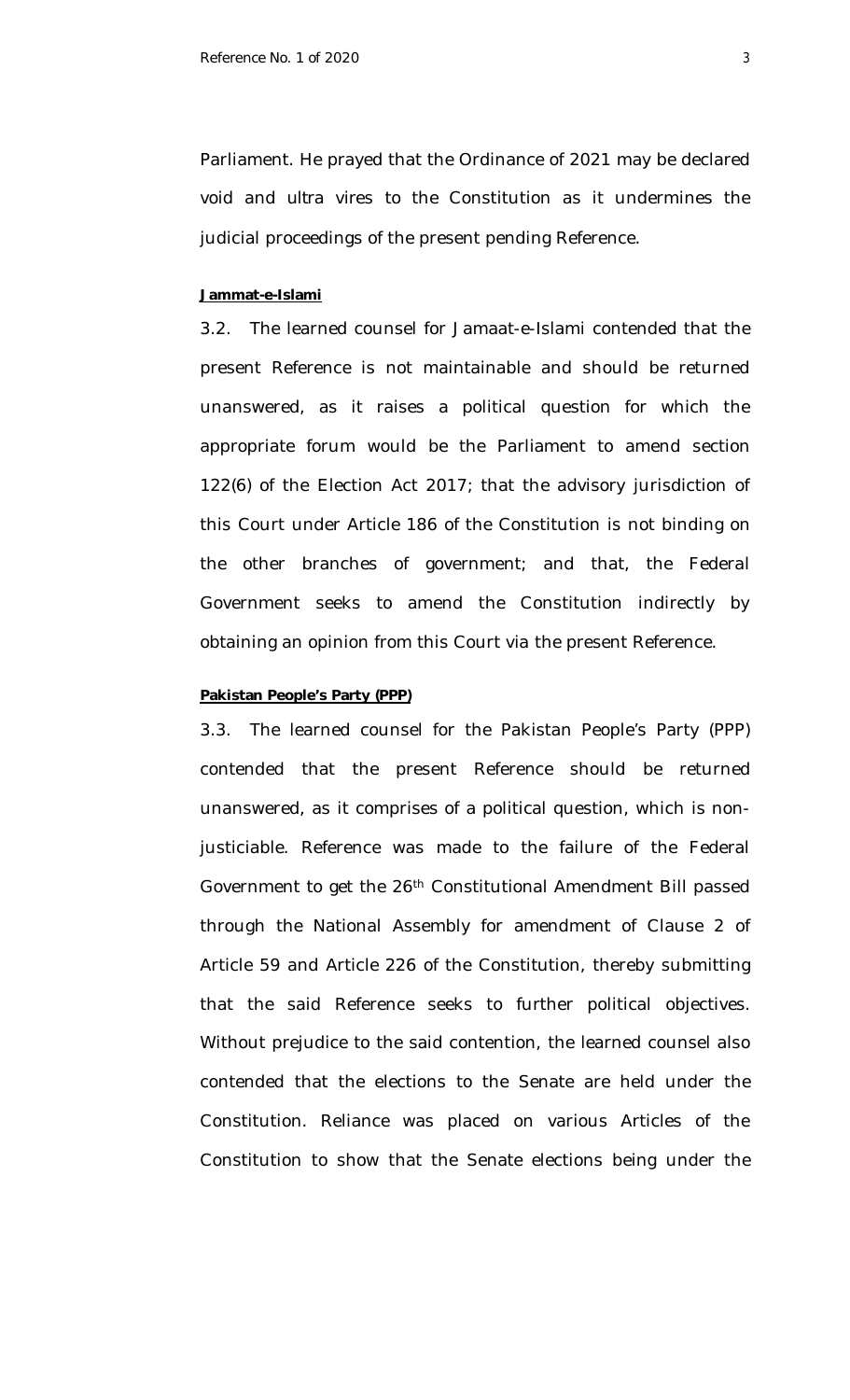Parliament. He prayed that the Ordinance of 2021 may be declared void and *ultra vires* to the Constitution as it undermines the judicial proceedings of the present pending Reference.

### **Jammat-e-Islami**

3.2. The learned counsel for Jamaat-e-Islami contended that the present Reference is not maintainable and should be returned unanswered, as it raises a political question for which the appropriate forum would be the Parliament to amend section 122(6) of the Election Act 2017; that the advisory jurisdiction of this Court under Article 186 of the Constitution is not binding on the other branches of government; and that, the Federal Government seeks to amend the Constitution indirectly by obtaining an opinion from this Court *via* the present Reference.

### **Pakistan People's Party (PPP)**

3.3. The learned counsel for the Pakistan People's Party (PPP) contended that the present Reference should be returned unanswered, as it comprises of a political question, which is nonjusticiable. Reference was made to the failure of the Federal Government to get the 26th Constitutional Amendment Bill passed through the National Assembly for amendment of Clause 2 of Article 59 and Article 226 of the Constitution, thereby submitting that the said Reference seeks to further political objectives. Without prejudice to the said contention, the learned counsel also contended that the elections to the Senate are held under the Constitution. Reliance was placed on various Articles of the Constitution to show that the Senate elections being under the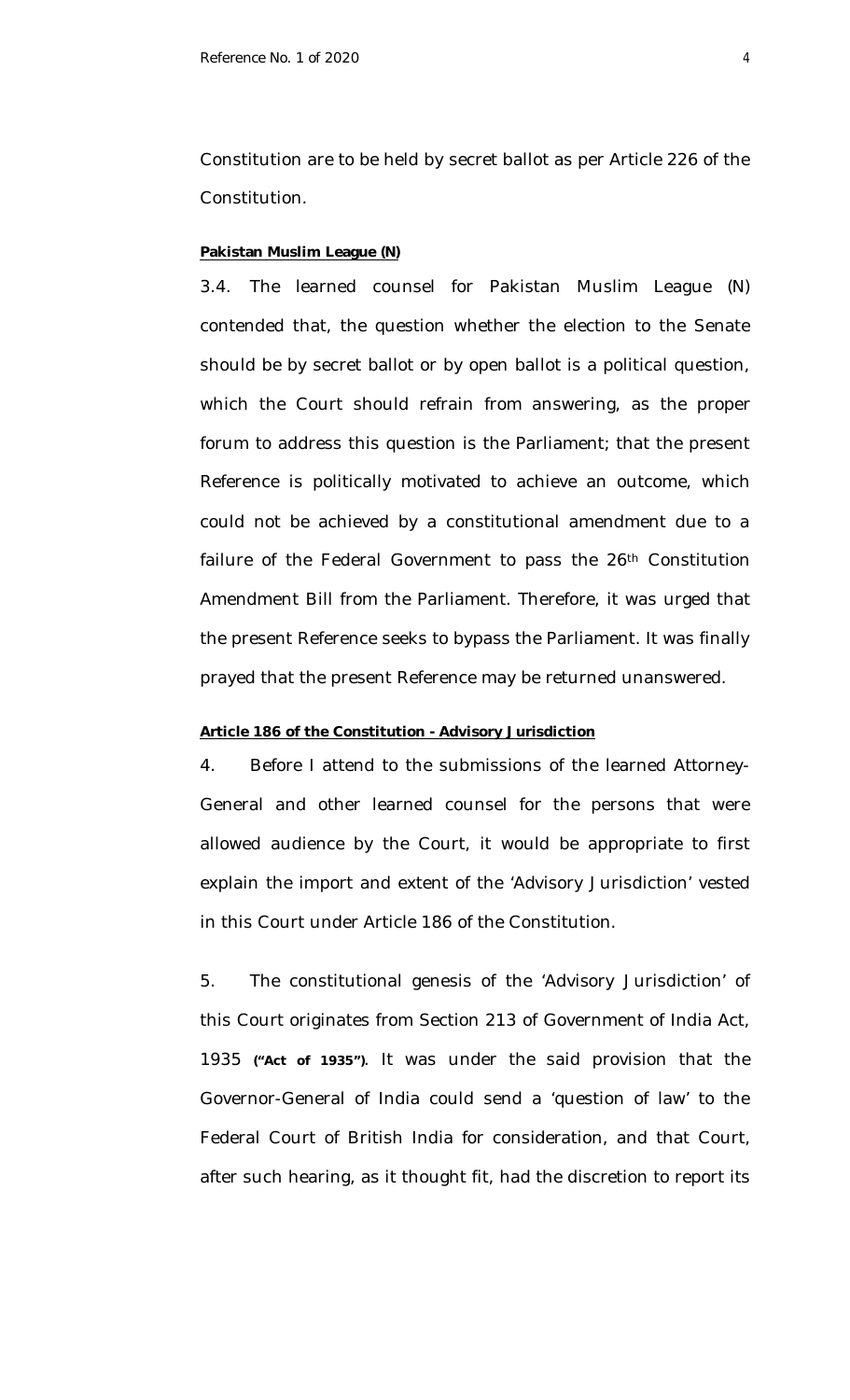Constitution are to be held by secret ballot as per Article 226 of the Constitution.

### **Pakistan Muslim League (N)**

3.4. The learned counsel for Pakistan Muslim League (N) contended that, the question whether the election to the Senate should be by secret ballot or by open ballot is a political question, which the Court should refrain from answering, as the proper forum to address this question is the Parliament; that the present Reference is politically motivated to achieve an outcome, which could not be achieved by a constitutional amendment due to a failure of the Federal Government to pass the 26<sup>th</sup> Constitution Amendment Bill from the Parliament. Therefore, it was urged that the present Reference seeks to bypass the Parliament. It was finally prayed that the present Reference may be returned unanswered.

### **Article 186 of the Constitution - Advisory Jurisdiction**

4. Before I attend to the submissions of the learned Attorney-General and other learned counsel for the persons that were allowed audience by the Court, it would be appropriate to first explain the import and extent of the 'Advisory Jurisdiction' vested in this Court under Article 186 of the Constitution.

5. The constitutional genesis of the 'Advisory Jurisdiction' of this Court originates from Section 213 of Government of India Act, 1935 **("Act of 1935")**. It was under the said provision that the Governor-General of India could send a 'question of law' to the Federal Court of British India for consideration, and that Court, after such hearing, as it thought fit, had the discretion to report its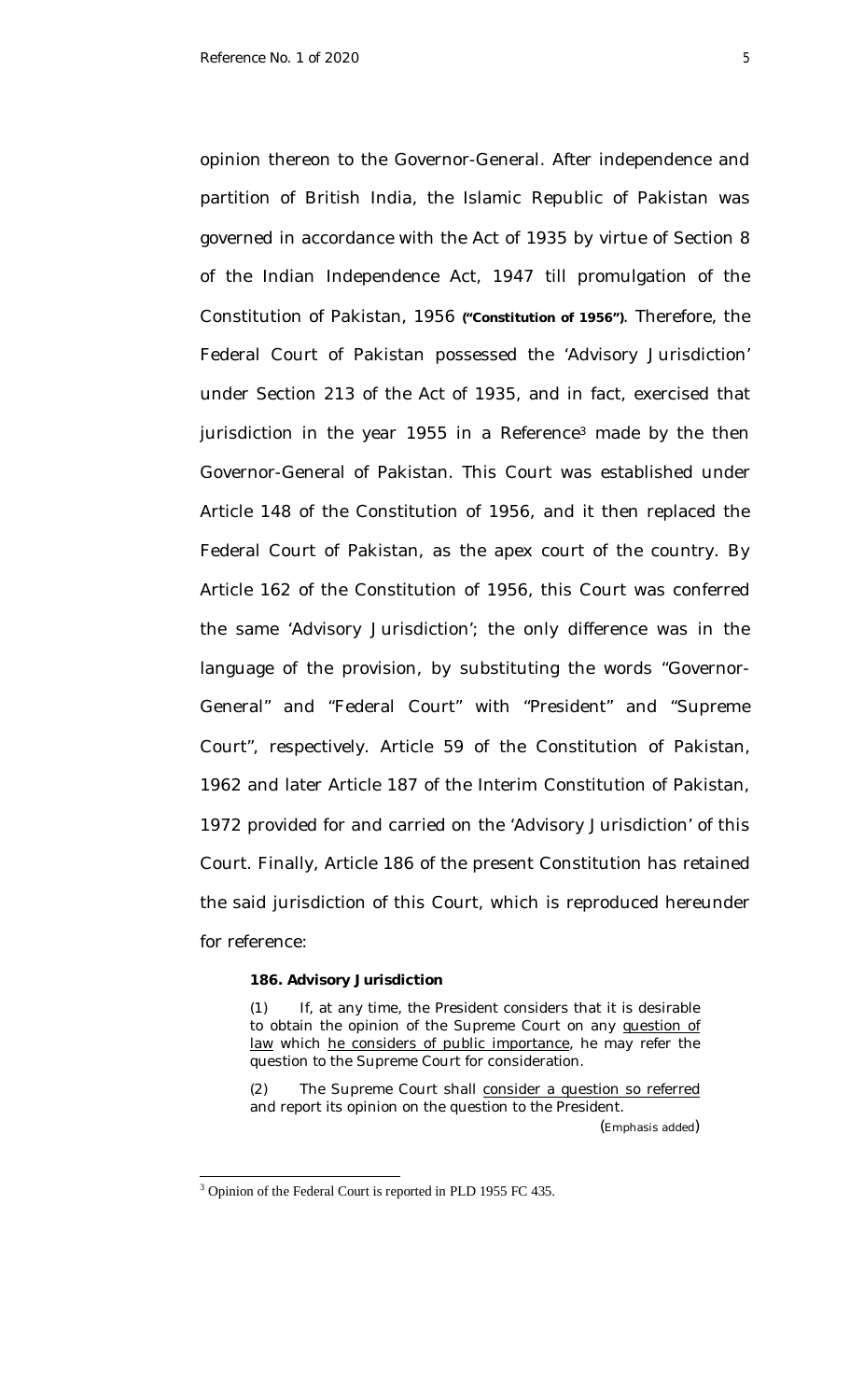opinion thereon to the Governor-General. After independence and partition of British India, the Islamic Republic of Pakistan was governed in accordance with the Act of 1935 by virtue of Section 8 of the Indian Independence Act, 1947 till promulgation of the Constitution of Pakistan, 1956 **("Constitution of 1956")**. Therefore, the Federal Court of Pakistan possessed the 'Advisory Jurisdiction' under Section 213 of the Act of 1935, and in fact, exercised that jurisdiction in the year 1955 in a Reference<sup>3</sup> made by the then Governor-General of Pakistan. This Court was established under Article 148 of the Constitution of 1956, and it then replaced the Federal Court of Pakistan, as the apex court of the country. By Article 162 of the Constitution of 1956, this Court was conferred the same 'Advisory Jurisdiction'; the only difference was in the language of the provision, by substituting the words "Governor-General" and "Federal Court" with "President" and "Supreme Court", respectively. Article 59 of the Constitution of Pakistan, 1962 and later Article 187 of the Interim Constitution of Pakistan, 1972 provided for and carried on the 'Advisory Jurisdiction' of this Court. Finally, Article 186 of the present Constitution has retained the said jurisdiction of this Court, which is reproduced hereunder for reference:

#### **186. Advisory Jurisdiction**

(1) If, at any time, the President considers that it is desirable to obtain the opinion of the Supreme Court on any question of law which he considers of public importance, he may refer the question to the Supreme Court for consideration.

(2) The Supreme Court shall consider a question so referred and report its opinion on the question to the President. (Emphasis added)

<sup>&</sup>lt;sup>3</sup> Opinion of the Federal Court is reported in PLD 1955 FC 435.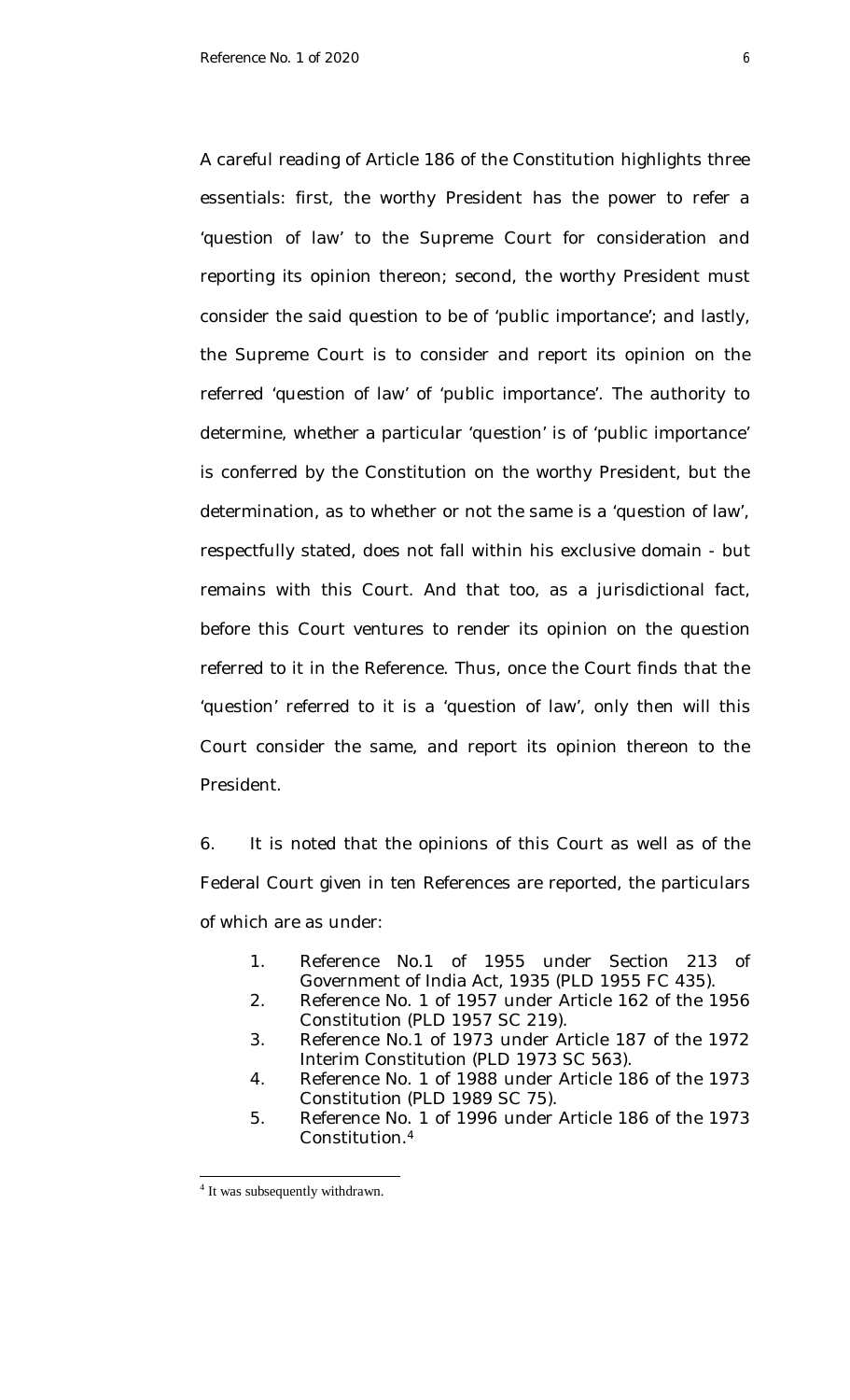A careful reading of Article 186 of the Constitution highlights three essentials: first, the worthy President has the power to refer a 'question of law' to the Supreme Court for consideration and reporting its opinion thereon; second, the worthy President must consider the said question to be of 'public importance'; and lastly, the Supreme Court is to consider and report its opinion on the referred 'question of law' of 'public importance'. The authority to determine, whether a particular 'question' is of 'public importance' is conferred by the Constitution on the worthy President, but the determination, as to whether or not the same is a 'question of law', respectfully stated, does not fall within his exclusive domain - but remains with this Court. And that too, as a jurisdictional fact, before this Court ventures to render its opinion on the question referred to it in the Reference. Thus, once the Court finds that the 'question' referred to it is a 'question of law', only then will this Court consider the same, and report its opinion thereon to the President.

6. It is noted that the opinions of this Court as well as of the Federal Court given in ten References are reported, the particulars of which are as under:

- 1. Reference No.1 of 1955 under Section 213 of Government of India Act, 1935 (PLD 1955 FC 435).
- 2. Reference No. 1 of 1957 under Article 162 of the 1956 Constitution (PLD 1957 SC 219).
- 3. Reference No.1 of 1973 under Article 187 of the 1972 Interim Constitution (PLD 1973 SC 563).
- 4. Reference No. 1 of 1988 under Article 186 of the 1973 Constitution (PLD 1989 SC 75).
- 5. Reference No. 1 of 1996 under Article 186 of the 1973 Constitution. 4

<sup>&</sup>lt;sup>4</sup> It was subsequently withdrawn.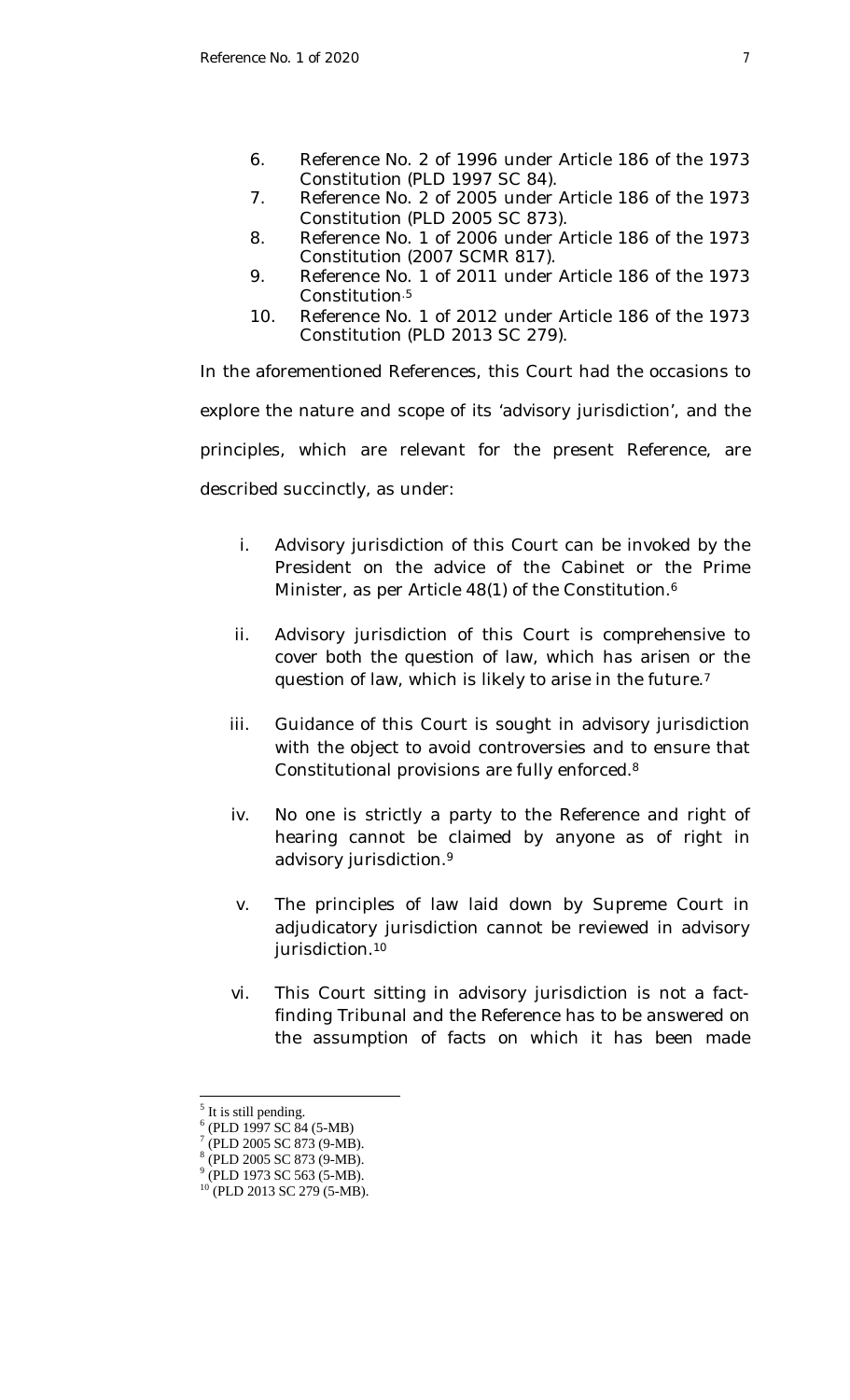- 6. Reference No. 2 of 1996 under Article 186 of the 1973 Constitution (PLD 1997 SC 84).
- 7. Reference No. 2 of 2005 under Article 186 of the 1973 Constitution (PLD 2005 SC 873).
- 8. Reference No. 1 of 2006 under Article 186 of the 1973 Constitution (2007 SCMR 817).
- 9. Reference No. 1 of 2011 under Article 186 of the 1973 Constitution<sup>5</sup>
- 10. Reference No. 1 of 2012 under Article 186 of the 1973 Constitution (PLD 2013 SC 279).

In the aforementioned References, this Court had the occasions to explore the nature and scope of its 'advisory jurisdiction', and the principles, which are relevant for the present Reference, are described succinctly, as under:

- i. Advisory jurisdiction of this Court can be invoked by the President on the advice of the Cabinet or the Prime Minister, as per Article 48(1) of the Constitution. 6
- ii. Advisory jurisdiction of this Court is comprehensive to cover both the question of law, which has arisen or the question of law, which is likely to arise in the future. 7
- iii. Guidance of this Court is sought in advisory jurisdiction with the object to avoid controversies and to ensure that Constitutional provisions are fully enforced. 8
- iv. No one is strictly a party to the Reference and right of hearing cannot be claimed by anyone as of right in advisory jurisdiction. 9
- v. The principles of law laid down by Supreme Court in adjudicatory jurisdiction cannot be reviewed in advisory jurisdiction. 10
- vi. This Court sitting in advisory jurisdiction is not a factfinding Tribunal and the Reference has to be answered on the assumption of facts on which it has been made

<sup>&</sup>lt;sup>5</sup> It is still pending.

<sup>6</sup> (PLD 1997 SC 84 (5-MB)

<sup>7</sup> (PLD 2005 SC 873 (9-MB).

<sup>8</sup> (PLD 2005 SC 873 (9-MB). <sup>9</sup> (PLD 1973 SC 563 (5-MB).

 $10$  (PLD 2013 SC 279 (5-MB).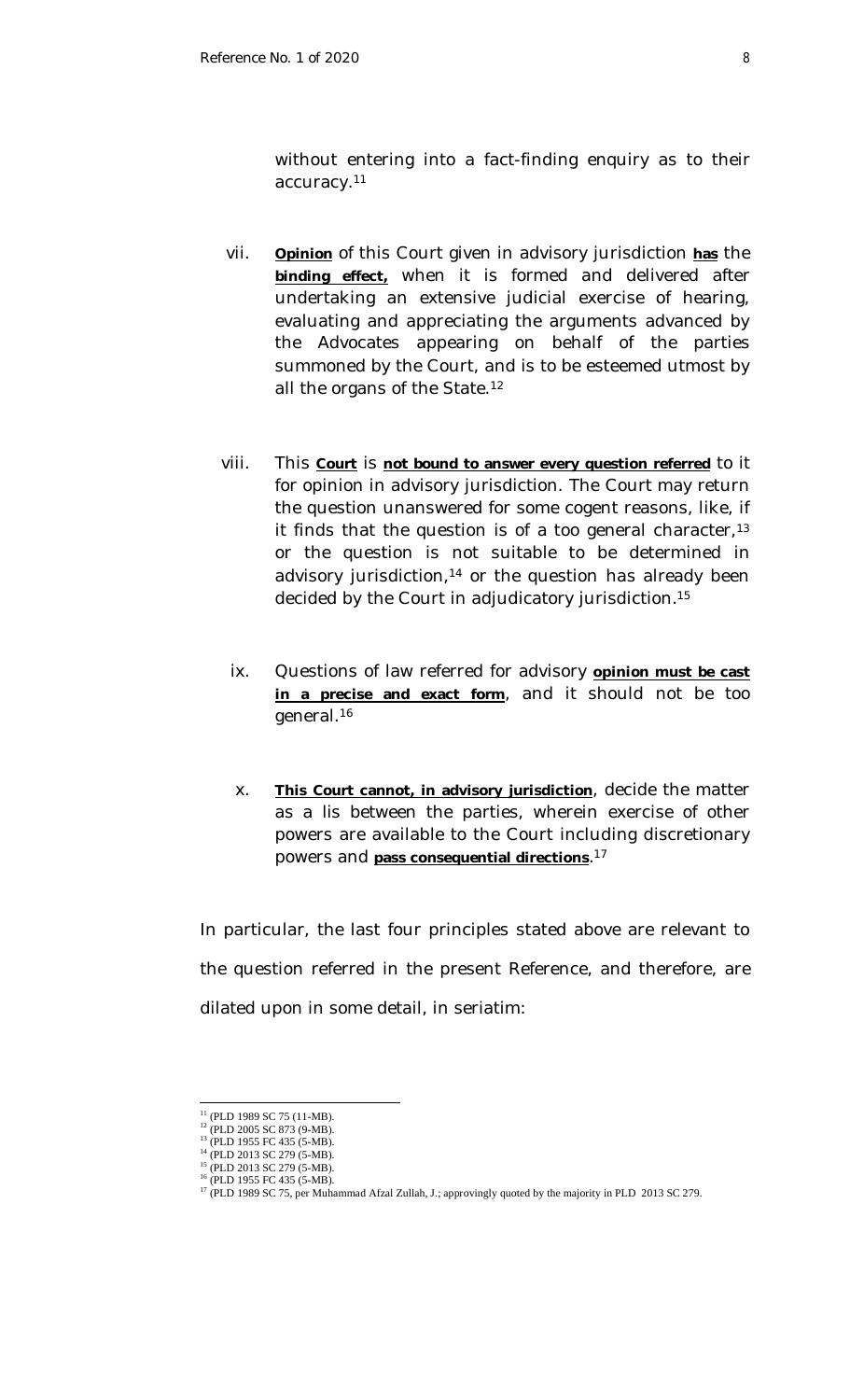without entering into a fact-finding enquiry as to their accuracy.<sup>11</sup>

- vii. **Opinion** of this Court given in advisory jurisdiction **has** the **binding effect,** when it is formed and delivered after undertaking an extensive judicial exercise of hearing, evaluating and appreciating the arguments advanced by the Advocates appearing on behalf of the parties summoned by the Court, and is to be esteemed utmost by all the organs of the State. 12
- viii. This **Court** is **not bound to answer every question referred** to it for opinion in advisory jurisdiction. The Court may return the question unanswered for some cogent reasons, like, if it finds that the question is of a too general character,  $13$ or the question is not suitable to be determined in advisory jurisdiction, $14$  or the question has already been decided by the Court in adjudicatory jurisdiction.<sup>15</sup>
- ix. Questions of law referred for advisory **opinion must be cast in a precise and exact form**, and it should not be too general. 16
- x. **This Court cannot, in advisory jurisdiction**, decide the matter as a *lis* between the parties, wherein exercise of other powers are available to the Court including discretionary powers and **pass consequential directions**. 17

In particular, the last four principles stated above are relevant to the question referred in the present Reference, and therefore, are dilated upon in some detail, in seriatim:

 $11$  (PLD 1989 SC 75 (11-MB).

<sup>&</sup>lt;sup>12</sup> (PLD 2005 SC 873 (9-MB). <sup>13</sup> (PLD 1955 FC 435 (5-MB).

<sup>14</sup> (PLD 2013 SC 279 (5-MB).

<sup>&</sup>lt;sup>15</sup> (PLD 2013 SC 279 (5-MB).

<sup>&</sup>lt;sup>16</sup> (PLD 1955 FC 435 (5-MB).

<sup>&</sup>lt;sup>17</sup> (PLD 1989 SC 75, per Muhammad Afzal Zullah, J.; approvingly quoted by the majority in PLD 2013 SC 279.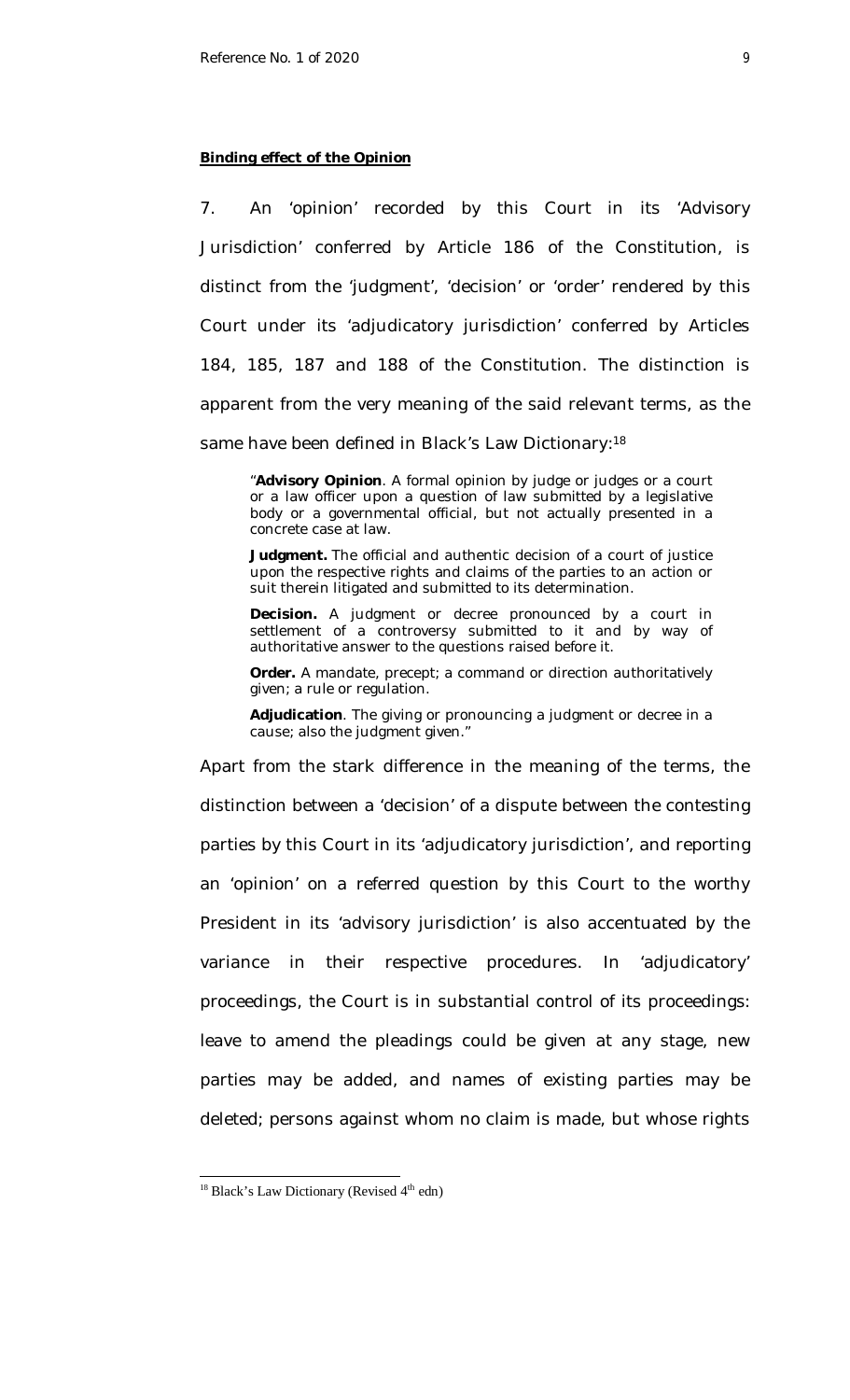### **Binding effect of the Opinion**

7. An 'opinion' recorded by this Court in its 'Advisory Jurisdiction' conferred by Article 186 of the Constitution, is distinct from the 'judgment', 'decision' or 'order' rendered by this Court under its 'adjudicatory jurisdiction' conferred by Articles 184, 185, 187 and 188 of the Constitution. The distinction is apparent from the very meaning of the said relevant terms, as the same have been defined in Black's Law Dictionary:<sup>18</sup>

"**Advisory Opinion**. A formal opinion by judge or judges or a court or a law officer upon a question of law submitted by a legislative body or a governmental official, but not actually presented in a concrete case at law.

**Judgment.** The official and authentic decision of a court of justice upon the respective rights and claims of the parties to an action or suit therein litigated and submitted to its determination.

**Decision.** A judgment or decree pronounced by a court in settlement of a controversy submitted to it and by way of authoritative answer to the questions raised before it.

**Order.** A mandate, precept; a command or direction authoritatively given; a rule or regulation.

**Adjudication**. The giving or pronouncing a judgment or decree in a cause; also the judgment given."

Apart from the stark difference in the meaning of the terms, the distinction between a 'decision' of a dispute between the contesting parties by this Court in its 'adjudicatory jurisdiction', and reporting an 'opinion' on a referred question by this Court to the worthy President in its 'advisory jurisdiction' is also accentuated by the variance in their respective procedures. In 'adjudicatory' proceedings, the Court is in substantial control of its proceedings: leave to amend the pleadings could be given at any stage, new parties may be added, and names of existing parties may be deleted; persons against whom no claim is made, but whose rights

 $18$  Black's Law Dictionary (Revised  $4<sup>th</sup>$  edn)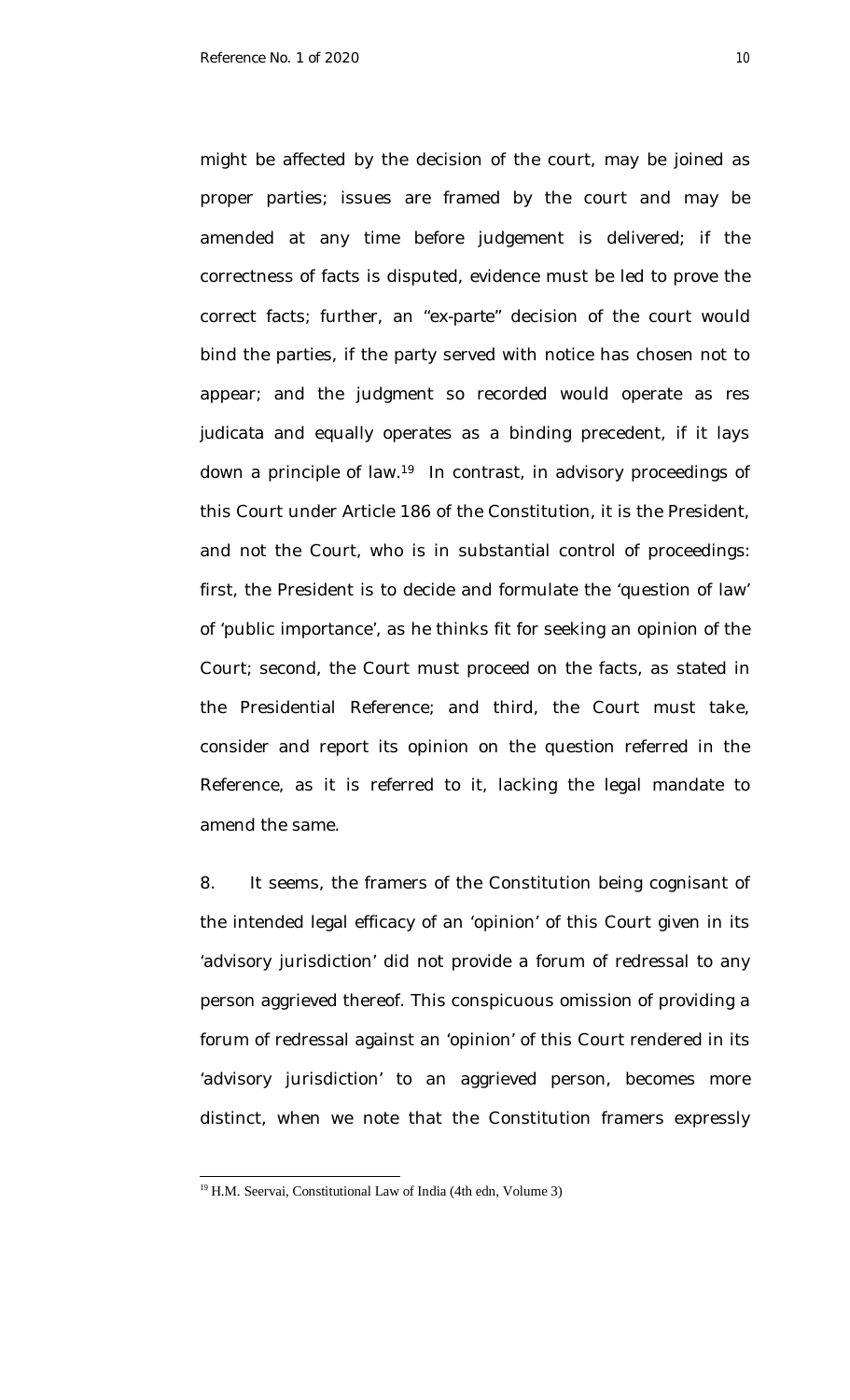might be affected by the decision of the court, may be joined as proper parties; issues are framed by the court and may be amended at any time before judgement is delivered; if the correctness of facts is disputed, evidence must be led to prove the correct facts; further, an "*ex-parte*" decision of the court would bind the parties, if the party served with notice has chosen not to appear; and the judgment so recorded would operate as *res judicata* and equally operates as a binding precedent, if it lays down a principle of law.<sup>19</sup> In contrast, in advisory proceedings of this Court under Article 186 of the Constitution, it is the President, and not the Court, who is in substantial control of proceedings: first, the President is to decide and formulate the 'question of law' of 'public importance', as he thinks fit for seeking an opinion of the Court; second, the Court must proceed on the facts, as stated in the Presidential Reference; and third, the Court must take, consider and report its opinion on the question referred in the Reference, as it is referred to it, lacking the legal mandate to amend the same.

8. It seems, the framers of the Constitution being cognisant of the intended legal efficacy of an 'opinion' of this Court given in its 'advisory jurisdiction' did not provide a forum of redressal to any person aggrieved thereof. This conspicuous omission of providing a forum of redressal against an 'opinion' of this Court rendered in its 'advisory jurisdiction' to an aggrieved person, becomes more distinct, when we note that the Constitution framers expressly

<sup>&</sup>lt;sup>19</sup> H.M. Seervai, Constitutional Law of India (4th edn, Volume 3)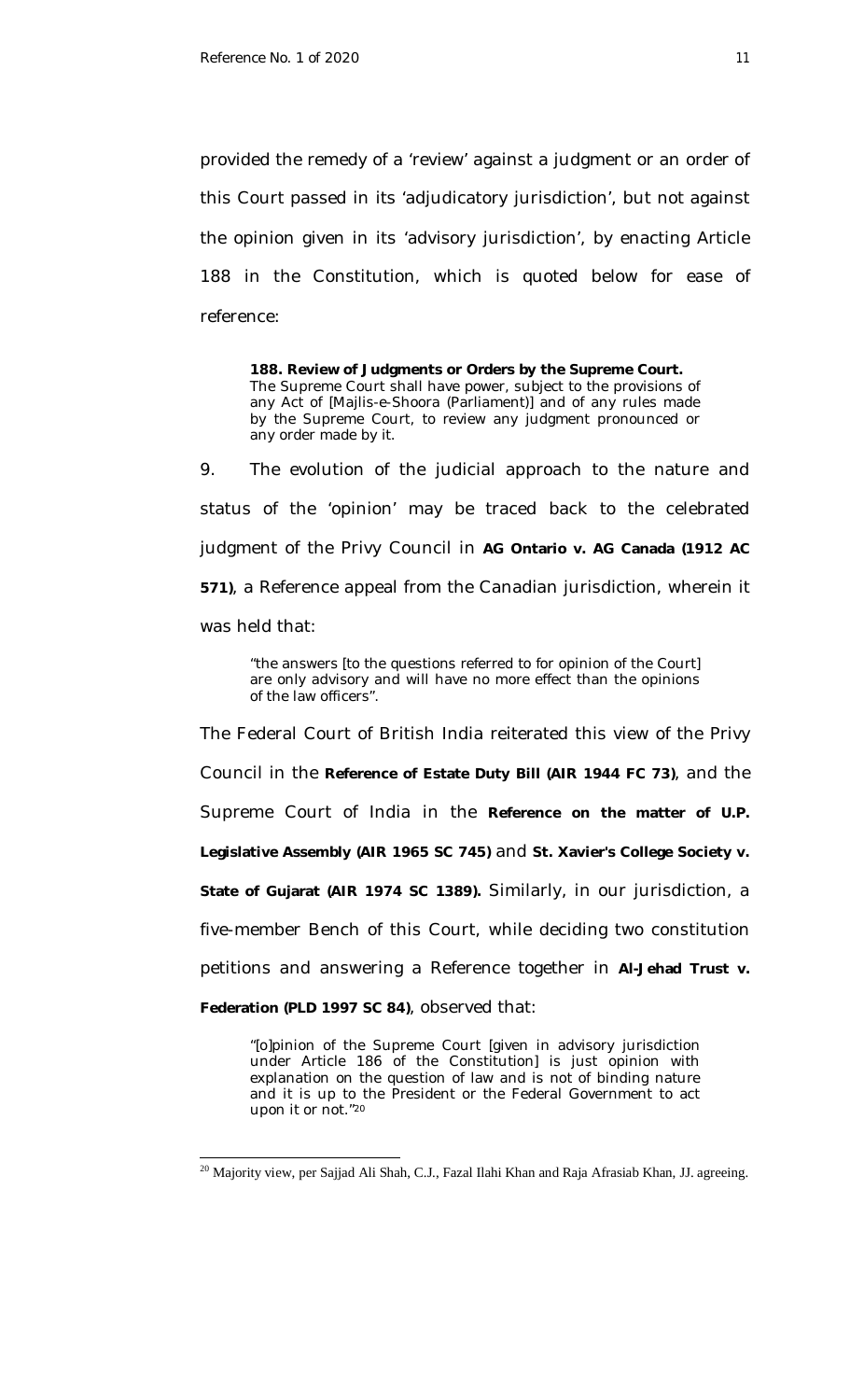provided the remedy of a 'review' against a judgment or an order of this Court passed in its 'adjudicatory jurisdiction', but not against the opinion given in its 'advisory jurisdiction', by enacting Article 188 in the Constitution, which is quoted below for ease of reference:

**188. Review of Judgments or Orders by the Supreme Court.** The Supreme Court shall have power, subject to the provisions of any Act of [Majlis-e-Shoora (Parliament)] and of any rules made by the Supreme Court, to review any judgment pronounced or any order made by it.

9. The evolution of the judicial approach to the nature and status of the 'opinion' may be traced back to the celebrated judgment of the Privy Council in **AG Ontario v. AG Canada (1912 AC 571)**, a Reference appeal from the Canadian jurisdiction, wherein it was held that:

"the answers [to the questions referred to for opinion of the Court] are only advisory and will have no more effect than the opinions of the law officers".

The Federal Court of British India reiterated this view of the Privy Council in the **Reference of Estate Duty Bill (AIR 1944 FC 73)**, and the Supreme Court of India in the **Reference on the matter of U.P. Legislative Assembly (AIR 1965 SC 745)** and **St. Xavier's College Society v. State of Gujarat (AIR 1974 SC 1389).** Similarly, in our jurisdiction, a five-member Bench of this Court, while deciding two constitution petitions and answering a Reference together in **Al-Jehad Trust v.** 

**Federation (PLD 1997 SC 84)**, observed that:

 $\overline{a}$ 

"[o]pinion of the Supreme Court [given in advisory jurisdiction under Article 186 of the Constitution] is just opinion with explanation on the question of law and is not of binding nature and it is up to the President or the Federal Government to act upon it or not."<sup>20</sup>

 $^{20}$  Majority view, per Sajjad Ali Shah, C.J., Fazal Ilahi Khan and Raja Afrasiab Khan, JJ. agreeing.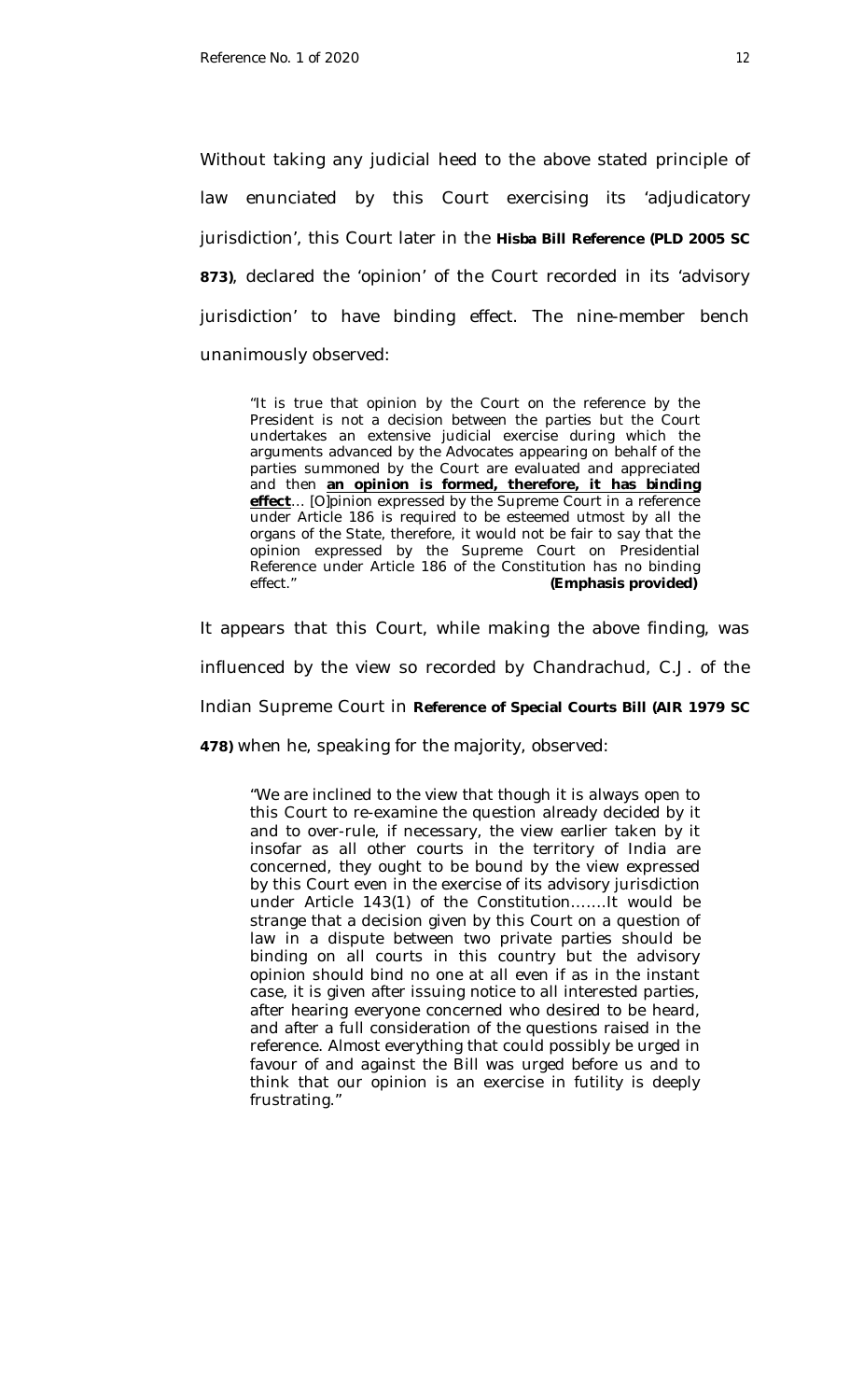Without taking any judicial heed to the above stated principle of law enunciated by this Court exercising its 'adjudicatory jurisdiction', this Court later in the **Hisba Bill Reference (PLD 2005 SC 873)**, declared the 'opinion' of the Court recorded in its 'advisory jurisdiction' to have binding effect. The nine-member bench unanimously observed:

"It is true that opinion by the Court on the reference by the President is not a decision between the parties but the Court undertakes an extensive judicial exercise during which the arguments advanced by the Advocates appearing on behalf of the parties summoned by the Court are evaluated and appreciated and then **an opinion is formed, therefore, it has binding effect**… [O]pinion expressed by the Supreme Court in a reference under Article 186 is required to be esteemed utmost by all the organs of the State, therefore, it would not be fair to say that the opinion expressed by the Supreme Court on Presidential Reference under Article 186 of the Constitution has no binding effect." **(Emphasis provided)**

It appears that this Court, while making the above finding, was influenced by the view so recorded by Chandrachud, C.J. of the Indian Supreme Court in **Reference of Special Courts Bill (AIR 1979 SC 478)** when he, speaking for the majority, observed:

"We are inclined to the view that though it is always open to this Court to re-examine the question already decided by it and to over-rule, if necessary, the view earlier taken by it insofar as all other courts in the territory of India are concerned, they ought to be bound by the view expressed by this Court even in the exercise of its advisory jurisdiction under Article 143(1) of the Constitution…….It would be strange that a decision given by this Court on a question of law in a dispute between two private parties should be binding on all courts in this country but the advisory opinion should bind no one at all even if as in the instant case, it is given after issuing notice to all interested parties, after hearing everyone concerned who desired to be heard, and after a full consideration of the questions raised in the reference. Almost everything that could possibly be urged in favour of and against the Bill was urged before us and to think that our opinion is an exercise in futility is deeply frustrating."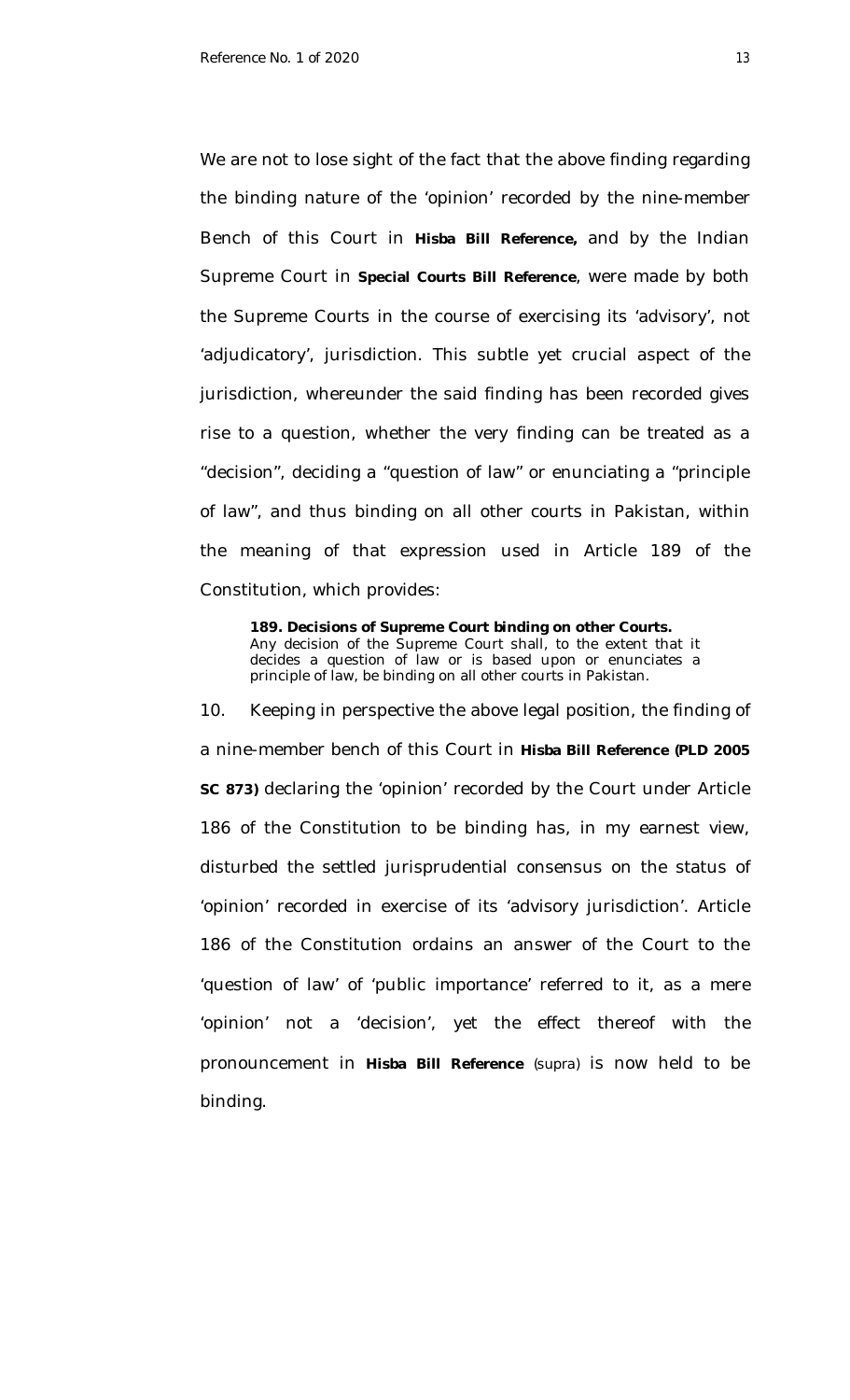We are not to lose sight of the fact that the above finding regarding the binding nature of the 'opinion' recorded by the nine-member Bench of this Court in **Hisba Bill Reference,** and by the Indian Supreme Court in **Special Courts Bill Reference***,* were made by both the Supreme Courts in the course of exercising its 'advisory', not 'adjudicatory', jurisdiction. This subtle yet crucial aspect of the jurisdiction, whereunder the said finding has been recorded gives rise to a question, whether the very finding can be treated as a "decision", deciding a "question of law" or enunciating a "principle of law", and thus binding on all other courts in Pakistan, within the meaning of that expression used in Article 189 of the Constitution, which provides:

**189. Decisions of Supreme Court binding on other Courts.** Any decision of the Supreme Court shall, to the extent that it decides a question of law or is based upon or enunciates a principle of law, be binding on all other courts in Pakistan.

10. Keeping in perspective the above legal position, the finding of a nine-member bench of this Court in **Hisba Bill Reference (PLD 2005 SC 873)** declaring the 'opinion' recorded by the Court under Article 186 of the Constitution to be binding has, in my earnest view, disturbed the settled jurisprudential consensus on the status of 'opinion' recorded in exercise of its 'advisory jurisdiction'. Article 186 of the Constitution ordains an answer of the Court to the 'question of law' of 'public importance' referred to it, as a mere 'opinion' not a 'decision', yet the effect thereof with the pronouncement in **Hisba Bill Reference** *(supra)* is now held to be binding.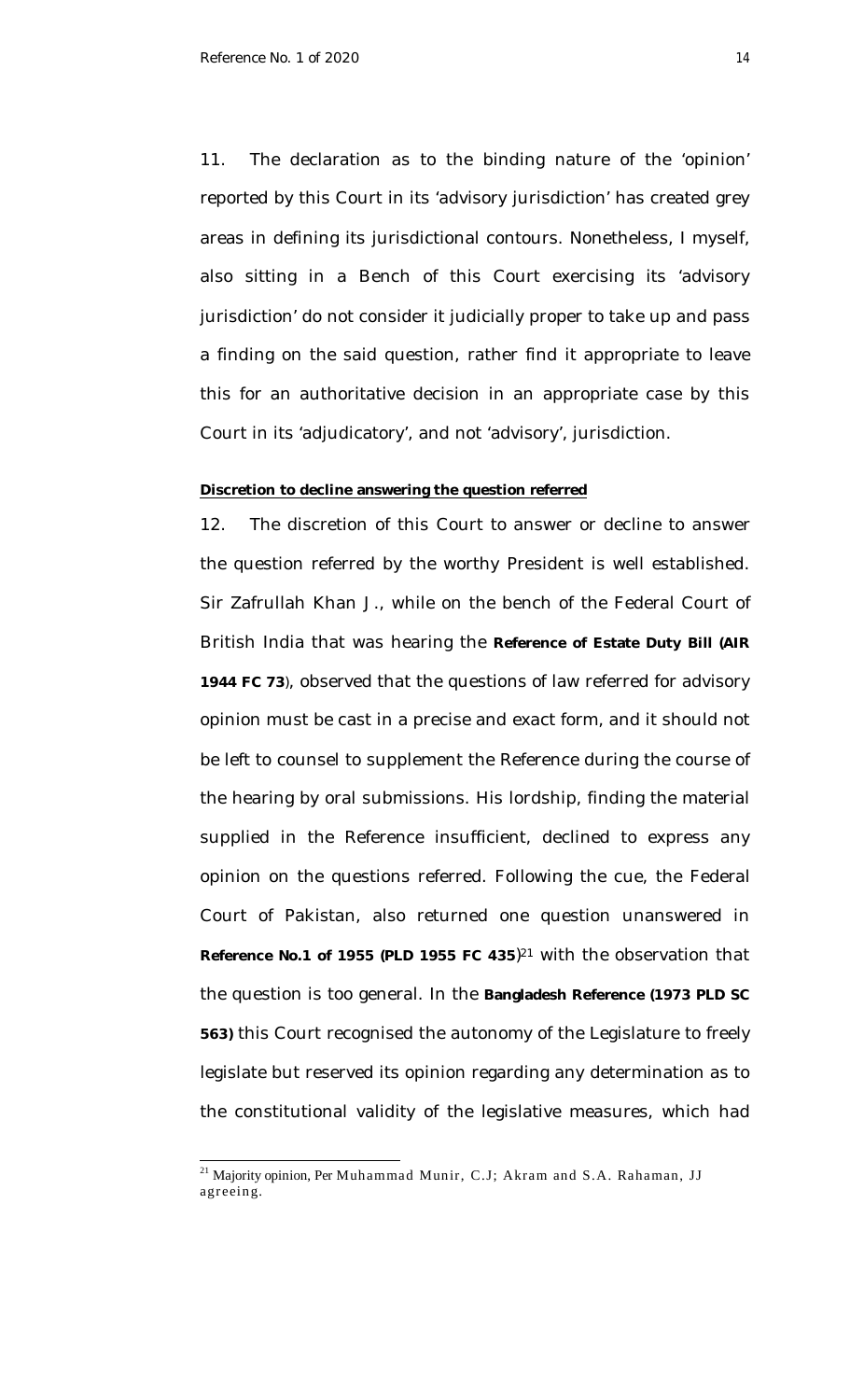11. The declaration as to the binding nature of the 'opinion' reported by this Court in its 'advisory jurisdiction' has created grey areas in defining its jurisdictional contours. Nonetheless, I myself, also sitting in a Bench of this Court exercising its 'advisory jurisdiction' do not consider it judicially proper to take up and pass a finding on the said question, rather find it appropriate to leave this for an authoritative decision in an appropriate case by this Court in its 'adjudicatory', and not 'advisory', jurisdiction.

### **Discretion to decline answering the question referred**

12. The discretion of this Court to answer or decline to answer the question referred by the worthy President is well established. Sir Zafrullah Khan J., while on the bench of the Federal Court of British India that was hearing the **Reference of Estate Duty Bill (AIR 1944 FC 73**), observed that the questions of law referred for advisory opinion must be cast in a precise and exact form, and it should not be left to counsel to supplement the Reference during the course of the hearing by oral submissions. His lordship, finding the material supplied in the Reference insufficient, declined to express any opinion on the questions referred. Following the cue, the Federal Court of Pakistan, also returned one question unanswered in **Reference No.1 of 1955 (PLD 1955 FC 435**) <sup>21</sup> with the observation that the question is too general. In the **Bangladesh Reference (1973 PLD SC 563)** this Court recognised the autonomy of the Legislature to freely legislate but reserved its opinion regarding any determination as to the constitutional validity of the legislative measures, which had

 $\overline{\phantom{a}}$ 

<sup>&</sup>lt;sup>21</sup> Majority opinion, Per Muhammad Munir, C.J; Akram and S.A. Rahaman, JJ agreeing.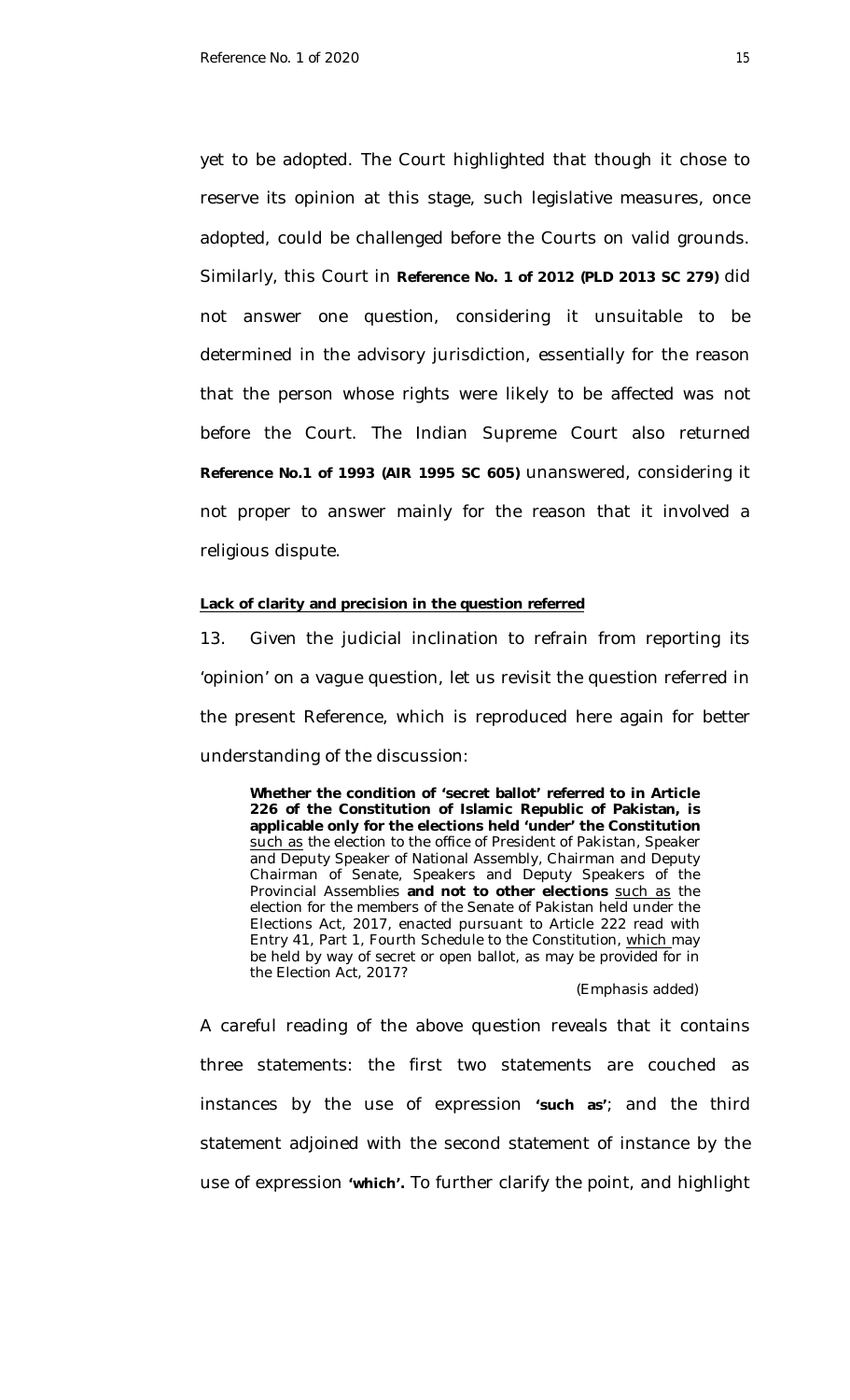yet to be adopted. The Court highlighted that though it chose to reserve its opinion at this stage, such legislative measures, once adopted, could be challenged before the Courts on valid grounds. Similarly, this Court in **Reference No. 1 of 2012 (PLD 2013 SC 279)** did not answer one question, considering it unsuitable to be determined in the advisory jurisdiction, essentially for the reason that the person whose rights were likely to be affected was not before the Court. The Indian Supreme Court also returned **Reference No.1 of 1993 (AIR 1995 SC 605)** unanswered, considering it not proper to answer mainly for the reason that it involved a religious dispute.

#### **Lack of clarity and precision in the question referred**

13. Given the judicial inclination to refrain from reporting its 'opinion' on a vague question, let us revisit the question referred in the present Reference, which is reproduced here again for better understanding of the discussion:

**Whether the condition of 'secret ballot' referred to in Article 226 of the Constitution of Islamic Republic of Pakistan, is applicable only for the elections held 'under' the Constitution** such as the election to the office of President of Pakistan, Speaker and Deputy Speaker of National Assembly, Chairman and Deputy Chairman of Senate, Speakers and Deputy Speakers of the Provincial Assemblies **and not to other elections** such as the election for the members of the Senate of Pakistan held under the Elections Act, 2017, enacted pursuant to Article 222 read with Entry 41, Part 1, Fourth Schedule to the Constitution, which may be held by way of secret or open ballot, as may be provided for in the Election Act, 2017?

#### (Emphasis added)

A careful reading of the above question reveals that it contains three statements: the first two statements are couched as instances by the use of expression **'such as'**; and the third statement adjoined with the second statement of instance by the use of expression **'which'.** To further clarify the point, and highlight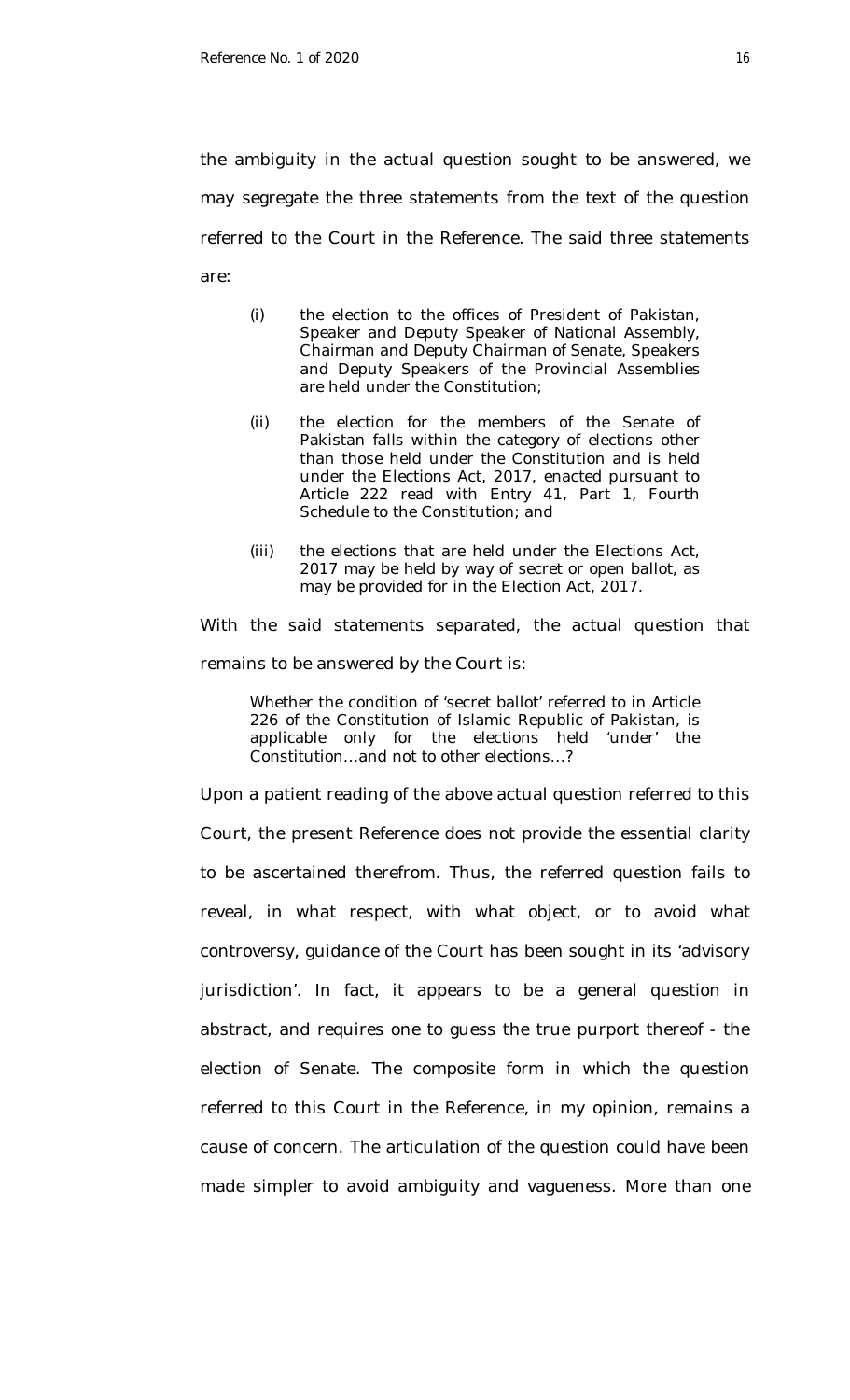the ambiguity in the actual question sought to be answered, we may segregate the three statements from the text of the question referred to the Court in the Reference. The said three statements are:

- (i) the election to the offices of President of Pakistan, Speaker and Deputy Speaker of National Assembly, Chairman and Deputy Chairman of Senate, Speakers and Deputy Speakers of the Provincial Assemblies are held under the Constitution;
- (ii) the election for the members of the Senate of Pakistan falls within the category of elections other than those held under the Constitution and is held under the Elections Act, 2017, enacted pursuant to Article 222 read with Entry 41, Part 1, Fourth Schedule to the Constitution; and
- (iii) the elections that are held under the Elections Act, 2017 may be held by way of secret or open ballot, as may be provided for in the Election Act, 2017.

With the said statements separated, the actual question that remains to be answered by the Court is:

Whether the condition of 'secret ballot' referred to in Article 226 of the Constitution of Islamic Republic of Pakistan, is applicable only for the elections held 'under' the Constitution…and not to other elections…?

Upon a patient reading of the above actual question referred to this Court, the present Reference does not provide the essential clarity to be ascertained therefrom. Thus, the referred question fails to reveal, in what respect, with what object, or to avoid what controversy, guidance of the Court has been sought in its 'advisory jurisdiction'. In fact, it appears to be a general question in abstract, and requires one to guess the true purport thereof - the election of Senate. The composite form in which the question referred to this Court in the Reference, in my opinion, remains a cause of concern. The articulation of the question could have been made simpler to avoid ambiguity and vagueness. More than one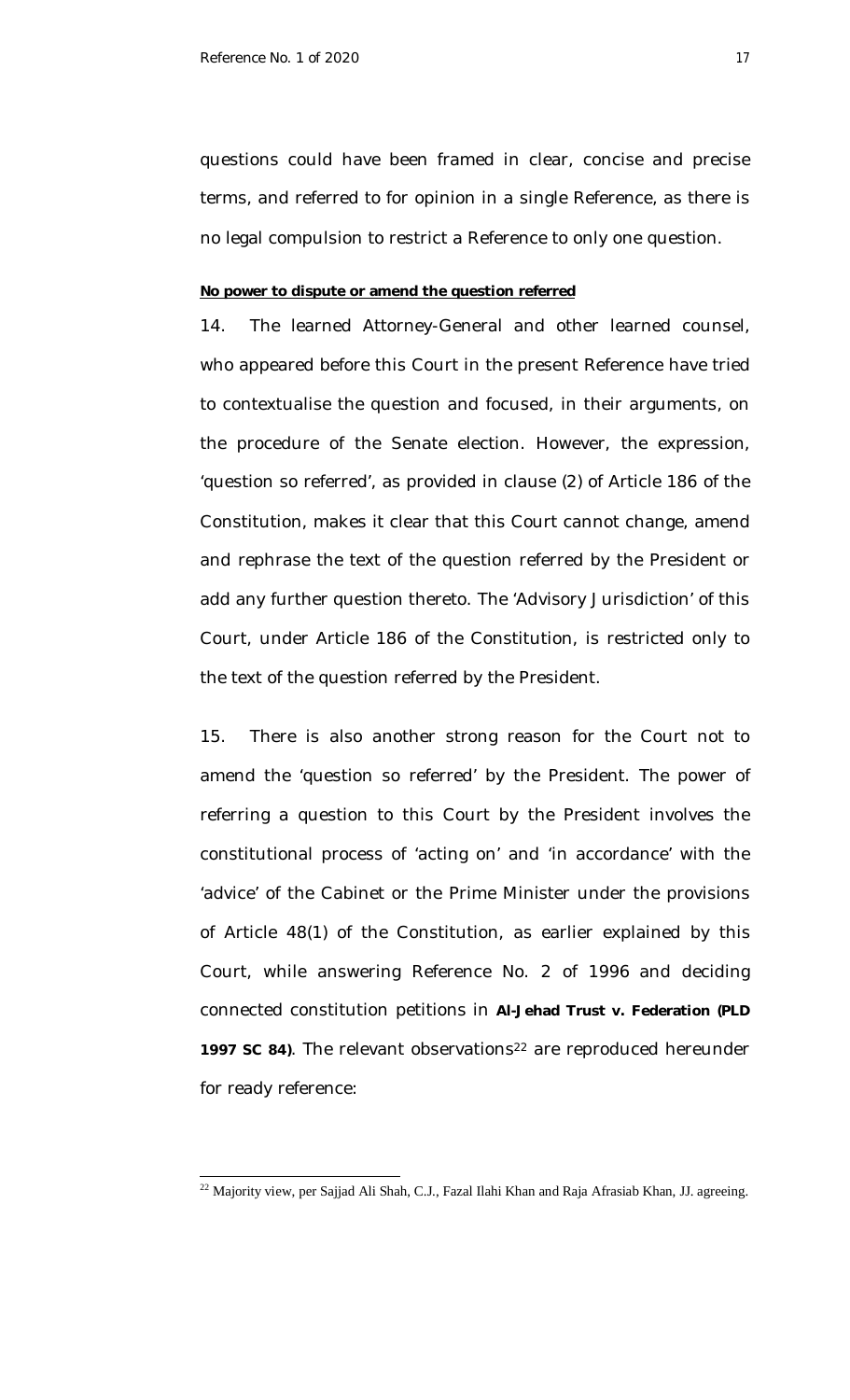questions could have been framed in clear, concise and precise terms, and referred to for opinion in a single Reference, as there is no legal compulsion to restrict a Reference to only one question.

### **No power to dispute or amend the question referred**

14. The learned Attorney-General and other learned counsel, who appeared before this Court in the present Reference have tried to contextualise the question and focused, in their arguments, on the procedure of the Senate election. However, the expression, 'question so referred', as provided in clause (2) of Article 186 of the Constitution, makes it clear that this Court cannot change, amend and rephrase the text of the question referred by the President or add any further question thereto. The 'Advisory Jurisdiction' of this Court, under Article 186 of the Constitution, is restricted only to the text of the question referred by the President.

15. There is also another strong reason for the Court not to amend the 'question so referred' by the President. The power of referring a question to this Court by the President involves the constitutional process of 'acting on' and 'in accordance' with the 'advice' of the Cabinet or the Prime Minister under the provisions of Article 48(1) of the Constitution, as earlier explained by this Court, while answering Reference No. 2 of 1996 and deciding connected constitution petitions in **Al-Jehad Trust v. Federation (PLD**  1997 SC 84). The relevant observations<sup>22</sup> are reproduced hereunder for ready reference:

 $\overline{a}$  $^{22}$  Majority view, per Sajjad Ali Shah, C.J., Fazal Ilahi Khan and Raja Afrasiab Khan, JJ. agreeing.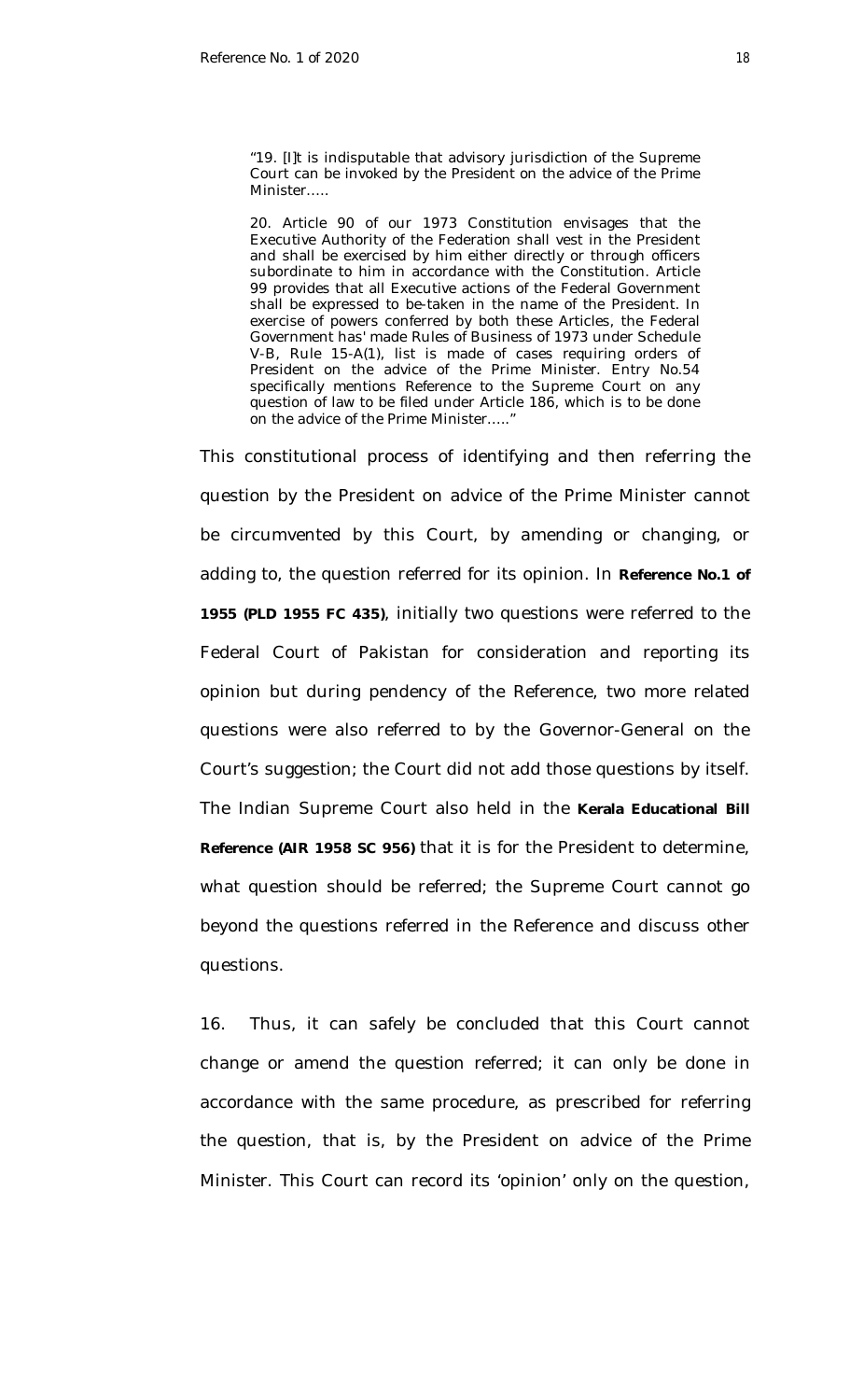"19. [I]t is indisputable that advisory jurisdiction of the Supreme Court can be invoked by the President on the advice of the Prime Minister…..

20. Article 90 of our 1973 Constitution envisages that the Executive Authority of the Federation shall vest in the President and shall be exercised by him either directly or through officers subordinate to him in accordance with the Constitution. Article 99 provides that all Executive actions of the Federal Government shall be expressed to be-taken in the name of the President. In exercise of powers conferred by both these Articles, the Federal Government has' made Rules of Business of 1973 under Schedule V-B, Rule 15-A(1), list is made of cases requiring orders of President on the advice of the Prime Minister. Entry No.54 specifically mentions Reference to the Supreme Court on any question of law to be filed under Article 186, which is to be done on the advice of the Prime Minister….."

This constitutional process of identifying and then referring the question by the President on advice of the Prime Minister cannot be circumvented by this Court, by amending or changing, or adding to, the question referred for its opinion. In **Reference No.1 of 1955 (PLD 1955 FC 435)**, initially two questions were referred to the Federal Court of Pakistan for consideration and reporting its opinion but during pendency of the Reference, two more related questions were also referred to by the Governor-General on the Court's suggestion; the Court did not add those questions by itself. The Indian Supreme Court also held in the **Kerala Educational Bill Reference (AIR 1958 SC 956)** that it is for the President to determine, what question should be referred; the Supreme Court cannot go beyond the questions referred in the Reference and discuss other questions.

16. Thus, it can safely be concluded that this Court cannot change or amend the question referred; it can only be done in accordance with the same procedure, as prescribed for referring the question, that is, by the President on advice of the Prime Minister. This Court can record its 'opinion' only on the question,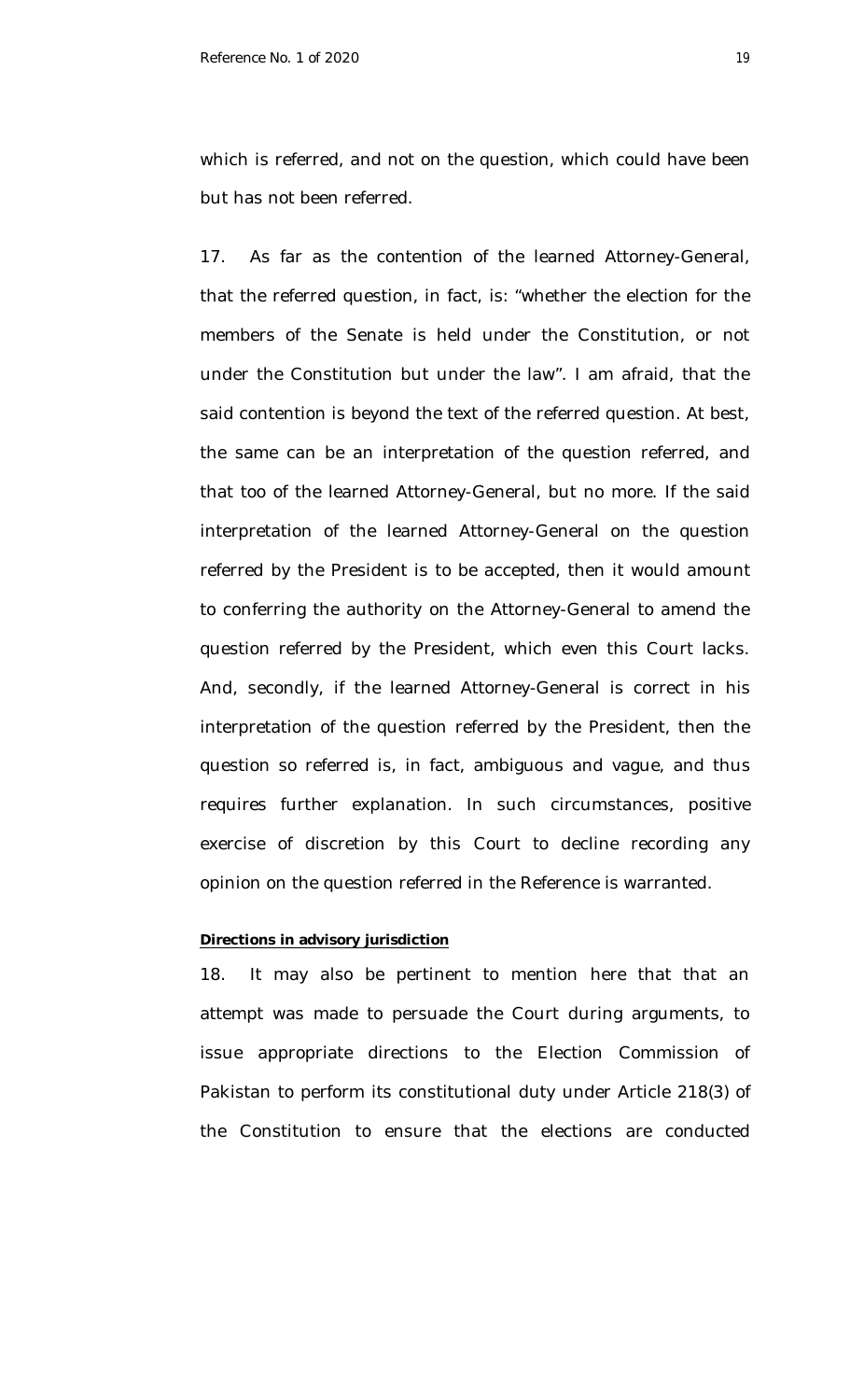which is referred, and not on the question, which could have been but has not been referred.

17. As far as the contention of the learned Attorney-General, that the referred question, in fact, is: "whether the election for the members of the Senate is held under the Constitution, or not under the Constitution but under the law". I am afraid, that the said contention is beyond the text of the referred question. At best, the same can be an interpretation of the question referred, and that too of the learned Attorney-General, but no more. If the said interpretation of the learned Attorney-General on the question referred by the President is to be accepted, then it would amount to conferring the authority on the Attorney-General to amend the question referred by the President, which even this Court lacks. And, secondly, if the learned Attorney-General is correct in his interpretation of the question referred by the President, then the question so referred is, in fact, ambiguous and vague, and thus requires further explanation. In such circumstances, positive exercise of discretion by this Court to decline recording any opinion on the question referred in the Reference is warranted.

## **Directions in advisory jurisdiction**

18. It may also be pertinent to mention here that that an attempt was made to persuade the Court during arguments, to issue appropriate directions to the Election Commission of Pakistan to perform its constitutional duty under Article 218(3) of the Constitution to ensure that the elections are conducted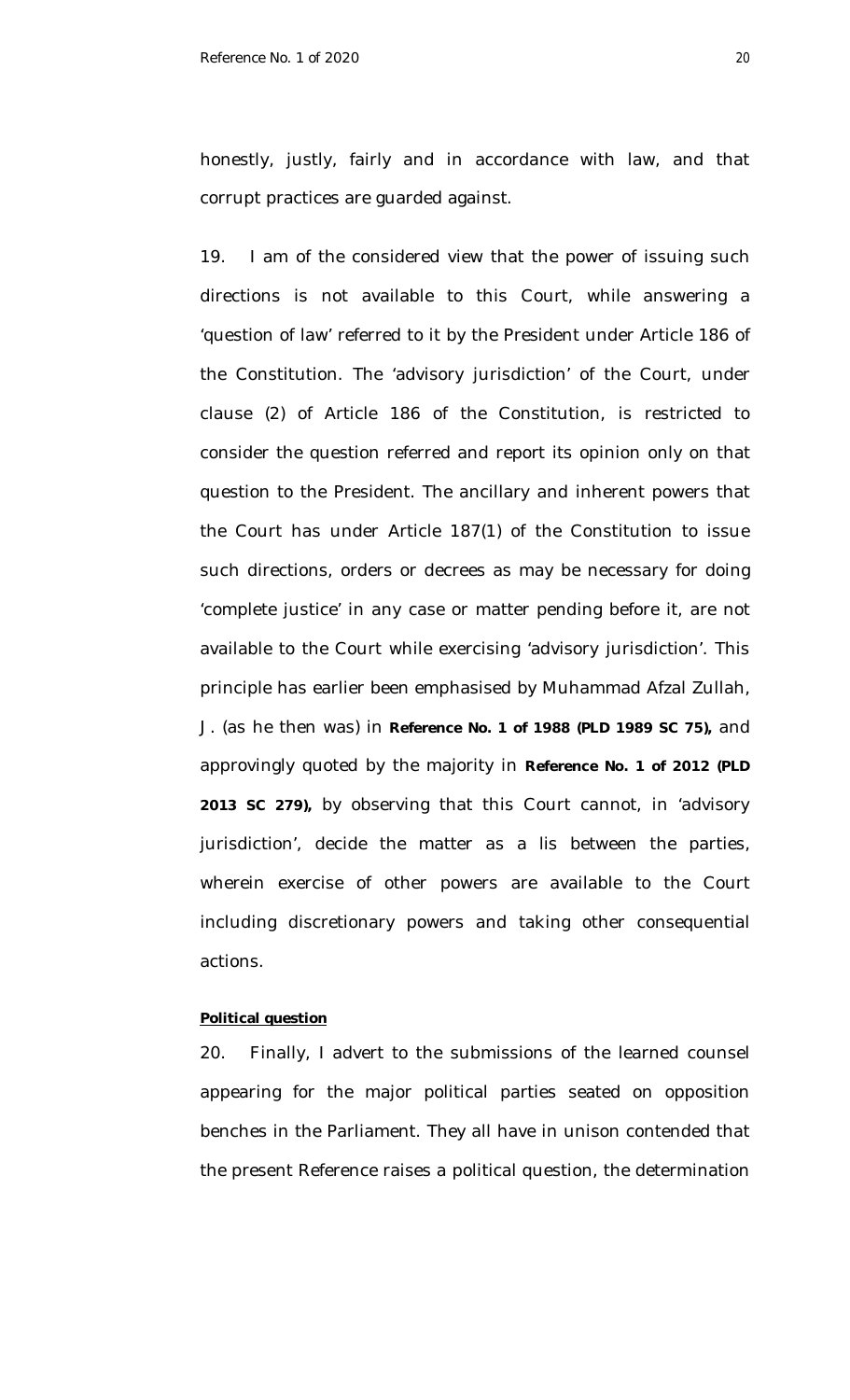honestly, justly, fairly and in accordance with law, and that corrupt practices are guarded against.

19. I am of the considered view that the power of issuing such directions is not available to this Court, while answering a 'question of law' referred to it by the President under Article 186 of the Constitution. The 'advisory jurisdiction' of the Court, under clause (2) of Article 186 of the Constitution, is restricted to consider the question referred and report its opinion only on that question to the President. The ancillary and inherent powers that the Court has under Article 187(1) of the Constitution to issue such directions, orders or decrees as may be necessary for doing 'complete justice' in any case or matter pending before it, are not available to the Court while exercising 'advisory jurisdiction'. This principle has earlier been emphasised by Muhammad Afzal Zullah, J. (as he then was) in **Reference No. 1 of 1988 (PLD 1989 SC 75),** and approvingly quoted by the majority in **Reference No. 1 of 2012 (PLD 2013 SC 279),** by observing that this Court cannot, in 'advisory jurisdiction', decide the matter as a *lis* between the parties, wherein exercise of other powers are available to the Court including discretionary powers and taking other consequential actions.

## **Political question**

20. Finally, I advert to the submissions of the learned counsel appearing for the major political parties seated on opposition benches in the Parliament. They all have in unison contended that the present Reference raises a political question, the determination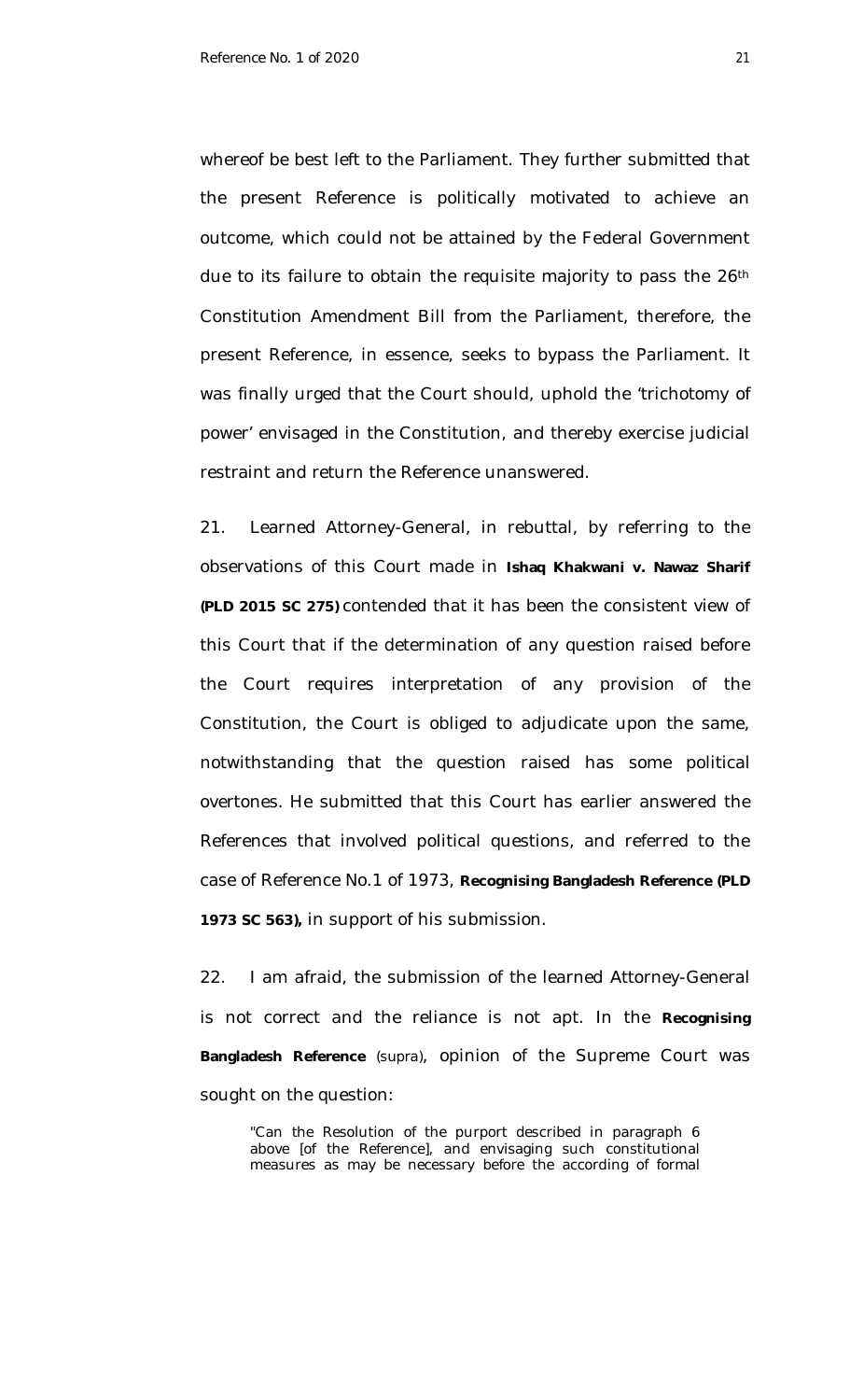whereof be best left to the Parliament. They further submitted that the present Reference is politically motivated to achieve an outcome, which could not be attained by the Federal Government due to its failure to obtain the requisite majority to pass the 26<sup>th</sup> Constitution Amendment Bill from the Parliament, therefore, the present Reference, in essence, seeks to bypass the Parliament. It was finally urged that the Court should, uphold the 'trichotomy of power' envisaged in the Constitution, and thereby exercise judicial restraint and return the Reference unanswered.

21. Learned Attorney-General, in rebuttal, by referring to the observations of this Court made in **Ishaq Khakwani v. Nawaz Sharif (PLD 2015 SC 275)** contended that it has been the consistent view of this Court that if the determination of any question raised before the Court requires interpretation of any provision of the Constitution, the Court is obliged to adjudicate upon the same, notwithstanding that the question raised has some political overtones. He submitted that this Court has earlier answered the References that involved political questions, and referred to the case of Reference No.1 of 1973, **Recognising Bangladesh Reference (PLD 1973 SC 563),** in support of his submission.

22. I am afraid, the submission of the learned Attorney-General is not correct and the reliance is not apt. In the **Recognising Bangladesh Reference** *(supra)*, opinion of the Supreme Court was sought on the question:

"Can the Resolution of the purport described in paragraph 6 above [of the Reference], and envisaging such constitutional measures as may be necessary before the according of formal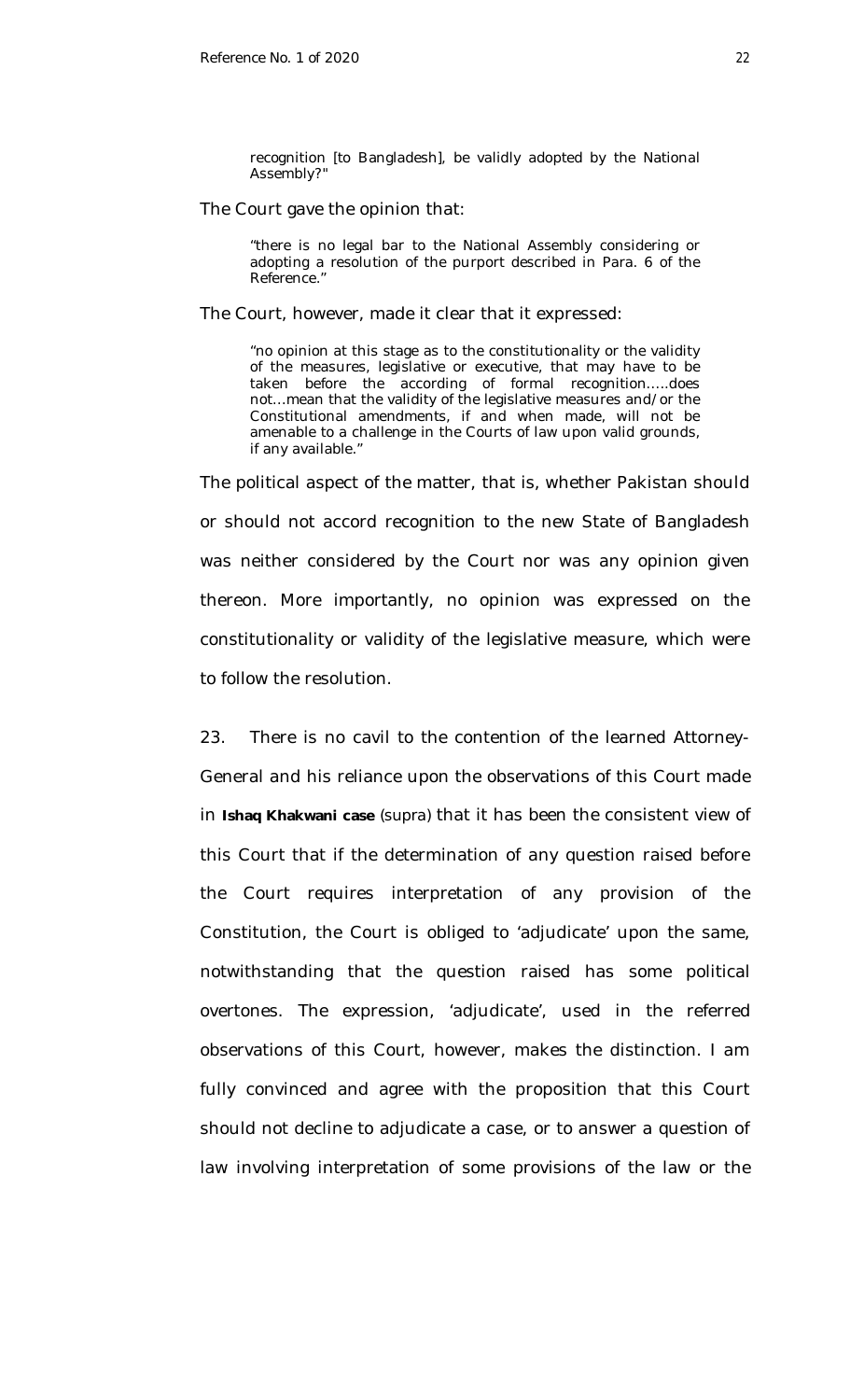recognition [to Bangladesh], be validly adopted by the National Assembly?"

### The Court gave the opinion that:

"there is no legal bar to the National Assembly considering or adopting a resolution of the purport described in Para. 6 of the Reference."

The Court, however, made it clear that it expressed:

"no opinion at this stage as to the constitutionality or the validity of the measures, legislative or executive, that may have to be taken before the according of formal recognition…..does not…mean that the validity of the legislative measures and/or the Constitutional amendments, if and when made, will not be amenable to a challenge in the Courts of law upon valid grounds, if any available."

The political aspect of the matter, that is, whether Pakistan should or should not accord recognition to the new State of Bangladesh was neither considered by the Court nor was any opinion given thereon. More importantly, no opinion was expressed on the constitutionality or validity of the legislative measure, which were to follow the resolution.

23. There is no cavil to the contention of the learned Attorney-General and his reliance upon the observations of this Court made in **Ishaq Khakwani case** *(supra)* that it has been the consistent view of this Court that if the determination of any question raised before the Court requires interpretation of any provision of the Constitution, the Court is obliged to 'adjudicate' upon the same, notwithstanding that the question raised has some political overtones. The expression, 'adjudicate', used in the referred observations of this Court, however, makes the distinction. I am fully convinced and agree with the proposition that this Court should not decline to adjudicate a case, or to answer a question of law involving interpretation of some provisions of the law or the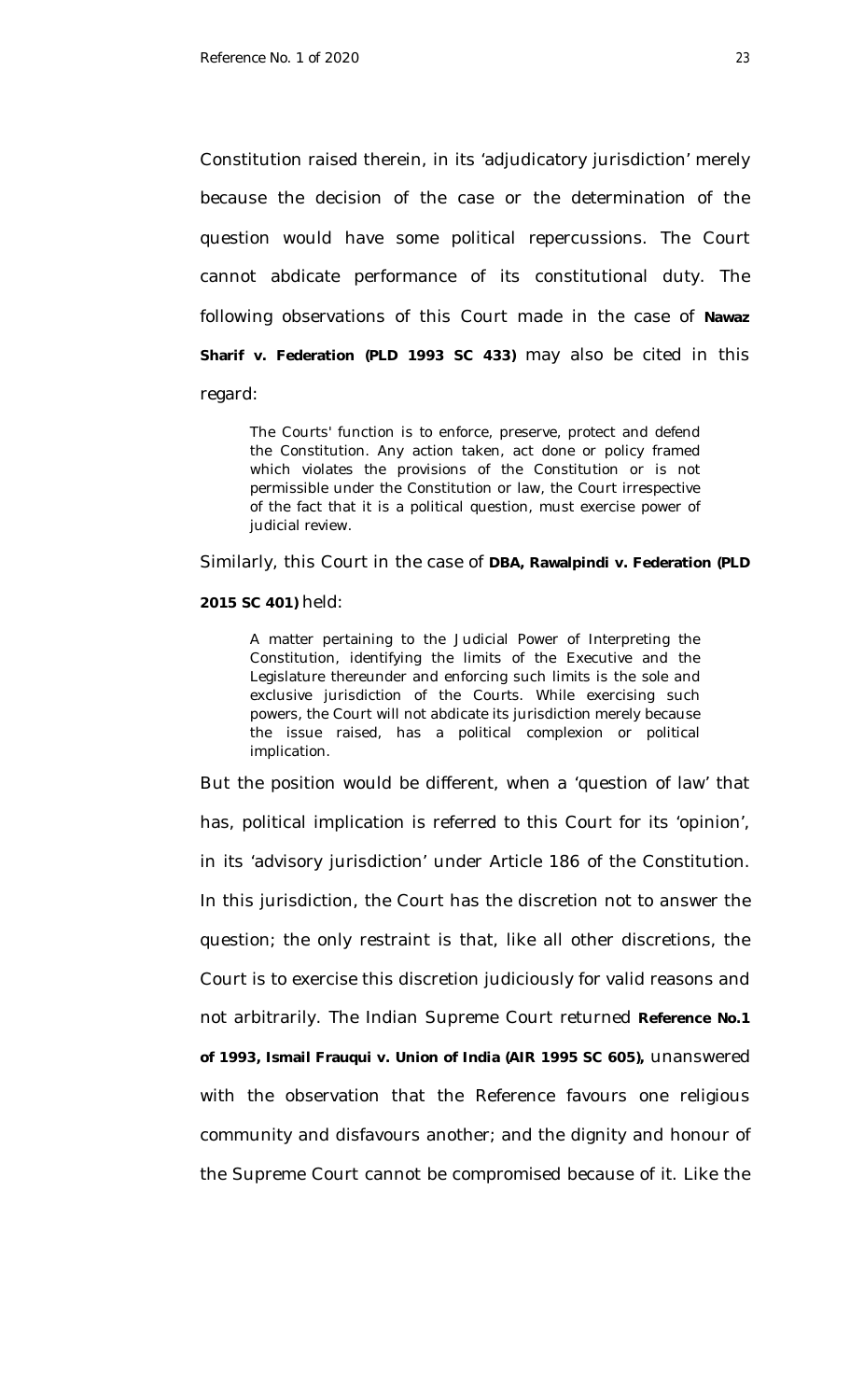Constitution raised therein, in its 'adjudicatory jurisdiction' merely because the decision of the case or the determination of the question would have some political repercussions. The Court cannot abdicate performance of its constitutional duty. The following observations of this Court made in the case of **Nawaz Sharif v. Federation (PLD 1993 SC 433)** may also be cited in this regard:

The Courts' function is to enforce, preserve, protect and defend the Constitution. Any action taken, act done or policy framed which violates the provisions of the Constitution or is not permissible under the Constitution or law, the Court irrespective of the fact that it is a political question, must exercise power of judicial review.

Similarly, this Court in the case of **DBA, Rawalpindi v. Federation (PLD** 

### **2015 SC 401)** held:

A matter pertaining to the Judicial Power of Interpreting the Constitution, identifying the limits of the Executive and the Legislature thereunder and enforcing such limits is the sole and exclusive jurisdiction of the Courts. While exercising such powers, the Court will not abdicate its jurisdiction merely because the issue raised, has a political complexion or political implication.

But the position would be different, when a 'question of law' that has, political implication is referred to this Court for its 'opinion', in its 'advisory jurisdiction' under Article 186 of the Constitution. In this jurisdiction, the Court has the discretion not to answer the question; the only restraint is that, like all other discretions, the Court is to exercise this discretion judiciously for valid reasons and not arbitrarily. The Indian Supreme Court returned **Reference No.1 of 1993, Ismail Frauqui v. Union of India (AIR 1995 SC 605),** unanswered with the observation that the Reference favours one religious community and disfavours another; and the dignity and honour of the Supreme Court cannot be compromised because of it. Like the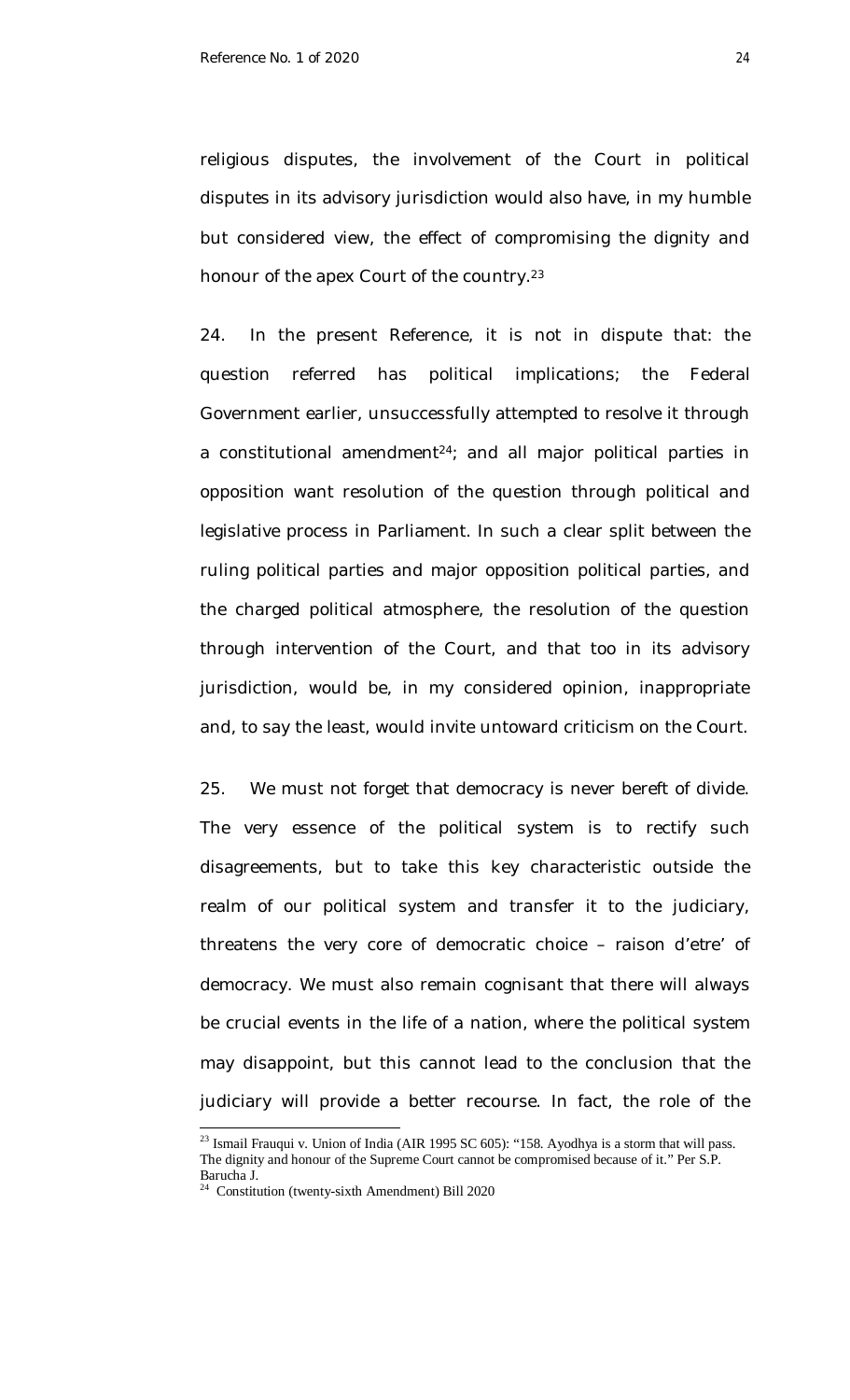religious disputes, the involvement of the Court in political disputes in its advisory jurisdiction would also have, in my humble but considered view, the effect of compromising the dignity and honour of the apex Court of the country.<sup>23</sup>

24. In the present Reference, it is not in dispute that: the question referred has political implications; the Federal Government earlier, unsuccessfully attempted to resolve it through a constitutional amendment $24$ ; and all major political parties in opposition want resolution of the question through political and legislative process in Parliament. In such a clear split between the ruling political parties and major opposition political parties, and the charged political atmosphere, the resolution of the question through intervention of the Court, and that too in its advisory jurisdiction, would be, in my considered opinion, inappropriate and, to say the least, would invite untoward criticism on the Court.

25. We must not forget that democracy is never bereft of divide. The very essence of the political system is to rectify such disagreements, but to take this key characteristic outside the realm of our political system and transfer it to the judiciary, threatens the very core of democratic choice – *raison d'etre'* of democracy. We must also remain cognisant that there will always be crucial events in the life of a nation, where the political system may disappoint, but this cannot lead to the conclusion that the judiciary will provide a better recourse. In fact, the role of the

 $^{23}$  Ismail Frauqui v. Union of India (AIR 1995 SC 605): "158. Ayodhya is a storm that will pass. The dignity and honour of the Supreme Court cannot be compromised because of it." Per S.P. Barucha J.

<sup>&</sup>lt;sup>24</sup> Constitution (twenty-sixth Amendment) Bill 2020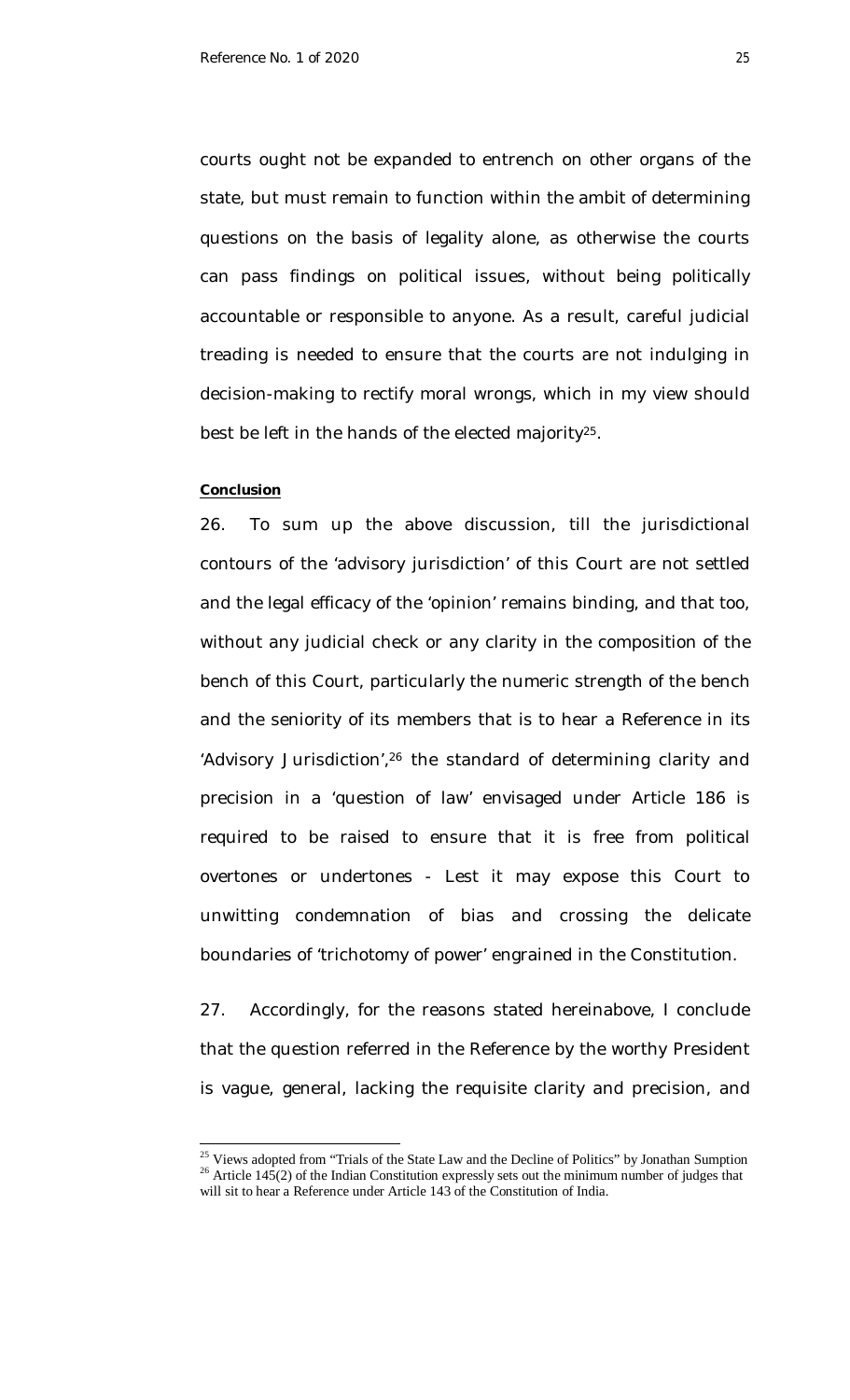courts ought not be expanded to entrench on other organs of the state, but must remain to function within the ambit of determining questions on the basis of legality alone, as otherwise the courts can pass findings on political issues, without being politically accountable or responsible to anyone. As a result, careful judicial treading is needed to ensure that the courts are not indulging in decision-making to rectify moral wrongs, which in my view should best be left in the hands of the elected majority<sup>25</sup>.

### **Conclusion**

 $\overline{\phantom{a}}$ 

26. To sum up the above discussion, till the jurisdictional contours of the 'advisory jurisdiction' of this Court are not settled and the legal efficacy of the 'opinion' remains binding, and that too, without any judicial check or any clarity in the composition of the bench of this Court, particularly the numeric strength of the bench and the seniority of its members that is to hear a Reference in its 'Advisory Jurisdiction',<sup>26</sup> the standard of determining clarity and precision in a 'question of law' envisaged under Article 186 is required to be raised to ensure that it is free from political overtones or undertones - Lest it may expose this Court to unwitting condemnation of bias and crossing the delicate boundaries of 'trichotomy of power' engrained in the Constitution.

27. Accordingly, for the reasons stated hereinabove, I conclude that the question referred in the Reference by the worthy President is vague, general, lacking the requisite clarity and precision, and

<sup>&</sup>lt;sup>25</sup> Views adopted from "Trials of the State Law and the Decline of Politics" by Jonathan Sumption <sup>26</sup> Article 145(2) of the Indian Constitution expressly sets out the minimum number of judges that will sit to hear a Reference under Article 143 of the Constitution of India.